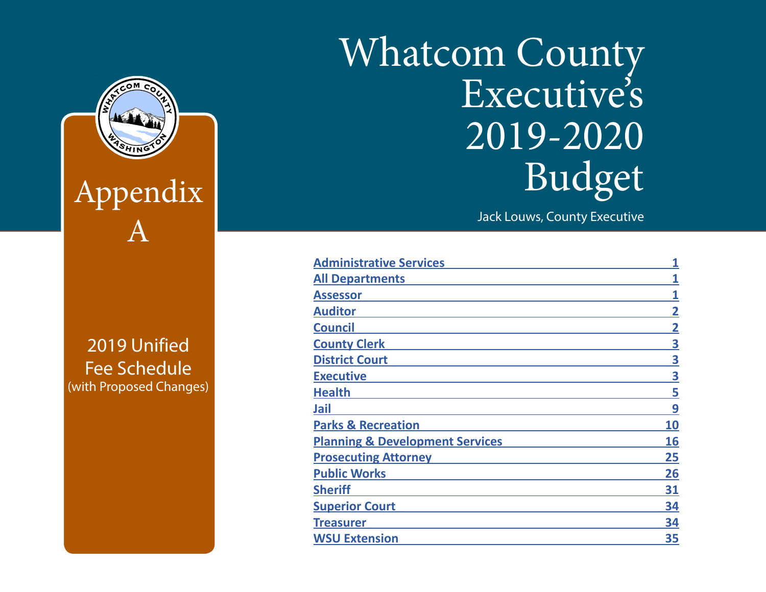# Whatcom County Executive's 2019-2020 Budget

Jack Louws, County Executive

| <b>Administrative Services</b>             | 1  |
|--------------------------------------------|----|
| <b>All Departments</b>                     |    |
| Assessor                                   |    |
| <b>Auditor</b>                             | 2  |
| <b>Council</b>                             | 2  |
| <b>County Clerk</b>                        | 3  |
| <b>District Court</b>                      | 3  |
| <b>Executive</b>                           | 3  |
| <b>Health</b>                              | 5  |
| Jail                                       | 9  |
| <b>Parks &amp; Recreation</b>              | 10 |
| <b>Planning &amp; Development Services</b> | 16 |
| <b>Prosecuting Attorney</b>                | 25 |
| <b>Public Works</b>                        | 26 |
| <b>Sheriff</b>                             | 31 |
| <b>Superior Court</b>                      | 34 |
| <b>Treasurer</b>                           | 34 |
| <b>WSU Extension</b>                       | 35 |



**The Published Separed And Published and Public Prepared and Public Prepared and Public Prepared and Public Pre** County Administrative Services Department Fee Schedule (with Proposed Changes)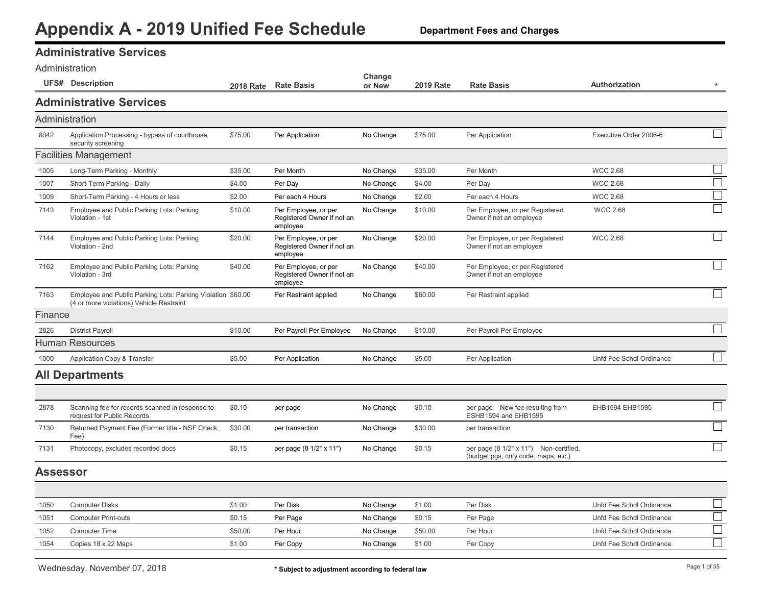<span id="page-1-0"></span>

| <b>Administrative Services</b> |  |
|--------------------------------|--|
|--------------------------------|--|

|  | Administration |  |
|--|----------------|--|
|  |                |  |

| <b>Administrative Services</b><br>Administration<br>8042<br>Application Processing - bypass of courthouse<br>\$75.00<br>No Change<br>\$75.00<br>Executive Order 2006-6<br>Per Application<br>Per Application<br>security screening<br><b>Facilities Management</b><br>$\Box$<br>1005<br>\$35.00<br>Per Month<br>No Change<br>\$35.00<br>Per Month<br><b>WCC 2.68</b><br>Long-Term Parking - Monthly<br>$\hfill \square$<br>1007<br><b>WCC 2.68</b><br>\$4.00<br>Per Day<br>No Change<br>\$4.00<br>Per Day<br>Short-Term Parking - Daily<br><b>WCC 2.68</b><br>1009<br>\$2.00<br>Per each 4 Hours<br>\$2.00<br>Per each 4 Hours<br>Short-Term Parking - 4 Hours or less<br>No Change<br>7143<br>Employee and Public Parking Lots: Parking<br>No Change<br>\$10.00<br>Per Employee, or per Registered<br><b>WCC 2.68</b><br>\$10.00<br>Per Employee, or per<br>Registered Owner if not an<br>Owner if not an employee<br>Violation - 1st<br>employee<br>7144<br>Employee and Public Parking Lots: Parking<br>\$20.00<br>No Change<br>\$20.00<br>Per Employee, or per Registered<br><b>WCC 2.68</b><br>Per Employee, or per<br>Violation - 2nd<br>Registered Owner if not an<br>Owner if not an employee<br>employee<br>$\Box$<br>7162<br>Employee and Public Parking Lots: Parking<br>\$40.00<br>Per Employee, or per<br>No Change<br>\$40.00<br>Per Employee, or per Registered<br>Registered Owner if not an<br>Owner if not an employee<br>Violation - 3rd<br>employee<br>$\Box$<br>7163<br>\$60.00<br>Employee and Public Parking Lots: Parking Violation \$60.00<br>Per Restraint applied<br>No Change<br>Per Restraint applied<br>(4 or more violations) Vehicle Restraint<br>Finance<br><b>District Payroll</b><br>2826<br>\$10.00<br>Per Payroll Per Employee<br>No Change<br>\$10.00<br>Per Payroll Per Employee<br><b>Human Resources</b><br>1000<br>Application Copy & Transfer<br>\$5.00<br>Per Application<br>No Change<br>\$5.00<br>Unfd Fee Schdl Ordinance<br>Per Application<br><b>All Departments</b><br>2878<br>EHB1594 EHB1595<br>Scanning fee for records scanned in response to<br>\$0.10<br>No Change<br>\$0.10<br>per page New fee resulting from<br>per page<br>request for Public Records<br>ESHB1594 and EHB1595<br>$\Box$<br>7130<br>\$30.00<br>Returned Payment Fee (Former title - NSF Check<br>No Change<br>\$30.00<br>per transaction<br>per transaction<br>Fee)<br>$\Box$<br>7131<br>per page (8 1/2" x 11") Non-certified,<br>Photocopy, excludes recorded docs<br>\$0.15<br>per page (8 1/2" x 11")<br>No Change<br>\$0.15<br>(budget pgs, cnty code, maps, etc.)<br><b>Assessor</b><br>$\Box$<br>1050<br><b>Computer Disks</b><br>\$1.00<br>Per Disk<br>No Change<br>\$1.00<br>Per Disk<br>Unfd Fee Schdl Ordinance<br>$\Box$<br>1051<br><b>Computer Print-outs</b><br>\$0.15<br>Per Page<br>No Change<br>\$0.15<br>Per Page<br>Unfd Fee Schdl Ordinance<br>$\Box$<br>\$50.00<br>1052<br><b>Computer Time</b><br>\$50.00<br>Per Hour<br>No Change<br>Per Hour<br>Unfd Fee Schdl Ordinance<br>1054<br>Copies 18 x 22 Maps<br>\$1.00<br>Per Copy<br>No Change<br>\$1.00<br>Per Copy<br>Unfd Fee Schdl Ordinance | <b>UFS# Description</b> | 2018 Rate Rate Basis | Change<br>or New | <b>2019 Rate</b> | <b>Rate Basis</b> | <b>Authorization</b> | $\star$ |
|-------------------------------------------------------------------------------------------------------------------------------------------------------------------------------------------------------------------------------------------------------------------------------------------------------------------------------------------------------------------------------------------------------------------------------------------------------------------------------------------------------------------------------------------------------------------------------------------------------------------------------------------------------------------------------------------------------------------------------------------------------------------------------------------------------------------------------------------------------------------------------------------------------------------------------------------------------------------------------------------------------------------------------------------------------------------------------------------------------------------------------------------------------------------------------------------------------------------------------------------------------------------------------------------------------------------------------------------------------------------------------------------------------------------------------------------------------------------------------------------------------------------------------------------------------------------------------------------------------------------------------------------------------------------------------------------------------------------------------------------------------------------------------------------------------------------------------------------------------------------------------------------------------------------------------------------------------------------------------------------------------------------------------------------------------------------------------------------------------------------------------------------------------------------------------------------------------------------------------------------------------------------------------------------------------------------------------------------------------------------------------------------------------------------------------------------------------------------------------------------------------------------------------------------------------------------------------------------------------------------------------------------------------------------------------------------------------------------------------------------------------------------------------------------------------------------------------------------------------------------------------------------------------------------------------------------------------------------------------------------------------------------------------------------------------------------------------------------------------------------------------------------------|-------------------------|----------------------|------------------|------------------|-------------------|----------------------|---------|
|                                                                                                                                                                                                                                                                                                                                                                                                                                                                                                                                                                                                                                                                                                                                                                                                                                                                                                                                                                                                                                                                                                                                                                                                                                                                                                                                                                                                                                                                                                                                                                                                                                                                                                                                                                                                                                                                                                                                                                                                                                                                                                                                                                                                                                                                                                                                                                                                                                                                                                                                                                                                                                                                                                                                                                                                                                                                                                                                                                                                                                                                                                                                                 |                         |                      |                  |                  |                   |                      |         |
|                                                                                                                                                                                                                                                                                                                                                                                                                                                                                                                                                                                                                                                                                                                                                                                                                                                                                                                                                                                                                                                                                                                                                                                                                                                                                                                                                                                                                                                                                                                                                                                                                                                                                                                                                                                                                                                                                                                                                                                                                                                                                                                                                                                                                                                                                                                                                                                                                                                                                                                                                                                                                                                                                                                                                                                                                                                                                                                                                                                                                                                                                                                                                 |                         |                      |                  |                  |                   |                      |         |
|                                                                                                                                                                                                                                                                                                                                                                                                                                                                                                                                                                                                                                                                                                                                                                                                                                                                                                                                                                                                                                                                                                                                                                                                                                                                                                                                                                                                                                                                                                                                                                                                                                                                                                                                                                                                                                                                                                                                                                                                                                                                                                                                                                                                                                                                                                                                                                                                                                                                                                                                                                                                                                                                                                                                                                                                                                                                                                                                                                                                                                                                                                                                                 |                         |                      |                  |                  |                   |                      |         |
|                                                                                                                                                                                                                                                                                                                                                                                                                                                                                                                                                                                                                                                                                                                                                                                                                                                                                                                                                                                                                                                                                                                                                                                                                                                                                                                                                                                                                                                                                                                                                                                                                                                                                                                                                                                                                                                                                                                                                                                                                                                                                                                                                                                                                                                                                                                                                                                                                                                                                                                                                                                                                                                                                                                                                                                                                                                                                                                                                                                                                                                                                                                                                 |                         |                      |                  |                  |                   |                      |         |
|                                                                                                                                                                                                                                                                                                                                                                                                                                                                                                                                                                                                                                                                                                                                                                                                                                                                                                                                                                                                                                                                                                                                                                                                                                                                                                                                                                                                                                                                                                                                                                                                                                                                                                                                                                                                                                                                                                                                                                                                                                                                                                                                                                                                                                                                                                                                                                                                                                                                                                                                                                                                                                                                                                                                                                                                                                                                                                                                                                                                                                                                                                                                                 |                         |                      |                  |                  |                   |                      |         |
|                                                                                                                                                                                                                                                                                                                                                                                                                                                                                                                                                                                                                                                                                                                                                                                                                                                                                                                                                                                                                                                                                                                                                                                                                                                                                                                                                                                                                                                                                                                                                                                                                                                                                                                                                                                                                                                                                                                                                                                                                                                                                                                                                                                                                                                                                                                                                                                                                                                                                                                                                                                                                                                                                                                                                                                                                                                                                                                                                                                                                                                                                                                                                 |                         |                      |                  |                  |                   |                      |         |
|                                                                                                                                                                                                                                                                                                                                                                                                                                                                                                                                                                                                                                                                                                                                                                                                                                                                                                                                                                                                                                                                                                                                                                                                                                                                                                                                                                                                                                                                                                                                                                                                                                                                                                                                                                                                                                                                                                                                                                                                                                                                                                                                                                                                                                                                                                                                                                                                                                                                                                                                                                                                                                                                                                                                                                                                                                                                                                                                                                                                                                                                                                                                                 |                         |                      |                  |                  |                   |                      |         |
|                                                                                                                                                                                                                                                                                                                                                                                                                                                                                                                                                                                                                                                                                                                                                                                                                                                                                                                                                                                                                                                                                                                                                                                                                                                                                                                                                                                                                                                                                                                                                                                                                                                                                                                                                                                                                                                                                                                                                                                                                                                                                                                                                                                                                                                                                                                                                                                                                                                                                                                                                                                                                                                                                                                                                                                                                                                                                                                                                                                                                                                                                                                                                 |                         |                      |                  |                  |                   |                      |         |
|                                                                                                                                                                                                                                                                                                                                                                                                                                                                                                                                                                                                                                                                                                                                                                                                                                                                                                                                                                                                                                                                                                                                                                                                                                                                                                                                                                                                                                                                                                                                                                                                                                                                                                                                                                                                                                                                                                                                                                                                                                                                                                                                                                                                                                                                                                                                                                                                                                                                                                                                                                                                                                                                                                                                                                                                                                                                                                                                                                                                                                                                                                                                                 |                         |                      |                  |                  |                   |                      |         |
|                                                                                                                                                                                                                                                                                                                                                                                                                                                                                                                                                                                                                                                                                                                                                                                                                                                                                                                                                                                                                                                                                                                                                                                                                                                                                                                                                                                                                                                                                                                                                                                                                                                                                                                                                                                                                                                                                                                                                                                                                                                                                                                                                                                                                                                                                                                                                                                                                                                                                                                                                                                                                                                                                                                                                                                                                                                                                                                                                                                                                                                                                                                                                 |                         |                      |                  |                  |                   |                      |         |
|                                                                                                                                                                                                                                                                                                                                                                                                                                                                                                                                                                                                                                                                                                                                                                                                                                                                                                                                                                                                                                                                                                                                                                                                                                                                                                                                                                                                                                                                                                                                                                                                                                                                                                                                                                                                                                                                                                                                                                                                                                                                                                                                                                                                                                                                                                                                                                                                                                                                                                                                                                                                                                                                                                                                                                                                                                                                                                                                                                                                                                                                                                                                                 |                         |                      |                  |                  |                   |                      |         |
|                                                                                                                                                                                                                                                                                                                                                                                                                                                                                                                                                                                                                                                                                                                                                                                                                                                                                                                                                                                                                                                                                                                                                                                                                                                                                                                                                                                                                                                                                                                                                                                                                                                                                                                                                                                                                                                                                                                                                                                                                                                                                                                                                                                                                                                                                                                                                                                                                                                                                                                                                                                                                                                                                                                                                                                                                                                                                                                                                                                                                                                                                                                                                 |                         |                      |                  |                  |                   |                      |         |
|                                                                                                                                                                                                                                                                                                                                                                                                                                                                                                                                                                                                                                                                                                                                                                                                                                                                                                                                                                                                                                                                                                                                                                                                                                                                                                                                                                                                                                                                                                                                                                                                                                                                                                                                                                                                                                                                                                                                                                                                                                                                                                                                                                                                                                                                                                                                                                                                                                                                                                                                                                                                                                                                                                                                                                                                                                                                                                                                                                                                                                                                                                                                                 |                         |                      |                  |                  |                   |                      |         |
|                                                                                                                                                                                                                                                                                                                                                                                                                                                                                                                                                                                                                                                                                                                                                                                                                                                                                                                                                                                                                                                                                                                                                                                                                                                                                                                                                                                                                                                                                                                                                                                                                                                                                                                                                                                                                                                                                                                                                                                                                                                                                                                                                                                                                                                                                                                                                                                                                                                                                                                                                                                                                                                                                                                                                                                                                                                                                                                                                                                                                                                                                                                                                 |                         |                      |                  |                  |                   |                      |         |
|                                                                                                                                                                                                                                                                                                                                                                                                                                                                                                                                                                                                                                                                                                                                                                                                                                                                                                                                                                                                                                                                                                                                                                                                                                                                                                                                                                                                                                                                                                                                                                                                                                                                                                                                                                                                                                                                                                                                                                                                                                                                                                                                                                                                                                                                                                                                                                                                                                                                                                                                                                                                                                                                                                                                                                                                                                                                                                                                                                                                                                                                                                                                                 |                         |                      |                  |                  |                   |                      |         |
|                                                                                                                                                                                                                                                                                                                                                                                                                                                                                                                                                                                                                                                                                                                                                                                                                                                                                                                                                                                                                                                                                                                                                                                                                                                                                                                                                                                                                                                                                                                                                                                                                                                                                                                                                                                                                                                                                                                                                                                                                                                                                                                                                                                                                                                                                                                                                                                                                                                                                                                                                                                                                                                                                                                                                                                                                                                                                                                                                                                                                                                                                                                                                 |                         |                      |                  |                  |                   |                      |         |
|                                                                                                                                                                                                                                                                                                                                                                                                                                                                                                                                                                                                                                                                                                                                                                                                                                                                                                                                                                                                                                                                                                                                                                                                                                                                                                                                                                                                                                                                                                                                                                                                                                                                                                                                                                                                                                                                                                                                                                                                                                                                                                                                                                                                                                                                                                                                                                                                                                                                                                                                                                                                                                                                                                                                                                                                                                                                                                                                                                                                                                                                                                                                                 |                         |                      |                  |                  |                   |                      |         |
|                                                                                                                                                                                                                                                                                                                                                                                                                                                                                                                                                                                                                                                                                                                                                                                                                                                                                                                                                                                                                                                                                                                                                                                                                                                                                                                                                                                                                                                                                                                                                                                                                                                                                                                                                                                                                                                                                                                                                                                                                                                                                                                                                                                                                                                                                                                                                                                                                                                                                                                                                                                                                                                                                                                                                                                                                                                                                                                                                                                                                                                                                                                                                 |                         |                      |                  |                  |                   |                      |         |
|                                                                                                                                                                                                                                                                                                                                                                                                                                                                                                                                                                                                                                                                                                                                                                                                                                                                                                                                                                                                                                                                                                                                                                                                                                                                                                                                                                                                                                                                                                                                                                                                                                                                                                                                                                                                                                                                                                                                                                                                                                                                                                                                                                                                                                                                                                                                                                                                                                                                                                                                                                                                                                                                                                                                                                                                                                                                                                                                                                                                                                                                                                                                                 |                         |                      |                  |                  |                   |                      |         |
|                                                                                                                                                                                                                                                                                                                                                                                                                                                                                                                                                                                                                                                                                                                                                                                                                                                                                                                                                                                                                                                                                                                                                                                                                                                                                                                                                                                                                                                                                                                                                                                                                                                                                                                                                                                                                                                                                                                                                                                                                                                                                                                                                                                                                                                                                                                                                                                                                                                                                                                                                                                                                                                                                                                                                                                                                                                                                                                                                                                                                                                                                                                                                 |                         |                      |                  |                  |                   |                      |         |
|                                                                                                                                                                                                                                                                                                                                                                                                                                                                                                                                                                                                                                                                                                                                                                                                                                                                                                                                                                                                                                                                                                                                                                                                                                                                                                                                                                                                                                                                                                                                                                                                                                                                                                                                                                                                                                                                                                                                                                                                                                                                                                                                                                                                                                                                                                                                                                                                                                                                                                                                                                                                                                                                                                                                                                                                                                                                                                                                                                                                                                                                                                                                                 |                         |                      |                  |                  |                   |                      |         |
|                                                                                                                                                                                                                                                                                                                                                                                                                                                                                                                                                                                                                                                                                                                                                                                                                                                                                                                                                                                                                                                                                                                                                                                                                                                                                                                                                                                                                                                                                                                                                                                                                                                                                                                                                                                                                                                                                                                                                                                                                                                                                                                                                                                                                                                                                                                                                                                                                                                                                                                                                                                                                                                                                                                                                                                                                                                                                                                                                                                                                                                                                                                                                 |                         |                      |                  |                  |                   |                      |         |
|                                                                                                                                                                                                                                                                                                                                                                                                                                                                                                                                                                                                                                                                                                                                                                                                                                                                                                                                                                                                                                                                                                                                                                                                                                                                                                                                                                                                                                                                                                                                                                                                                                                                                                                                                                                                                                                                                                                                                                                                                                                                                                                                                                                                                                                                                                                                                                                                                                                                                                                                                                                                                                                                                                                                                                                                                                                                                                                                                                                                                                                                                                                                                 |                         |                      |                  |                  |                   |                      |         |
|                                                                                                                                                                                                                                                                                                                                                                                                                                                                                                                                                                                                                                                                                                                                                                                                                                                                                                                                                                                                                                                                                                                                                                                                                                                                                                                                                                                                                                                                                                                                                                                                                                                                                                                                                                                                                                                                                                                                                                                                                                                                                                                                                                                                                                                                                                                                                                                                                                                                                                                                                                                                                                                                                                                                                                                                                                                                                                                                                                                                                                                                                                                                                 |                         |                      |                  |                  |                   |                      |         |
|                                                                                                                                                                                                                                                                                                                                                                                                                                                                                                                                                                                                                                                                                                                                                                                                                                                                                                                                                                                                                                                                                                                                                                                                                                                                                                                                                                                                                                                                                                                                                                                                                                                                                                                                                                                                                                                                                                                                                                                                                                                                                                                                                                                                                                                                                                                                                                                                                                                                                                                                                                                                                                                                                                                                                                                                                                                                                                                                                                                                                                                                                                                                                 |                         |                      |                  |                  |                   |                      |         |
|                                                                                                                                                                                                                                                                                                                                                                                                                                                                                                                                                                                                                                                                                                                                                                                                                                                                                                                                                                                                                                                                                                                                                                                                                                                                                                                                                                                                                                                                                                                                                                                                                                                                                                                                                                                                                                                                                                                                                                                                                                                                                                                                                                                                                                                                                                                                                                                                                                                                                                                                                                                                                                                                                                                                                                                                                                                                                                                                                                                                                                                                                                                                                 |                         |                      |                  |                  |                   |                      |         |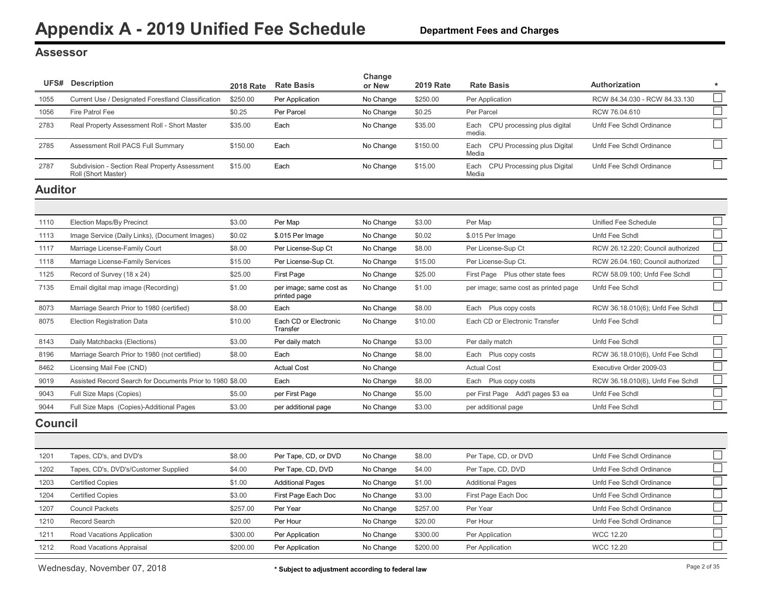#### <span id="page-2-0"></span>**Assessor**

|                | <b>UFS#</b> Description                                               |          | 2018 Rate Rate Basis                    | Change<br>or New | <b>2019 Rate</b> | <b>Rate Basis</b>                          | <b>Authorization</b>              | $\star$                     |
|----------------|-----------------------------------------------------------------------|----------|-----------------------------------------|------------------|------------------|--------------------------------------------|-----------------------------------|-----------------------------|
| 1055           | Current Use / Designated Forestland Classification                    | \$250.00 | Per Application                         | No Change        | \$250.00         | Per Application                            | RCW 84.34.030 - RCW 84.33.130     | $\Box$                      |
| 1056           | Fire Patrol Fee                                                       | \$0.25   | Per Parcel                              | No Change        | \$0.25           | Per Parcel                                 | RCW 76.04.610                     | $\Box$                      |
| 2783           | Real Property Assessment Roll - Short Master                          | \$35.00  | Each                                    | No Change        | \$35.00          | Each CPU processing plus digital<br>media. | Unfd Fee Schdl Ordinance          | $\Box$                      |
| 2785           | Assessment Roll PACS Full Summary                                     | \$150.00 | Each                                    | No Change        | \$150.00         | Each CPU Processing plus Digital<br>Media  | Unfd Fee Schdl Ordinance          |                             |
| 2787           | Subdivision - Section Real Property Assessment<br>Roll (Short Master) | \$15.00  | Each                                    | No Change        | \$15.00          | Each CPU Processing plus Digital<br>Media  | Unfd Fee Schdl Ordinance          |                             |
| <b>Auditor</b> |                                                                       |          |                                         |                  |                  |                                            |                                   |                             |
|                |                                                                       |          |                                         |                  |                  |                                            |                                   |                             |
| 1110           | Election Maps/By Precinct                                             | \$3.00   | Per Map                                 | No Change        | \$3.00           | Per Map                                    | Unified Fee Schedule              | $\Box$                      |
| 1113           | Image Service (Daily Links), (Document Images)                        | \$0.02   | \$.015 Per Image                        | No Change        | \$0.02           | \$.015 Per Image                           | Unfd Fee Schdl                    | $\mathcal{L}_{\mathcal{A}}$ |
| 1117           | Marriage License-Family Court                                         | \$8.00   | Per License-Sup Ct                      | No Change        | \$8.00           | Per License-Sup Ct                         | RCW 26.12.220; Council authorized |                             |
| 1118           | Marriage License-Family Services                                      | \$15.00  | Per License-Sup Ct.                     | No Change        | \$15.00          | Per License-Sup Ct.                        | RCW 26.04.160; Council authorized |                             |
| 1125           | Record of Survey (18 x 24)                                            | \$25.00  | First Page                              | No Change        | \$25.00          | First Page Plus other state fees           | RCW 58.09.100; Unfd Fee Schdl     |                             |
| 7135           | Email digital map image (Recording)                                   | \$1.00   | per image; same cost as<br>printed page | No Change        | \$1.00           | per image; same cost as printed page       | Unfd Fee Schdl                    |                             |
| 8073           | Marriage Search Prior to 1980 (certified)                             | \$8.00   | Each                                    | No Change        | \$8.00           | Each Plus copy costs                       | RCW 36.18.010(6); Unfd Fee Schdl  |                             |
| 8075           | Election Registration Data                                            | \$10.00  | Each CD or Electronic<br>Transfer       | No Change        | \$10.00          | Each CD or Electronic Transfer             | Unfd Fee Schdl                    |                             |
| 8143           | Daily Matchbacks (Elections)                                          | \$3.00   | Per daily match                         | No Change        | \$3.00           | Per daily match                            | Unfd Fee Schdl                    |                             |
| 8196           | Marriage Search Prior to 1980 (not certified)                         | \$8.00   | Each                                    | No Change        | \$8.00           | Each Plus copy costs                       | RCW 36.18.010(6), Unfd Fee Schdl  |                             |
| 8462           | Licensing Mail Fee (CND)                                              |          | <b>Actual Cost</b>                      | No Change        |                  | <b>Actual Cost</b>                         | Executive Order 2009-03           | $\overline{\phantom{a}}$    |
| 9019           | Assisted Record Search for Documents Prior to 1980 \$8.00             |          | Each                                    | No Change        | \$8.00           | Each Plus copy costs                       | RCW 36.18.010(6), Unfd Fee Schdl  | $\overline{\phantom{a}}$    |
| 9043           | Full Size Maps (Copies)                                               | \$5.00   | per First Page                          | No Change        | \$5.00           | per First Page Add'l pages \$3 ea          | Unfd Fee Schdl                    |                             |
| 9044           | Full Size Maps (Copies)-Additional Pages                              | \$3.00   | per additional page                     | No Change        | \$3.00           | per additional page                        | Unfd Fee Schdl                    |                             |
| <b>Council</b> |                                                                       |          |                                         |                  |                  |                                            |                                   |                             |
|                |                                                                       |          |                                         |                  |                  |                                            |                                   |                             |
| 1201           | Tapes, CD's, and DVD's                                                | \$8.00   | Per Tape, CD, or DVD                    | No Change        | \$8.00           | Per Tape, CD, or DVD                       | Unfd Fee Schdl Ordinance          | $\Box$                      |
| 1202           | Tapes, CD's, DVD's/Customer Supplied                                  | \$4.00   | Per Tape, CD, DVD                       | No Change        | \$4.00           | Per Tape, CD, DVD                          | Unfd Fee Schdl Ordinance          |                             |
| 1203           | <b>Certified Copies</b>                                               | \$1.00   | <b>Additional Pages</b>                 | No Change        | \$1.00           | <b>Additional Pages</b>                    | Unfd Fee Schdl Ordinance          | $\Box$                      |
| 1204           | <b>Certified Copies</b>                                               | \$3.00   | First Page Each Doc                     | No Change        | \$3.00           | First Page Each Doc                        | Unfd Fee Schdl Ordinance          | $\Box$                      |
| 1207           | <b>Council Packets</b>                                                | \$257.00 | Per Year                                | No Change        | \$257.00         | Per Year                                   | Unfd Fee Schdl Ordinance          |                             |

1210 Record Search School Search \$20.00 Per Hour No Change \$20.00 Per Hour No Change \$20.00 Per Hour Unfd Fee Schdl Ordinance

1211 Road Vacations Application \$300.00 Per Application No Change \$300.00 Per Application WCC 12.20 1212 Road Vacations Appraisal \$200.00 Per Application No Change \$200.00 Per Application WCC 12.20  $\Box$  $\Box$  $\Box$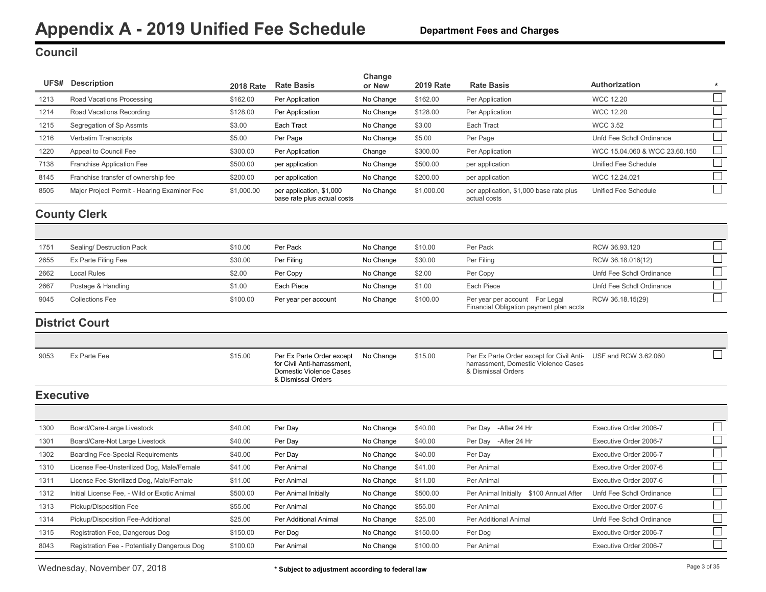### <span id="page-3-0"></span>**Council**

|                  | <b>UFS#</b> Description                      | <b>2018 Rate</b> | <b>Rate Basis</b>                                                                                         | Change<br>or New | <b>2019 Rate</b> | <b>Rate Basis</b>                                                                                                            | Authorization                 | $\star$ |
|------------------|----------------------------------------------|------------------|-----------------------------------------------------------------------------------------------------------|------------------|------------------|------------------------------------------------------------------------------------------------------------------------------|-------------------------------|---------|
| 1213             | Road Vacations Processing                    | \$162.00         | Per Application                                                                                           | No Change        | \$162.00         | Per Application                                                                                                              | <b>WCC 12.20</b>              |         |
| 1214             | Road Vacations Recording                     | \$128.00         | Per Application                                                                                           | No Change        | \$128.00         | Per Application                                                                                                              | <b>WCC 12.20</b>              |         |
| 1215             | Segregation of Sp Assmts                     | \$3.00           | Each Tract                                                                                                | No Change        | \$3.00           | Each Tract                                                                                                                   | <b>WCC 3.52</b>               |         |
| 1216             | Verbatim Transcripts                         | \$5.00           | Per Page                                                                                                  | No Change        | \$5.00           | Per Page                                                                                                                     | Unfd Fee Schdl Ordinance      |         |
| 1220             | Appeal to Council Fee                        | \$300.00         | Per Application                                                                                           | Change           | \$300.00         | Per Application                                                                                                              | WCC 15.04.060 & WCC 23.60.150 |         |
| 7138             | Franchise Application Fee                    | \$500.00         | per application                                                                                           | No Change        | \$500.00         | per application                                                                                                              | Unified Fee Schedule          |         |
| 8145             | Franchise transfer of ownership fee          | \$200.00         | per application                                                                                           | No Change        | \$200.00         | per application                                                                                                              | WCC 12.24.021                 |         |
| 8505             | Major Project Permit - Hearing Examiner Fee  | \$1,000.00       | per application, \$1,000<br>base rate plus actual costs                                                   | No Change        | \$1,000.00       | per application, \$1,000 base rate plus<br>actual costs                                                                      | Unified Fee Schedule          |         |
|                  | <b>County Clerk</b>                          |                  |                                                                                                           |                  |                  |                                                                                                                              |                               |         |
|                  |                                              |                  |                                                                                                           |                  |                  |                                                                                                                              |                               |         |
| 1751             | Sealing/ Destruction Pack                    | \$10.00          | Per Pack                                                                                                  | No Change        | \$10.00          | Per Pack                                                                                                                     | RCW 36.93.120                 |         |
| 2655             | Ex Parte Filing Fee                          | \$30.00          | Per Filing                                                                                                | No Change        | \$30.00          | Per Filing                                                                                                                   | RCW 36.18.016(12)             |         |
| 2662             | <b>Local Rules</b>                           | \$2.00           | Per Copy                                                                                                  | No Change        | \$2.00           | Per Copy                                                                                                                     | Unfd Fee Schdl Ordinance      |         |
| 2667             | Postage & Handling                           | \$1.00           | Each Piece                                                                                                | No Change        | \$1.00           | Each Piece                                                                                                                   | Unfd Fee Schdl Ordinance      |         |
| 9045             | <b>Collections Fee</b>                       | \$100.00         | Per year per account                                                                                      | No Change        | \$100.00         | Per year per account For Legal<br>Financial Obligation payment plan accts                                                    | RCW 36.18.15(29)              |         |
|                  | <b>District Court</b>                        |                  |                                                                                                           |                  |                  |                                                                                                                              |                               |         |
|                  |                                              |                  |                                                                                                           |                  |                  |                                                                                                                              |                               |         |
| 9053             | Ex Parte Fee                                 | \$15.00          | Per Ex Parte Order except<br>for Civil Anti-harrassment.<br>Domestic Violence Cases<br>& Dismissal Orders | No Change        | \$15.00          | Per Ex Parte Order except for Civil Anti- USF and RCW 3.62.060<br>harrassment, Domestic Violence Cases<br>& Dismissal Orders |                               |         |
| <b>Executive</b> |                                              |                  |                                                                                                           |                  |                  |                                                                                                                              |                               |         |
|                  |                                              |                  |                                                                                                           |                  |                  |                                                                                                                              |                               |         |
| 1300             | Board/Care-Large Livestock                   | \$40.00          | Per Day                                                                                                   | No Change        | \$40.00          | Per Day<br>-After 24 Hr                                                                                                      | Executive Order 2006-7        |         |
| 1301             | Board/Care-Not Large Livestock               | \$40.00          | Per Day                                                                                                   | No Change        | \$40.00          | Per Day - After 24 Hr                                                                                                        | Executive Order 2006-7        |         |
| 1302             | <b>Boarding Fee-Special Requirements</b>     | \$40.00          | Per Day                                                                                                   | No Change        | \$40.00          | Per Day                                                                                                                      | Executive Order 2006-7        |         |
| 1310             | License Fee-Unsterilized Dog, Male/Female    | \$41.00          | Per Animal                                                                                                | No Change        | \$41.00          | Per Animal                                                                                                                   | Executive Order 2007-6        |         |
| 1311             | License Fee-Sterilized Dog, Male/Female      | \$11.00          | Per Animal                                                                                                | No Change        | \$11.00          | Per Animal                                                                                                                   | Executive Order 2007-6        |         |
| 1312             | Initial License Fee, - Wild or Exotic Animal | \$500.00         | Per Animal Initially                                                                                      | No Change        | \$500.00         | Per Animal Initially \$100 Annual After                                                                                      | Unfd Fee Schdl Ordinance      |         |
| 1313             | Pickup/Disposition Fee                       | \$55.00          | Per Animal                                                                                                | No Change        | \$55.00          | Per Animal                                                                                                                   | Executive Order 2007-6        |         |
| 1314             | Pickup/Disposition Fee-Additional            | \$25.00          | Per Additional Animal                                                                                     | No Change        | \$25.00          | Per Additional Animal                                                                                                        | Unfd Fee Schdl Ordinance      |         |
| 1315             | Registration Fee, Dangerous Dog              | \$150.00         | Per Dog                                                                                                   | No Change        | \$150.00         | Per Dog                                                                                                                      | Executive Order 2006-7        |         |
| 8043             | Registration Fee - Potentially Dangerous Dog | \$100.00         | Per Animal                                                                                                | No Change        | \$100.00         | Per Animal                                                                                                                   | Executive Order 2006-7        |         |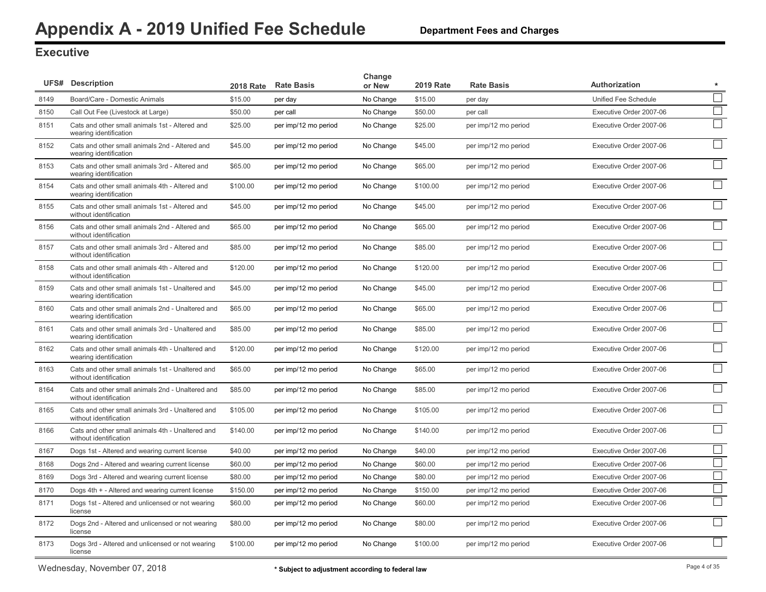### **Executive**

|      | <b>UFS# Description</b>                                                    | <b>2018 Rate</b> | <b>Rate Basis</b>    | Change<br>or New | <b>2019 Rate</b> | <b>Rate Basis</b>    | Authorization<br>$\star$                               |
|------|----------------------------------------------------------------------------|------------------|----------------------|------------------|------------------|----------------------|--------------------------------------------------------|
| 8149 | Board/Care - Domestic Animals                                              | \$15.00          | per day              | No Change        | \$15.00          | per day              | $\mathbb{R}^n$<br>Unified Fee Schedule                 |
| 8150 | Call Out Fee (Livestock at Large)                                          | \$50.00          | per call             | No Change        | \$50.00          | per call             | $\Box$<br>Executive Order 2007-06                      |
| 8151 | Cats and other small animals 1st - Altered and<br>wearing identification   | \$25.00          | per imp/12 mo period | No Change        | \$25.00          | per imp/12 mo period | $\Box$<br>Executive Order 2007-06                      |
| 8152 | Cats and other small animals 2nd - Altered and<br>wearing identification   | \$45.00          | per imp/12 mo period | No Change        | \$45.00          | per imp/12 mo period | $\Box$<br>Executive Order 2007-06                      |
| 8153 | Cats and other small animals 3rd - Altered and<br>wearing identification   | \$65.00          | per imp/12 mo period | No Change        | \$65.00          | per imp/12 mo period | $\Box$<br>Executive Order 2007-06                      |
| 8154 | Cats and other small animals 4th - Altered and<br>wearing identification   | \$100.00         | per imp/12 mo period | No Change        | \$100.00         | per imp/12 mo period | $\vert \ \ \vert$<br>Executive Order 2007-06           |
| 8155 | Cats and other small animals 1st - Altered and<br>without identification   | \$45.00          | per imp/12 mo period | No Change        | \$45.00          | per imp/12 mo period | $\Box$<br>Executive Order 2007-06                      |
| 8156 | Cats and other small animals 2nd - Altered and<br>without identification   | \$65.00          | per imp/12 mo period | No Change        | \$65.00          | per imp/12 mo period | $\Box$<br>Executive Order 2007-06                      |
| 8157 | Cats and other small animals 3rd - Altered and<br>without identification   | \$85.00          | per imp/12 mo period | No Change        | \$85.00          | per imp/12 mo period | Executive Order 2007-06                                |
| 8158 | Cats and other small animals 4th - Altered and<br>without identification   | \$120.00         | per imp/12 mo period | No Change        | \$120.00         | per imp/12 mo period | $\vert \ \ \vert$<br>Executive Order 2007-06           |
| 8159 | Cats and other small animals 1st - Unaltered and<br>wearing identification | \$45.00          | per imp/12 mo period | No Change        | \$45.00          | per imp/12 mo period | $\mathsf{L}$<br>Executive Order 2007-06                |
| 8160 | Cats and other small animals 2nd - Unaltered and<br>wearing identification | \$65.00          | per imp/12 mo period | No Change        | \$65.00          | per imp/12 mo period | $\mathcal{L}_{\mathcal{A}}$<br>Executive Order 2007-06 |
| 8161 | Cats and other small animals 3rd - Unaltered and<br>wearing identification | \$85.00          | per imp/12 mo period | No Change        | \$85.00          | per imp/12 mo period | $\mathcal{L}$<br>Executive Order 2007-06               |
| 8162 | Cats and other small animals 4th - Unaltered and<br>wearing identification | \$120.00         | per imp/12 mo period | No Change        | \$120.00         | per imp/12 mo period | $\sim$<br>Executive Order 2007-06                      |
| 8163 | Cats and other small animals 1st - Unaltered and<br>without identification | \$65.00          | per imp/12 mo period | No Change        | \$65.00          | per imp/12 mo period | $\Box$<br>Executive Order 2007-06                      |
| 8164 | Cats and other small animals 2nd - Unaltered and<br>without identification | \$85.00          | per imp/12 mo period | No Change        | \$85.00          | per imp/12 mo period | Executive Order 2007-06                                |
| 8165 | Cats and other small animals 3rd - Unaltered and<br>without identification | \$105.00         | per imp/12 mo period | No Change        | \$105.00         | per imp/12 mo period | $\Box$<br>Executive Order 2007-06                      |
| 8166 | Cats and other small animals 4th - Unaltered and<br>without identification | \$140.00         | per imp/12 mo period | No Change        | \$140.00         | per imp/12 mo period | $\Box$<br>Executive Order 2007-06                      |
| 8167 | Dogs 1st - Altered and wearing current license                             | \$40.00          | per imp/12 mo period | No Change        | \$40.00          | per imp/12 mo period | $\Box$<br>Executive Order 2007-06                      |
| 8168 | Dogs 2nd - Altered and wearing current license                             | \$60.00          | per imp/12 mo period | No Change        | \$60.00          | per imp/12 mo period | $\Box$<br>Executive Order 2007-06                      |
| 8169 | Dogs 3rd - Altered and wearing current license                             | \$80.00          | per imp/12 mo period | No Change        | \$80.00          | per imp/12 mo period | $\Box$<br>Executive Order 2007-06                      |
| 8170 | Dogs 4th + - Altered and wearing current license                           | \$150.00         | per imp/12 mo period | No Change        | \$150.00         | per imp/12 mo period | $\Box$<br>Executive Order 2007-06                      |
| 8171 | Dogs 1st - Altered and unlicensed or not wearing<br>license                | \$60.00          | per imp/12 mo period | No Change        | \$60.00          | per imp/12 mo period | $\Box$<br>Executive Order 2007-06                      |
| 8172 | Dogs 2nd - Altered and unlicensed or not wearing<br>license                | \$80.00          | per imp/12 mo period | No Change        | \$80.00          | per imp/12 mo period | $\mathcal{L}$<br>Executive Order 2007-06               |
| 8173 | Dogs 3rd - Altered and unlicensed or not wearing<br>license                | \$100.00         | per imp/12 mo period | No Change        | \$100.00         | per imp/12 mo period | $\Box$<br>Executive Order 2007-06                      |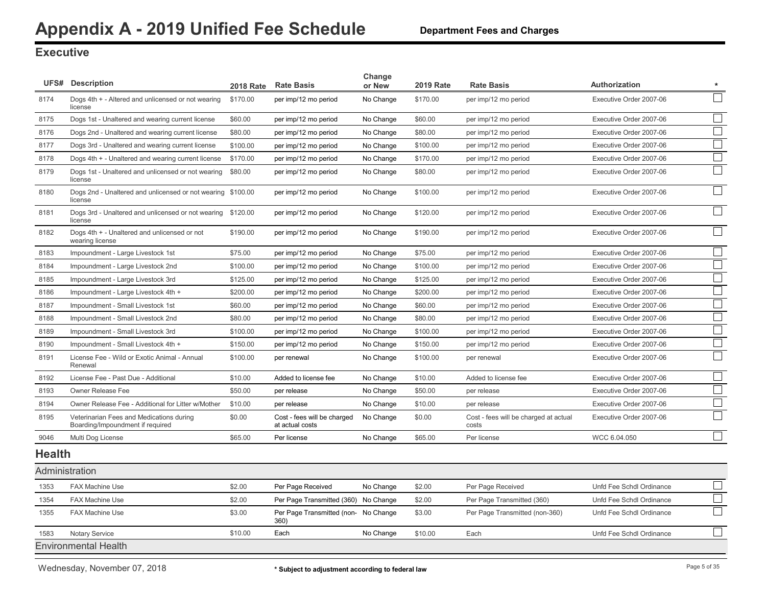### <span id="page-5-0"></span>**Executive**

|                | <b>UFS# Description</b>                                                      | <b>2018 Rate</b> | <b>Rate Basis</b>                              | Change<br>or New | <b>2019 Rate</b> | <b>Rate Basis</b>                              | Authorization            | $\star$ |
|----------------|------------------------------------------------------------------------------|------------------|------------------------------------------------|------------------|------------------|------------------------------------------------|--------------------------|---------|
| 8174           | Dogs 4th + - Altered and unlicensed or not wearing<br>license                | \$170.00         | per imp/12 mo period                           | No Change        | \$170.00         | per imp/12 mo period                           | Executive Order 2007-06  |         |
| 8175           | Dogs 1st - Unaltered and wearing current license                             | \$60.00          | per imp/12 mo period                           | No Change        | \$60.00          | per imp/12 mo period                           | Executive Order 2007-06  | $\Box$  |
| 8176           | Dogs 2nd - Unaltered and wearing current license                             | \$80.00          | per imp/12 mo period                           | No Change        | \$80.00          | per imp/12 mo period                           | Executive Order 2007-06  | $\Box$  |
| 8177           | Dogs 3rd - Unaltered and wearing current license                             | \$100.00         | per imp/12 mo period                           | No Change        | \$100.00         | per imp/12 mo period                           | Executive Order 2007-06  | $\Box$  |
| 8178           | Dogs 4th + - Unaltered and wearing current license                           | \$170.00         | per imp/12 mo period                           | No Change        | \$170.00         | per imp/12 mo period                           | Executive Order 2007-06  | $\Box$  |
| 8179           | Dogs 1st - Unaltered and unlicensed or not wearing<br>license                | \$80.00          | per imp/12 mo period                           | No Change        | \$80.00          | per imp/12 mo period                           | Executive Order 2007-06  | $\Box$  |
| 8180           | Dogs 2nd - Unaltered and unlicensed or not wearing \$100.00<br>license       |                  | per imp/12 mo period                           | No Change        | \$100.00         | per imp/12 mo period                           | Executive Order 2007-06  |         |
| 8181           | Dogs 3rd - Unaltered and unlicensed or not wearing \$120.00<br>license       |                  | per imp/12 mo period                           | No Change        | \$120.00         | per imp/12 mo period                           | Executive Order 2007-06  | $\Box$  |
| 8182           | Dogs 4th + - Unaltered and unlicensed or not<br>wearing license              | \$190.00         | per imp/12 mo period                           | No Change        | \$190.00         | per imp/12 mo period                           | Executive Order 2007-06  | $\Box$  |
| 8183           | Impoundment - Large Livestock 1st                                            | \$75.00          | per imp/12 mo period                           | No Change        | \$75.00          | per imp/12 mo period                           | Executive Order 2007-06  |         |
| 8184           | Impoundment - Large Livestock 2nd                                            | \$100.00         | per imp/12 mo period                           | No Change        | \$100.00         | per imp/12 mo period                           | Executive Order 2007-06  |         |
| 8185           | Impoundment - Large Livestock 3rd                                            | \$125.00         | per imp/12 mo period                           | No Change        | \$125.00         | per imp/12 mo period                           | Executive Order 2007-06  |         |
| 8186           | Impoundment - Large Livestock 4th +                                          | \$200.00         | per imp/12 mo period                           | No Change        | \$200.00         | per imp/12 mo period                           | Executive Order 2007-06  |         |
| 8187           | Impoundment - Small Livestock 1st                                            | \$60.00          | per imp/12 mo period                           | No Change        | \$60.00          | per imp/12 mo period                           | Executive Order 2007-06  |         |
| 8188           | Impoundment - Small Livestock 2nd                                            | \$80.00          | per imp/12 mo period                           | No Change        | \$80.00          | per imp/12 mo period                           | Executive Order 2007-06  | $\Box$  |
| 8189           | Impoundment - Small Livestock 3rd                                            | \$100.00         | per imp/12 mo period                           | No Change        | \$100.00         | per imp/12 mo period                           | Executive Order 2007-06  | $\Box$  |
| 8190           | Impoundment - Small Livestock 4th +                                          | \$150.00         | per imp/12 mo period                           | No Change        | \$150.00         | per imp/12 mo period                           | Executive Order 2007-06  | $\Box$  |
| 8191           | License Fee - Wild or Exotic Animal - Annual<br>Renewal                      | \$100.00         | per renewal                                    | No Change        | \$100.00         | per renewal                                    | Executive Order 2007-06  | $\Box$  |
| 8192           | License Fee - Past Due - Additional                                          | \$10.00          | Added to license fee                           | No Change        | \$10.00          | Added to license fee                           | Executive Order 2007-06  |         |
| 8193           | Owner Release Fee                                                            | \$50.00          | per release                                    | No Change        | \$50.00          | per release                                    | Executive Order 2007-06  |         |
| 8194           | Owner Release Fee - Additional for Litter w/Mother                           | \$10.00          | per release                                    | No Change        | \$10.00          | per release                                    | Executive Order 2007-06  |         |
| 8195           | Veterinarian Fees and Medications during<br>Boarding/Impoundment if required | \$0.00           | Cost - fees will be charged<br>at actual costs | No Change        | \$0.00           | Cost - fees will be charged at actual<br>costs | Executive Order 2007-06  | $\Box$  |
| 9046           | Multi Dog License                                                            | \$65.00          | Per license                                    | No Change        | \$65.00          | Per license                                    | WCC 6.04.050             | $\Box$  |
| <b>Health</b>  |                                                                              |                  |                                                |                  |                  |                                                |                          |         |
| Administration |                                                                              |                  |                                                |                  |                  |                                                |                          |         |
| 1353           | <b>FAX Machine Use</b>                                                       | \$2.00           | Per Page Received                              | No Change        | \$2.00           | Per Page Received                              | Unfd Fee Schdl Ordinance |         |
| 1354           | <b>FAX Machine Use</b>                                                       | \$2.00           | Per Page Transmitted (360)                     | No Change        | \$2.00           | Per Page Transmitted (360)                     | Unfd Fee Schdl Ordinance |         |
| 1355           | <b>FAX Machine Use</b>                                                       | \$3.00           | Per Page Transmitted (non- No Change<br>360)   |                  | \$3.00           | Per Page Transmitted (non-360)                 | Unfd Fee Schdl Ordinance |         |
| 1583           | <b>Notary Service</b>                                                        | \$10.00          | Each                                           | No Change        | \$10.00          | Each                                           | Unfd Fee Schdl Ordinance | $\Box$  |
|                | <b>Environmental Health</b>                                                  |                  |                                                |                  |                  |                                                |                          |         |

Wednesday, November 07, 2018 **Page 5 of 35 \*** Subject to adjustment according to federal law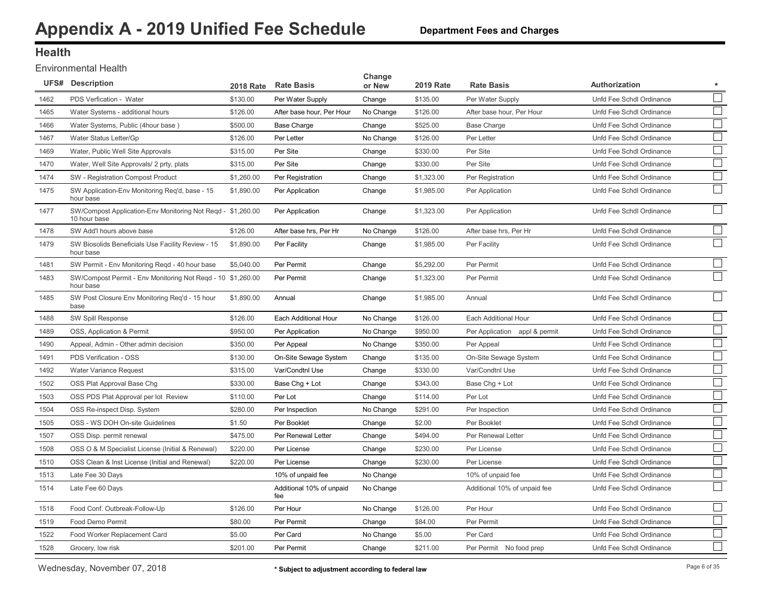### **Health**

#### Environmental Health

|      | <b>UFS# Description</b>                                                     | <b>2018 Rate</b> | <b>Rate Basis</b>               | Change<br>or New | <b>2019 Rate</b> | <b>Rate Basis</b>             | <b>Authorization</b><br>$\star$                         |
|------|-----------------------------------------------------------------------------|------------------|---------------------------------|------------------|------------------|-------------------------------|---------------------------------------------------------|
| 1462 | PDS Verfication - Water                                                     | \$130.00         | Per Water Supply                | Change           | \$135.00         | Per Water Supply              | Unfd Fee Schdl Ordinance<br>$\overline{\phantom{a}}$    |
| 1465 | Water Systems - additional hours                                            | \$126.00         | After base hour, Per Hour       | No Change        | \$126.00         | After base hour, Per Hour     | $\mathcal{L}_{\mathcal{A}}$<br>Unfd Fee Schdl Ordinance |
| 1466 | Water Systems, Public (4hour base)                                          | \$500.00         | <b>Base Charge</b>              | Change           | \$525.00         | <b>Base Charge</b>            | $\mathcal{L}_{\mathcal{A}}$<br>Unfd Fee Schdl Ordinance |
| 1467 | Water Status Letter/Gp                                                      | \$126.00         | Per Letter                      | No Change        | \$126.00         | Per Letter                    | $\mathcal{L}_{\mathcal{A}}$<br>Unfd Fee Schdl Ordinance |
| 1469 | Water, Public Well Site Approvals                                           | \$315.00         | Per Site                        | Change           | \$330.00         | Per Site                      | $\mathbb{R}^n$<br>Unfd Fee Schdl Ordinance              |
| 1470 | Water, Well Site Approvals/ 2 prty, plats                                   | \$315.00         | Per Site                        | Change           | \$330.00         | Per Site                      | Unfd Fee Schdl Ordinance                                |
| 1474 | SW - Registration Compost Product                                           | \$1,260.00       | Per Registration                | Change           | \$1,323.00       | Per Registration              | $\mathcal{L}^{\mathcal{A}}$<br>Unfd Fee Schdl Ordinance |
| 1475 | SW Application-Env Monitoring Reg'd, base - 15<br>hour base                 | \$1,890.00       | Per Application                 | Change           | \$1,985.00       | Per Application               | Unfd Fee Schdl Ordinance                                |
| 1477 | SW/Compost Application-Env Monitoring Not Reqd - \$1,260.00<br>10 hour base |                  | Per Application                 | Change           | \$1,323.00       | Per Application               | $\mathcal{L}$<br>Unfd Fee Schdl Ordinance               |
| 1478 | SW Add'l hours above base                                                   | \$126.00         | After base hrs, Per Hr          | No Change        | \$126.00         | After base hrs, Per Hr        | Unfd Fee Schdl Ordinance                                |
| 1479 | SW Biosolids Beneficials Use Facility Review - 15<br>hour base              | \$1,890.00       | Per Facility                    | Change           | \$1,985.00       | Per Facility                  | $\mathcal{L}_{\mathcal{A}}$<br>Unfd Fee Schdl Ordinance |
| 1481 | SW Permit - Env Monitoring Regd - 40 hour base                              | \$5,040.00       | Per Permit                      | Change           | \$5,292.00       | Per Permit                    | Unfd Fee Schdl Ordinance                                |
| 1483 | SW/Compost Permit - Env Monitoring Not Regd - 10 \$1,260.00<br>hour base    |                  | Per Permit                      | Change           | \$1,323.00       | Per Permit                    | Unfd Fee Schdl Ordinance                                |
| 1485 | SW Post Closure Env Monitoring Reg'd - 15 hour<br>base                      | \$1,890.00       | Annual                          | Change           | \$1,985.00       | Annual                        | Unfd Fee Schdl Ordinance                                |
| 1488 | SW Spill Response                                                           | \$126.00         | Each Additional Hour            | No Change        | \$126.00         | Each Additional Hour          | $\sim$<br>Unfd Fee Schdl Ordinance                      |
| 1489 | OSS, Application & Permit                                                   | \$950.00         | Per Application                 | No Change        | \$950.00         | Per Application appl & permit | Unfd Fee Schdl Ordinance                                |
| 1490 | Appeal, Admin - Other admin decision                                        | \$350.00         | Per Appeal                      | No Change        | \$350.00         | Per Appeal                    | Unfd Fee Schdl Ordinance                                |
| 1491 | PDS Verification - OSS                                                      | \$130.00         | On-Site Sewage System           | Change           | \$135.00         | On-Site Sewage System         | Unfd Fee Schdl Ordinance                                |
| 1492 | <b>Water Variance Request</b>                                               | \$315.00         | Var/Condtnl Use                 | Change           | \$330.00         | Var/Condtnl Use               | Unfd Fee Schdl Ordinance                                |
| 1502 | OSS Plat Approval Base Chg                                                  | \$330.00         | Base Chg + Lot                  | Change           | \$343.00         | Base Chg + Lot                | Unfd Fee Schdl Ordinance                                |
| 1503 | OSS PDS Plat Approval per lot Review                                        | \$110.00         | Per Lot                         | Change           | \$114.00         | Per Lot                       | Unfd Fee Schdl Ordinance                                |
| 1504 | OSS Re-inspect Disp. System                                                 | \$280.00         | Per Inspection                  | No Change        | \$291.00         | Per Inspection                | Unfd Fee Schdl Ordinance                                |
| 1505 | OSS - WS DOH On-site Guidelines                                             | \$1.50           | Per Booklet                     | Change           | \$2.00           | Per Booklet                   | Unfd Fee Schdl Ordinance                                |
| 1507 | OSS Disp. permit renewal                                                    | \$475.00         | Per Renewal Letter              | Change           | \$494.00         | Per Renewal Letter            | Unfd Fee Schdl Ordinance                                |
| 1508 | OSS O & M Specialist License (Initial & Renewal)                            | \$220.00         | Per License                     | Change           | \$230.00         | Per License                   | Unfd Fee Schdl Ordinance                                |
| 1510 | OSS Clean & Inst License (Initial and Renewal)                              | \$220.00         | Per License                     | Change           | \$230.00         | Per License                   | $\mathbb{R}^2$<br>Unfd Fee Schdl Ordinance              |
| 1513 | Late Fee 30 Days                                                            |                  | 10% of unpaid fee               | No Change        |                  | 10% of unpaid fee             | $\mathcal{L}_{\mathcal{A}}$<br>Unfd Fee Schdl Ordinance |
| 1514 | Late Fee 60 Days                                                            |                  | Additional 10% of unpaid<br>fee | No Change        |                  | Additional 10% of unpaid fee  | Unfd Fee Schdl Ordinance                                |
| 1518 | Food Conf. Outbreak-Follow-Up                                               | \$126.00         | Per Hour                        | No Change        | \$126.00         | Per Hour                      | Unfd Fee Schdl Ordinance                                |
| 1519 | Food Demo Permit                                                            | \$80.00          | Per Permit                      | Change           | \$84.00          | Per Permit                    | $\mathcal{L}^{\mathcal{L}}$<br>Unfd Fee Schdl Ordinance |
| 1522 | Food Worker Replacement Card                                                | \$5.00           | Per Card                        | No Change        | \$5.00           | Per Card                      | $\mathcal{L}_{\mathcal{A}}$<br>Unfd Fee Schdl Ordinance |
| 1528 | Grocery, low risk                                                           | \$201.00         | Per Permit                      | Change           | \$211.00         | Per Permit No food prep       | Unfd Fee Schdl Ordinance                                |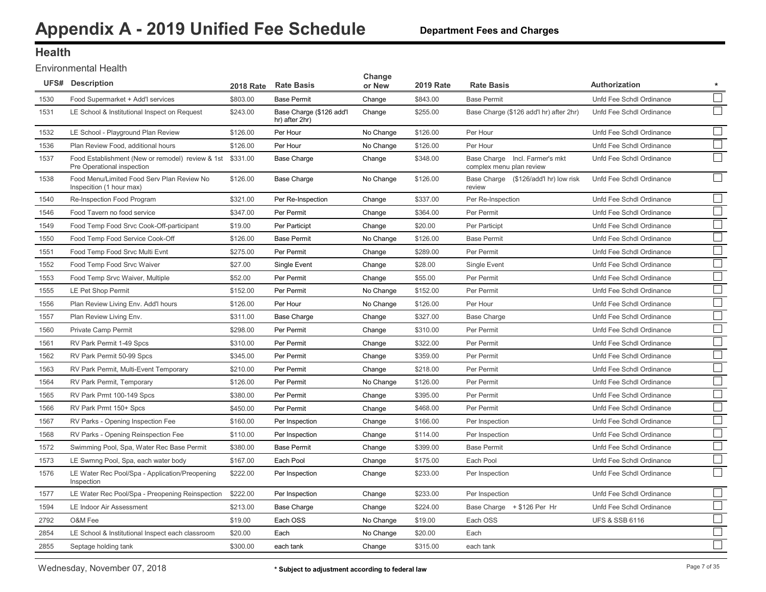#### **Department Fees and Charges**

#### **Health**

Environmental Health

|      | <b>UFS# Description</b>                                                                 | <b>2018 Rate</b> | <b>Rate Basis</b>                          | Change<br>or New | <b>2019 Rate</b> | <b>Rate Basis</b>                                          | Authorization<br>$\star$                                |
|------|-----------------------------------------------------------------------------------------|------------------|--------------------------------------------|------------------|------------------|------------------------------------------------------------|---------------------------------------------------------|
| 1530 | Food Supermarket + Add'l services                                                       | \$803.00         | <b>Base Permit</b>                         | Change           | \$843.00         | <b>Base Permit</b>                                         | Unfd Fee Schdl Ordinance                                |
| 1531 | LE School & Institutional Inspect on Request                                            | \$243.00         | Base Charge (\$126 add'l<br>hr) after 2hr) | Change           | \$255.00         | Base Charge (\$126 add'l hr) after 2hr)                    | Unfd Fee Schdl Ordinance                                |
| 1532 | LE School - Playground Plan Review                                                      | \$126.00         | Per Hour                                   | No Change        | \$126.00         | Per Hour                                                   | Unfd Fee Schdl Ordinance                                |
| 1536 | Plan Review Food, additional hours                                                      | \$126.00         | Per Hour                                   | No Change        | \$126.00         | Per Hour                                                   | $\mathcal{L}_{\mathcal{A}}$<br>Unfd Fee Schdl Ordinance |
| 1537 | Food Establishment (New or remodel) review & 1st \$331.00<br>Pre Operational inspection |                  | <b>Base Charge</b>                         | Change           | \$348.00         | Base Charge Incl. Farmer's mkt<br>complex menu plan review | Unfd Fee Schdl Ordinance                                |
| 1538 | Food Menu/Limited Food Serv Plan Review No<br>Inspecition (1 hour max)                  | \$126.00         | <b>Base Charge</b>                         | No Change        | \$126.00         | Base Charge (\$126/add'l hr) low risk<br>review            | Unfd Fee Schdl Ordinance                                |
| 1540 | Re-Inspection Food Program                                                              | \$321.00         | Per Re-Inspection                          | Change           | \$337.00         | Per Re-Inspection                                          | Unfd Fee Schdl Ordinance                                |
| 1546 | Food Tavern no food service                                                             | \$347.00         | Per Permit                                 | Change           | \$364.00         | Per Permit                                                 | Unfd Fee Schdl Ordinance                                |
| 1549 | Food Temp Food Srvc Cook-Off-participant                                                | \$19.00          | Per Participt                              | Change           | \$20.00          | Per Participt                                              | Unfd Fee Schdl Ordinance                                |
| 1550 | Food Temp Food Service Cook-Off                                                         | \$126.00         | <b>Base Permit</b>                         | No Change        | \$126.00         | <b>Base Permit</b>                                         | Unfd Fee Schdl Ordinance                                |
| 1551 | Food Temp Food Srvc Multi Evnt                                                          | \$275.00         | Per Permit                                 | Change           | \$289.00         | Per Permit                                                 | Unfd Fee Schdl Ordinance                                |
| 1552 | Food Temp Food Srvc Waiver                                                              | \$27.00          | Single Event                               | Change           | \$28.00          | Single Event                                               | Unfd Fee Schdl Ordinance                                |
| 1553 | Food Temp Srvc Waiver, Multiple                                                         | \$52.00          | Per Permit                                 | Change           | \$55.00          | Per Permit                                                 | $\mathbb{R}^2$<br>Unfd Fee Schdl Ordinance              |
| 1555 | LE Pet Shop Permit                                                                      | \$152.00         | Per Permit                                 | No Change        | \$152.00         | Per Permit                                                 | $\mathcal{L}$<br>Unfd Fee Schdl Ordinance               |
| 1556 | Plan Review Living Env. Add'l hours                                                     | \$126.00         | Per Hour                                   | No Change        | \$126.00         | Per Hour                                                   | $\mathbb{R}^2$<br>Unfd Fee Schdl Ordinance              |
| 1557 | Plan Review Living Env.                                                                 | \$311.00         | <b>Base Charge</b>                         | Change           | \$327.00         | <b>Base Charge</b>                                         | Unfd Fee Schdl Ordinance                                |
| 1560 | Private Camp Permit                                                                     | \$298.00         | Per Permit                                 | Change           | \$310.00         | Per Permit                                                 | $\mathcal{L}^{\mathcal{A}}$<br>Unfd Fee Schdl Ordinance |
| 1561 | RV Park Permit 1-49 Spcs                                                                | \$310.00         | Per Permit                                 | Change           | \$322.00         | Per Permit                                                 | Unfd Fee Schdl Ordinance                                |
| 1562 | RV Park Permit 50-99 Spcs                                                               | \$345.00         | Per Permit                                 | Change           | \$359.00         | Per Permit                                                 | Unfd Fee Schdl Ordinance                                |
| 1563 | RV Park Permit, Multi-Event Temporary                                                   | \$210.00         | Per Permit                                 | Change           | \$218.00         | Per Permit                                                 | Unfd Fee Schdl Ordinance                                |
| 1564 | RV Park Permit, Temporary                                                               | \$126.00         | Per Permit                                 | No Change        | \$126.00         | Per Permit                                                 | Unfd Fee Schdl Ordinance                                |
| 1565 | RV Park Prmt 100-149 Spcs                                                               | \$380.00         | Per Permit                                 | Change           | \$395.00         | Per Permit                                                 | Unfd Fee Schdl Ordinance                                |
| 1566 | RV Park Prmt 150+ Spcs                                                                  | \$450.00         | Per Permit                                 | Change           | \$468.00         | Per Permit                                                 | Unfd Fee Schdl Ordinance                                |
| 1567 | RV Parks - Opening Inspection Fee                                                       | \$160.00         | Per Inspection                             | Change           | \$166.00         | Per Inspection                                             | Unfd Fee Schdl Ordinance                                |
| 1568 | RV Parks - Opening Reinspection Fee                                                     | \$110.00         | Per Inspection                             | Change           | \$114.00         | Per Inspection                                             | Unfd Fee Schdl Ordinance                                |
| 1572 | Swimming Pool, Spa, Water Rec Base Permit                                               | \$380.00         | <b>Base Permit</b>                         | Change           | \$399.00         | <b>Base Permit</b>                                         | Unfd Fee Schdl Ordinance                                |
| 1573 | LE Swmng Pool, Spa, each water body                                                     | \$167.00         | Each Pool                                  | Change           | \$175.00         | Each Pool                                                  | Unfd Fee Schdl Ordinance                                |
| 1576 | LE Water Rec Pool/Spa - Application/Preopening<br>Inspection                            | \$222.00         | Per Inspection                             | Change           | \$233.00         | Per Inspection                                             | Unfd Fee Schdl Ordinance                                |
| 1577 | LE Water Rec Pool/Spa - Preopening Reinspection                                         | \$222.00         | Per Inspection                             | Change           | \$233.00         | Per Inspection                                             | Unfd Fee Schdl Ordinance                                |
| 1594 | LE Indoor Air Assessment                                                                | \$213.00         | <b>Base Charge</b>                         | Change           | \$224.00         | Base Charge + \$126 Per Hr                                 | $\mathcal{L}^{\mathcal{L}}$<br>Unfd Fee Schdl Ordinance |
| 2792 | O&M Fee                                                                                 | \$19.00          | Each OSS                                   | No Change        | \$19.00          | Each OSS                                                   | <b>UFS &amp; SSB 6116</b>                               |
| 2854 | LE School & Institutional Inspect each classroom                                        | \$20.00          | Each                                       | No Change        | \$20.00          | Each                                                       |                                                         |
| 2855 | Septage holding tank                                                                    | \$300.00         | each tank                                  | Change           | \$315.00         | each tank                                                  |                                                         |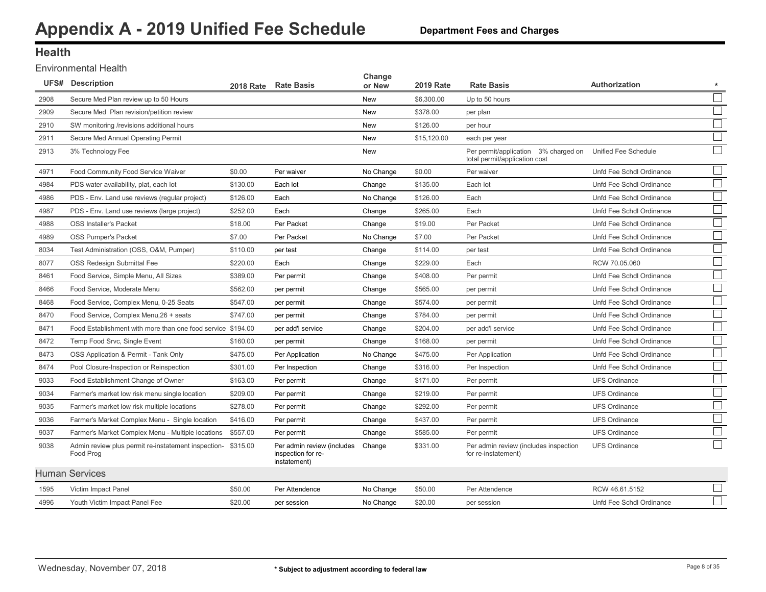### **Health**

Environmental Health

|      | <b>UFS#</b> Description                                          | 2018 Rate | <b>Rate Basis</b>                                                | Change<br>or New | <b>2019 Rate</b> | <b>Rate Basis</b>                                                                          | <b>Authorization</b>     |  |
|------|------------------------------------------------------------------|-----------|------------------------------------------------------------------|------------------|------------------|--------------------------------------------------------------------------------------------|--------------------------|--|
| 2908 | Secure Med Plan review up to 50 Hours                            |           |                                                                  | <b>New</b>       | \$6,300.00       | Up to 50 hours                                                                             |                          |  |
| 2909 | Secure Med Plan revision/petition review                         |           |                                                                  | <b>New</b>       | \$378.00         | per plan                                                                                   |                          |  |
| 2910 | SW monitoring /revisions additional hours                        |           |                                                                  | <b>New</b>       | \$126.00         | per hour                                                                                   |                          |  |
| 2911 | Secure Med Annual Operating Permit                               |           |                                                                  | <b>New</b>       | \$15,120.00      | each per year                                                                              |                          |  |
| 2913 | 3% Technology Fee                                                |           |                                                                  | <b>New</b>       |                  | Per permit/application 3% charged on Unified Fee Schedule<br>total permit/application cost |                          |  |
| 4971 | Food Community Food Service Waiver                               | \$0.00    | Per waiver                                                       | No Change        | \$0.00           | Per waiver                                                                                 | Unfd Fee Schdl Ordinance |  |
| 4984 | PDS water availability, plat, each lot                           | \$130.00  | Each lot                                                         | Change           | \$135.00         | Each lot                                                                                   | Unfd Fee Schdl Ordinance |  |
| 4986 | PDS - Env. Land use reviews (regular project)                    | \$126.00  | Each                                                             | No Change        | \$126.00         | Each                                                                                       | Unfd Fee Schdl Ordinance |  |
| 4987 | PDS - Env. Land use reviews (large project)                      | \$252.00  | Each                                                             | Change           | \$265.00         | Each                                                                                       | Unfd Fee Schdl Ordinance |  |
| 4988 | <b>OSS Installer's Packet</b>                                    | \$18.00   | Per Packet                                                       | Change           | \$19.00          | Per Packet                                                                                 | Unfd Fee Schdl Ordinance |  |
| 4989 | <b>OSS Pumper's Packet</b>                                       | \$7.00    | Per Packet                                                       | No Change        | \$7.00           | Per Packet                                                                                 | Unfd Fee Schdl Ordinance |  |
| 8034 | Test Administration (OSS, O&M, Pumper)                           | \$110.00  | per test                                                         | Change           | \$114.00         | per test                                                                                   | Unfd Fee Schdl Ordinance |  |
| 8077 | OSS Redesign Submittal Fee                                       | \$220.00  | Each                                                             | Change           | \$229.00         | Each                                                                                       | RCW 70.05.060            |  |
| 8461 | Food Service, Simple Menu, All Sizes                             | \$389.00  | Per permit                                                       | Change           | \$408.00         | Per permit                                                                                 | Unfd Fee Schdl Ordinance |  |
| 8466 | Food Service, Moderate Menu                                      | \$562.00  | per permit                                                       | Change           | \$565.00         | per permit                                                                                 | Unfd Fee Schdl Ordinance |  |
| 8468 | Food Service, Complex Menu, 0-25 Seats                           | \$547.00  | per permit                                                       | Change           | \$574.00         | per permit                                                                                 | Unfd Fee Schdl Ordinance |  |
| 8470 | Food Service, Complex Menu, 26 + seats                           | \$747.00  | per permit                                                       | Change           | \$784.00         | per permit                                                                                 | Unfd Fee Schdl Ordinance |  |
| 8471 | Food Establishment with more than one food service \$194.00      |           | per add'l service                                                | Change           | \$204.00         | per add'l service                                                                          | Unfd Fee Schdl Ordinance |  |
| 8472 | Temp Food Srvc, Single Event                                     | \$160.00  | per permit                                                       | Change           | \$168.00         | per permit                                                                                 | Unfd Fee Schdl Ordinance |  |
| 8473 | OSS Application & Permit - Tank Only                             | \$475.00  | Per Application                                                  | No Change        | \$475.00         | Per Application                                                                            | Unfd Fee Schdl Ordinance |  |
| 8474 | Pool Closure-Inspection or Reinspection                          | \$301.00  | Per Inspection                                                   | Change           | \$316.00         | Per Inspection                                                                             | Unfd Fee Schdl Ordinance |  |
| 9033 | Food Establishment Change of Owner                               | \$163.00  | Per permit                                                       | Change           | \$171.00         | Per permit                                                                                 | <b>UFS Ordinance</b>     |  |
| 9034 | Farmer's market low risk menu single location                    | \$209.00  | Per permit                                                       | Change           | \$219.00         | Per permit                                                                                 | <b>UFS Ordinance</b>     |  |
| 9035 | Farmer's market low risk multiple locations                      | \$278.00  | Per permit                                                       | Change           | \$292.00         | Per permit                                                                                 | <b>UFS Ordinance</b>     |  |
| 9036 | Farmer's Market Complex Menu - Single location                   | \$416.00  | Per permit                                                       | Change           | \$437.00         | Per permit                                                                                 | <b>UFS Ordinance</b>     |  |
| 9037 | Farmer's Market Complex Menu - Multiple locations                | \$557.00  | Per permit                                                       | Change           | \$585.00         | Per permit                                                                                 | <b>UFS Ordinance</b>     |  |
| 9038 | Admin review plus permit re-instatement inspection-<br>Food Prog | \$315.00  | Per admin review (includes<br>inspection for re-<br>instatement) | Change           | \$331.00         | Per admin review (includes inspection<br>for re-instatement)                               | <b>UFS Ordinance</b>     |  |
|      | <b>Human Services</b>                                            |           |                                                                  |                  |                  |                                                                                            |                          |  |
| 1595 | Victim Impact Panel                                              | \$50.00   | Per Attendence                                                   | No Change        | \$50.00          | Per Attendence                                                                             | RCW 46.61.5152           |  |
| 4996 | Youth Victim Impact Panel Fee                                    | \$20.00   | per session                                                      | No Change        | \$20.00          | per session                                                                                | Unfd Fee Schdl Ordinance |  |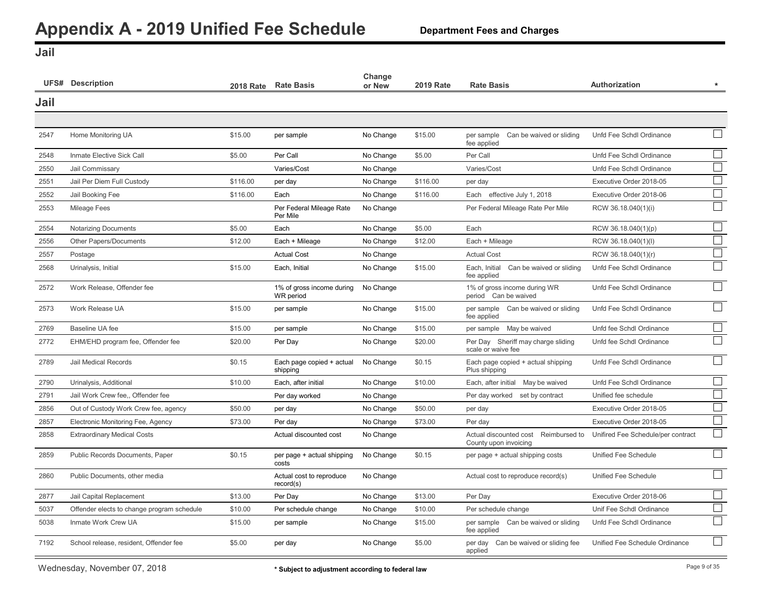**Department Fees and Charges**

<span id="page-9-0"></span>**Jail**

|      | <b>UFS# Description</b>                    |          | 2018 Rate Rate Basis                   | Change<br>or New | <b>2019 Rate</b> | <b>Rate Basis</b>                                             | Authorization                      |                             |
|------|--------------------------------------------|----------|----------------------------------------|------------------|------------------|---------------------------------------------------------------|------------------------------------|-----------------------------|
| Jail |                                            |          |                                        |                  |                  |                                                               |                                    |                             |
|      |                                            |          |                                        |                  |                  |                                                               |                                    |                             |
| 2547 | Home Monitoring UA                         | \$15.00  | per sample                             | No Change        | \$15.00          | Can be waived or sliding<br>per sample<br>fee applied         | Unfd Fee Schdl Ordinance           | $\mathbf{L}$                |
| 2548 | Inmate Elective Sick Call                  | \$5.00   | Per Call                               | No Change        | \$5.00           | Per Call                                                      | Unfd Fee Schdl Ordinance           |                             |
| 2550 | Jail Commissary                            |          | Varies/Cost                            | No Change        |                  | Varies/Cost                                                   | Unfd Fee Schdl Ordinance           | $\Box$                      |
| 2551 | Jail Per Diem Full Custody                 | \$116.00 | per day                                | No Change        | \$116.00         | per day                                                       | Executive Order 2018-05            | $\Box$                      |
| 2552 | Jail Booking Fee                           | \$116.00 | Each                                   | No Change        | \$116.00         | Each effective July 1, 2018                                   | Executive Order 2018-06            | $\Box$                      |
| 2553 | <b>Mileage Fees</b>                        |          | Per Federal Mileage Rate<br>Per Mile   | No Change        |                  | Per Federal Mileage Rate Per Mile                             | RCW 36.18.040(1)(i)                |                             |
| 2554 | <b>Notarizing Documents</b>                | \$5.00   | Each                                   | No Change        | \$5.00           | Each                                                          | RCW 36.18.040(1)(p)                | $\overline{\phantom{a}}$    |
| 2556 | Other Papers/Documents                     | \$12.00  | Each + Mileage                         | No Change        | \$12.00          | Each + Mileage                                                | RCW 36.18.040(1)(l)                |                             |
| 2557 | Postage                                    |          | <b>Actual Cost</b>                     | No Change        |                  | <b>Actual Cost</b>                                            | RCW 36.18.040(1)(r)                | $\Box$                      |
| 2568 | Urinalysis, Initial                        | \$15.00  | Each, Initial                          | No Change        | \$15.00          | Each, Initial<br>Can be waived or sliding<br>fee applied      | Unfd Fee Schdl Ordinance           | $\mathcal{L}_{\mathcal{A}}$ |
| 2572 | Work Release, Offender fee                 |          | 1% of gross income during<br>WR period | No Change        |                  | 1% of gross income during WR<br>period Can be waived          | Unfd Fee Schdl Ordinance           |                             |
| 2573 | Work Release UA                            | \$15.00  | per sample                             | No Change        | \$15.00          | per sample Can be waived or sliding<br>fee applied            | Unfd Fee Schdl Ordinance           |                             |
| 2769 | Baseline UA fee                            | \$15.00  | per sample                             | No Change        | \$15.00          | per sample May be waived                                      | Unfd fee Schdl Ordinance           |                             |
| 2772 | EHM/EHD program fee, Offender fee          | \$20.00  | Per Day                                | No Change        | \$20.00          | Per Day Sheriff may charge sliding<br>scale or waive fee      | Unfd fee Schdl Ordinance           |                             |
| 2789 | Jail Medical Records                       | \$0.15   | Each page copied + actual<br>shipping  | No Change        | \$0.15           | Each page copied + actual shipping<br>Plus shipping           | Unfd Fee Schdl Ordinance           |                             |
| 2790 | Urinalysis, Additional                     | \$10.00  | Each, after initial                    | No Change        | \$10.00          | Each, after initial<br>May be waived                          | Unfd Fee Schdl Ordinance           |                             |
| 2791 | Jail Work Crew fee., Offender fee          |          | Per day worked                         | No Change        |                  | Per day worked set by contract                                | Unified fee schedule               | $\overline{\phantom{a}}$    |
| 2856 | Out of Custody Work Crew fee, agency       | \$50.00  | per day                                | No Change        | \$50.00          | per day                                                       | Executive Order 2018-05            | $\overline{\phantom{a}}$    |
| 2857 | Electronic Monitoring Fee, Agency          | \$73.00  | Per day                                | No Change        | \$73.00          | Per day                                                       | Executive Order 2018-05            |                             |
| 2858 | <b>Extraordinary Medical Costs</b>         |          | Actual discounted cost                 | No Change        |                  | Actual discounted cost Reimbursed to<br>County upon invoicing | Unifired Fee Schedule/per contract | $\Box$                      |
| 2859 | Public Records Documents, Paper            | \$0.15   | per page + actual shipping<br>costs    | No Change        | \$0.15           | per page + actual shipping costs                              | Unified Fee Schedule               |                             |
| 2860 | Public Documents, other media              |          | Actual cost to reproduce<br>record(s)  | No Change        |                  | Actual cost to reproduce record(s)                            | Unified Fee Schedule               |                             |
| 2877 | Jail Capital Replacement                   | \$13.00  | Per Day                                | No Change        | \$13.00          | Per Day                                                       | Executive Order 2018-06            | $\Box$                      |
| 5037 | Offender elects to change program schedule | \$10.00  | Per schedule change                    | No Change        | \$10.00          | Per schedule change                                           | Unif Fee Schdl Ordinance           | $\Box$                      |
| 5038 | Inmate Work Crew UA                        | \$15.00  | per sample                             | No Change        | \$15.00          | per sample Can be waived or sliding<br>fee applied            | Unfd Fee Schdl Ordinance           | $\Box$                      |
| 7192 | School release, resident, Offender fee     | \$5.00   | per day                                | No Change        | \$5.00           | per day Can be waived or sliding fee<br>applied               | Unified Fee Schedule Ordinance     |                             |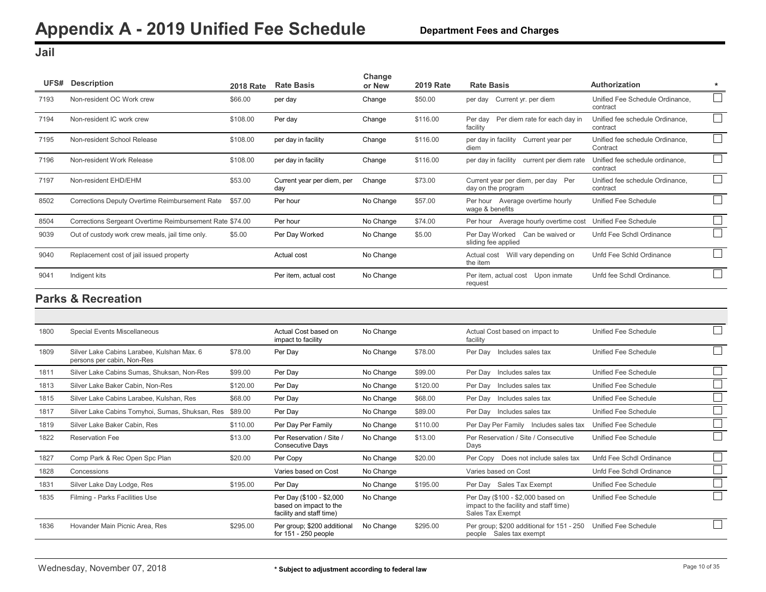<span id="page-10-0"></span>**Jail**

|      | UFS# Description                                         | <b>2018 Rate</b> | <b>Rate Basis</b>                 | Change<br>or New | <b>2019 Rate</b> | <b>Rate Basis</b>                                         | Authorization                               | $\star$ |
|------|----------------------------------------------------------|------------------|-----------------------------------|------------------|------------------|-----------------------------------------------------------|---------------------------------------------|---------|
| 7193 | Non-resident OC Work crew                                | \$66.00          | per day                           | Change           | \$50.00          | per day Current yr. per diem                              | Unified Fee Schedule Ordinance.<br>contract |         |
| 7194 | Non-resident IC work crew                                | \$108.00         | Per day                           | Change           | \$116.00         | Per diem rate for each day in<br>Per day<br>facility      | Unified fee schedule Ordinance,<br>contract |         |
| 7195 | Non-resident School Release                              | \$108.00         | per day in facility               | Change           | \$116.00         | per day in facility<br>Current year per<br>diem           | Unified fee schedule Ordinance.<br>Contract |         |
| 7196 | Non-resident Work Release                                | \$108.00         | per day in facility               | Change           | \$116.00         | per day in facility<br>current per diem rate              | Unified fee schedule ordinance,<br>contract |         |
| 7197 | Non-resident EHD/EHM                                     | \$53.00          | Current year per diem, per<br>day | Change           | \$73.00          | Current year per diem, per day Per<br>day on the program  | Unified fee schedule Ordinance,<br>contract |         |
| 8502 | Corrections Deputy Overtime Reimbursement Rate           | \$57.00          | Per hour                          | No Change        | \$57.00          | Per hour Average overtime hourly<br>wage & benefits       | Unified Fee Schedule                        |         |
| 8504 | Corrections Sergeant Overtime Reimbursement Rate \$74.00 |                  | Per hour                          | No Change        | \$74.00          | Average hourly overtime cost<br>Per hour                  | Unified Fee Schedule                        |         |
| 9039 | Out of custody work crew meals, jail time only.          | \$5.00           | Per Day Worked                    | No Change        | \$5.00           | Per Day Worked<br>Can be waived or<br>sliding fee applied | Unfd Fee Schdl Ordinance                    |         |
| 9040 | Replacement cost of jail issued property                 |                  | Actual cost                       | No Change        |                  | Will vary depending on<br>Actual cost<br>the <i>item</i>  | Unfd Fee Schld Ordinance                    |         |
| 9041 | Indigent kits                                            |                  | Per item, actual cost             | No Change        |                  | Per item, actual cost<br>Upon inmate<br>request           | Unfd fee Schdl Ordinance.                   |         |

| 1800 | Special Events Miscellaneous                                             |          | Actual Cost based on<br>impact to facility                                     | No Change |          | Actual Cost based on impact to<br>facility                                                      | Unified Fee Schedule     |
|------|--------------------------------------------------------------------------|----------|--------------------------------------------------------------------------------|-----------|----------|-------------------------------------------------------------------------------------------------|--------------------------|
| 1809 | Silver Lake Cabins Larabee, Kulshan Max. 6<br>persons per cabin, Non-Res | \$78.00  | Per Day                                                                        | No Change | \$78.00  | Per Day Includes sales tax                                                                      | Unified Fee Schedule     |
| 1811 | Silver Lake Cabins Sumas, Shuksan, Non-Res                               | \$99.00  | Per Day                                                                        | No Change | \$99.00  | Per Day Includes sales tax                                                                      | Unified Fee Schedule     |
| 1813 | Silver Lake Baker Cabin, Non-Res                                         | \$120.00 | Per Day                                                                        | No Change | \$120.00 | Per Day Includes sales tax                                                                      | Unified Fee Schedule     |
| 1815 | Silver Lake Cabins Larabee, Kulshan, Res                                 | \$68.00  | Per Day                                                                        | No Change | \$68.00  | Per Day Includes sales tax                                                                      | Unified Fee Schedule     |
| 1817 | Silver Lake Cabins Tomyhoi, Sumas, Shuksan, Res                          | \$89.00  | Per Day                                                                        | No Change | \$89.00  | Per Day Includes sales tax                                                                      | Unified Fee Schedule     |
| 1819 | Silver Lake Baker Cabin, Res                                             | \$110.00 | Per Day Per Family                                                             | No Change | \$110.00 | Per Day Per Family Includes sales tax                                                           | Unified Fee Schedule     |
| 1822 | <b>Reservation Fee</b>                                                   | \$13.00  | Per Reservation / Site /<br><b>Consecutive Days</b>                            | No Change | \$13.00  | Per Reservation / Site / Consecutive<br>Days                                                    | Unified Fee Schedule     |
| 1827 | Comp Park & Rec Open Spc Plan                                            | \$20.00  | Per Copy                                                                       | No Change | \$20.00  | Does not include sales tax<br>Per Copy                                                          | Unfd Fee Schdl Ordinance |
| 1828 | Concessions                                                              |          | Varies based on Cost                                                           | No Change |          | Varies based on Cost                                                                            | Unfd Fee Schdl Ordinance |
| 1831 | Silver Lake Day Lodge, Res                                               | \$195.00 | Per Day                                                                        | No Change | \$195.00 | Per Day Sales Tax Exempt                                                                        | Unified Fee Schedule     |
| 1835 | Filming - Parks Facilities Use                                           |          | Per Day (\$100 - \$2,000<br>based on impact to the<br>facility and staff time) | No Change |          | Per Day (\$100 - \$2,000 based on<br>impact to the facility and staff time)<br>Sales Tax Exempt | Unified Fee Schedule     |
| 1836 | Hovander Main Picnic Area, Res                                           | \$295.00 | Per group; \$200 additional<br>for 151 - 250 people                            | No Change | \$295.00 | Per group; \$200 additional for 151 - 250<br>Sales tax exempt<br>people                         | Unified Fee Schedule     |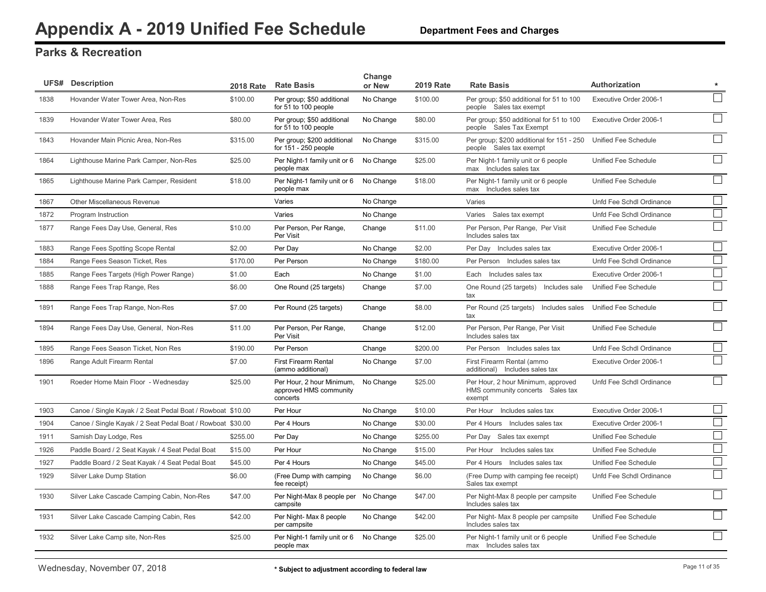|      | <b>UFS# Description</b>                                    | <b>2018 Rate</b> | <b>Rate Basis</b>                                               | Change<br>or New | <b>2019 Rate</b> | <b>Rate Basis</b>                                                                | <b>Authorization</b>     | $\star$                     |
|------|------------------------------------------------------------|------------------|-----------------------------------------------------------------|------------------|------------------|----------------------------------------------------------------------------------|--------------------------|-----------------------------|
| 1838 | Hovander Water Tower Area, Non-Res                         | \$100.00         | Per group; \$50 additional<br>for 51 to 100 people              | No Change        | \$100.00         | Per group; \$50 additional for 51 to 100<br>people Sales tax exempt              | Executive Order 2006-1   |                             |
| 1839 | Hovander Water Tower Area, Res                             | \$80.00          | Per group; \$50 additional<br>for 51 to 100 people              | No Change        | \$80.00          | Per group; \$50 additional for 51 to 100<br>people Sales Tax Exempt              | Executive Order 2006-1   | $\mathbb{R}^2$              |
| 1843 | Hovander Main Picnic Area, Non-Res                         | \$315.00         | Per group; \$200 additional<br>for 151 - 250 people             | No Change        | \$315.00         | Per group; \$200 additional for 151 - 250<br>people Sales tax exempt             | Unified Fee Schedule     |                             |
| 1864 | Lighthouse Marine Park Camper, Non-Res                     | \$25.00          | Per Night-1 family unit or 6 No Change<br>people max            |                  | \$25.00          | Per Night-1 family unit or 6 people<br>max Includes sales tax                    | Unified Fee Schedule     |                             |
| 1865 | Lighthouse Marine Park Camper, Resident                    | \$18.00          | Per Night-1 family unit or 6<br>people max                      | No Change        | \$18.00          | Per Night-1 family unit or 6 people<br>max Includes sales tax                    | Unified Fee Schedule     |                             |
| 1867 | Other Miscellaneous Revenue                                |                  | Varies                                                          | No Change        |                  | Varies                                                                           | Unfd Fee Schdl Ordinance |                             |
| 1872 | Program Instruction                                        |                  | Varies                                                          | No Change        |                  | Varies Sales tax exempt                                                          | Unfd Fee Schdl Ordinance | $\mathcal{L}_{\mathcal{A}}$ |
| 1877 | Range Fees Day Use, General, Res                           | \$10.00          | Per Person, Per Range,<br>Per Visit                             | Change           | \$11.00          | Per Person, Per Range, Per Visit<br>Includes sales tax                           | Unified Fee Schedule     | $\mathcal{L}$               |
| 1883 | Range Fees Spotting Scope Rental                           | \$2.00           | Per Day                                                         | No Change        | \$2.00           | Per Day Includes sales tax                                                       | Executive Order 2006-1   |                             |
| 1884 | Range Fees Season Ticket, Res                              | \$170.00         | Per Person                                                      | No Change        | \$180.00         | Per Person<br>Includes sales tax                                                 | Unfd Fee Schdl Ordinance | $\mathbb{R}^2$              |
| 1885 | Range Fees Targets (High Power Range)                      | \$1.00           | Each                                                            | No Change        | \$1.00           | Includes sales tax<br>Each                                                       | Executive Order 2006-1   | $\mathcal{L}_{\mathcal{A}}$ |
| 1888 | Range Fees Trap Range, Res                                 | \$6.00           | One Round (25 targets)                                          | Change           | \$7.00           | One Round (25 targets) Includes sale<br>tax                                      | Unified Fee Schedule     |                             |
| 1891 | Range Fees Trap Range, Non-Res                             | \$7.00           | Per Round (25 targets)                                          | Change           | \$8.00           | Per Round (25 targets) Includes sales<br>tax                                     | Unified Fee Schedule     |                             |
| 1894 | Range Fees Day Use, General, Non-Res                       | \$11.00          | Per Person, Per Range,<br>Per Visit                             | Change           | \$12.00          | Per Person, Per Range, Per Visit<br>Includes sales tax                           | Unified Fee Schedule     |                             |
| 1895 | Range Fees Season Ticket, Non Res                          | \$190.00         | Per Person                                                      | Change           | \$200.00         | Per Person Includes sales tax                                                    | Unfd Fee Schdl Ordinance | $\mathcal{L}_{\mathcal{A}}$ |
| 1896 | Range Adult Firearm Rental                                 | \$7.00           | <b>First Firearm Rental</b><br>(ammo additional)                | No Change        | \$7.00           | First Firearm Rental (ammo<br>additional)<br>Includes sales tax                  | Executive Order 2006-1   | $\mathcal{L}$               |
| 1901 | Roeder Home Main Floor - Wednesday                         | \$25.00          | Per Hour, 2 hour Minimum,<br>approved HMS community<br>concerts | No Change        | \$25.00          | Per Hour, 2 hour Minimum, approved<br>HMS community concerts Sales tax<br>exempt | Unfd Fee Schdl Ordinance |                             |
| 1903 | Canoe / Single Kayak / 2 Seat Pedal Boat / Rowboat \$10.00 |                  | Per Hour                                                        | No Change        | \$10.00          | Includes sales tax<br>Per Hour                                                   | Executive Order 2006-1   | $\sim$                      |
| 1904 | Canoe / Single Kayak / 2 Seat Pedal Boat / Rowboat \$30.00 |                  | Per 4 Hours                                                     | No Change        | \$30.00          | Per 4 Hours<br>Includes sales tax                                                | Executive Order 2006-1   |                             |
| 1911 | Samish Day Lodge, Res                                      | \$255.00         | Per Day                                                         | No Change        | \$255.00         | Sales tax exempt<br>Per Day                                                      | Unified Fee Schedule     |                             |
| 1926 | Paddle Board / 2 Seat Kayak / 4 Seat Pedal Boat            | \$15.00          | Per Hour                                                        | No Change        | \$15.00          | Includes sales tax<br>Per Hour                                                   | Unified Fee Schedule     | $\mathcal{L}_{\mathcal{A}}$ |
| 1927 | Paddle Board / 2 Seat Kayak / 4 Seat Pedal Boat            | \$45.00          | Per 4 Hours                                                     | No Change        | \$45.00          | Per 4 Hours Includes sales tax                                                   | Unified Fee Schedule     | $\mathcal{L}$               |
| 1929 | Silver Lake Dump Station                                   | \$6.00           | (Free Dump with camping<br>fee receipt)                         | No Change        | \$6.00           | (Free Dump with camping fee receipt)<br>Sales tax exempt                         | Unfd Fee Schdl Ordinance |                             |
| 1930 | Silver Lake Cascade Camping Cabin, Non-Res                 | \$47.00          | Per Night-Max 8 people per No Change<br>campsite                |                  | \$47.00          | Per Night-Max 8 people per campsite<br>Includes sales tax                        | Unified Fee Schedule     | $\mathcal{L}$               |
| 1931 | Silver Lake Cascade Camping Cabin, Res                     | \$42.00          | Per Night- Max 8 people<br>per campsite                         | No Change        | \$42.00          | Per Night- Max 8 people per campsite<br>Includes sales tax                       | Unified Fee Schedule     |                             |
| 1932 | Silver Lake Camp site, Non-Res                             | \$25.00          | Per Night-1 family unit or 6 No Change<br>people max            |                  | \$25.00          | Per Night-1 family unit or 6 people<br>max Includes sales tax                    | Unified Fee Schedule     |                             |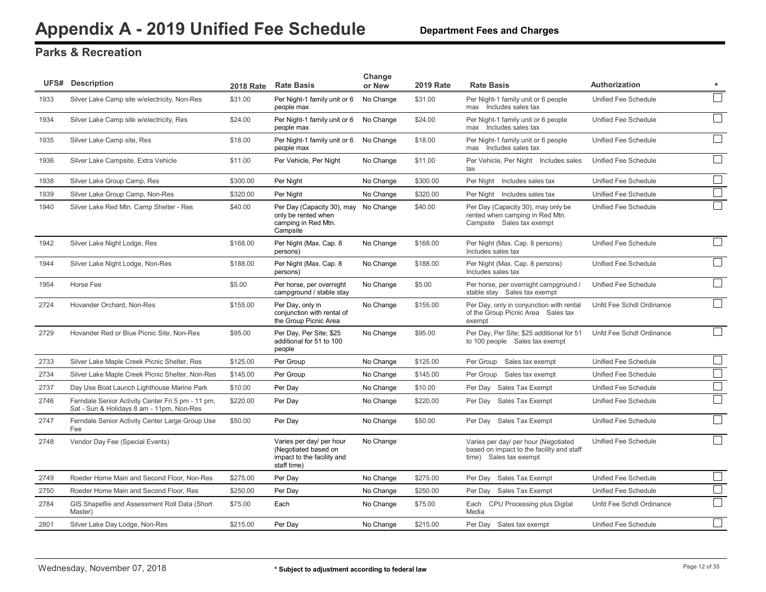|      | <b>UFS# Description</b>                                                                        | <b>2018 Rate</b> | <b>Rate Basis</b>                                                                              | Change<br>or New | <b>2019 Rate</b> | <b>Rate Basis</b>                                                                                           | Authorization            | $\star$        |
|------|------------------------------------------------------------------------------------------------|------------------|------------------------------------------------------------------------------------------------|------------------|------------------|-------------------------------------------------------------------------------------------------------------|--------------------------|----------------|
| 1933 | Silver Lake Camp site w/electricity, Non-Res                                                   | \$31.00          | Per Night-1 family unit or 6<br>people max                                                     | No Change        | \$31.00          | Per Night-1 family unit or 6 people<br>max Includes sales tax                                               | Unified Fee Schedule     |                |
| 1934 | Silver Lake Camp site w/electricity, Res                                                       | \$24.00          | Per Night-1 family unit or 6<br>people max                                                     | No Change        | \$24.00          | Per Night-1 family unit or 6 people<br>max Includes sales tax                                               | Unified Fee Schedule     |                |
| 1935 | Silver Lake Camp site, Res                                                                     | \$18.00          | Per Night-1 family unit or 6<br>people max                                                     | No Change        | \$18.00          | Per Night-1 family unit or 6 people<br>max Includes sales tax                                               | Unified Fee Schedule     |                |
| 1936 | Silver Lake Campsite, Extra Vehicle                                                            | \$11.00          | Per Vehicle, Per Night                                                                         | No Change        | \$11.00          | Per Vehicle, Per Night Includes sales<br>tax                                                                | Unified Fee Schedule     | $\sim$         |
| 1938 | Silver Lake Group Camp, Res                                                                    | \$300.00         | Per Night                                                                                      | No Change        | \$300.00         | Per Night Includes sales tax                                                                                | Unified Fee Schedule     | $\mathcal{L}$  |
| 1939 | Silver Lake Group Camp, Non-Res                                                                | \$320.00         | Per Night                                                                                      | No Change        | \$320.00         | Includes sales tax<br>Per Night                                                                             | Unified Fee Schedule     | $\Box$         |
| 1940 | Silver Lake Red Mtn. Camp Shelter - Res                                                        | \$40.00          | Per Day (Capacity 30), may No Change<br>only be rented when<br>camping in Red Mtn.<br>Campsite |                  | \$40.00          | Per Day (Capacity 30), may only be<br>rented when camping in Red Mtn.<br>Campsite Sales tax exempt          | Unified Fee Schedule     |                |
| 1942 | Silver Lake Night Lodge, Res                                                                   | \$168.00         | Per Night (Max. Cap. 8)<br>persons)                                                            | No Change        | \$168.00         | Per Night (Max. Cap. 8 persons)<br>Includes sales tax                                                       | Unified Fee Schedule     | $\Box$         |
| 1944 | Silver Lake Night Lodge, Non-Res                                                               | \$188.00         | Per Night (Max. Cap. 8<br>persons)                                                             | No Change        | \$188.00         | Per Night (Max. Cap. 8 persons)<br>Includes sales tax                                                       | Unified Fee Schedule     |                |
| 1954 | Horse Fee                                                                                      | \$5.00           | Per horse, per overnight<br>campground / stable stay                                           | No Change        | \$5.00           | Per horse, per overnight campground /<br>stable stay Sales tax exempt                                       | Unified Fee Schedule     |                |
| 2724 | Hovander Orchard, Non-Res                                                                      | \$155.00         | Per Day, only in<br>conjunction with rental of<br>the Group Picnic Area                        | No Change        | \$155.00         | Per Day, only in conjunction with rental<br>of the Group Picnic Area Sales tax<br>exempt                    | Unfd Fee Schdl Ordinance |                |
| 2729 | Hovander Red or Blue Picnic Site, Non-Res                                                      | \$95.00          | Per Day, Per Site; \$25<br>additional for 51 to 100<br>people                                  | No Change        | \$95.00          | Per Day, Per Site; \$25 additional for 51<br>to 100 people Sales tax exempt                                 | Unfd Fee Schdl Ordinance | $\sim$         |
| 2733 | Silver Lake Maple Creek Picnic Shelter, Res                                                    | \$125.00         | Per Group                                                                                      | No Change        | \$125.00         | Per Group<br>Sales tax exempt                                                                               | Unified Fee Schedule     | $\Box$         |
| 2734 | Silver Lake Maple Creek Picnic Shelter, Non-Res                                                | \$145.00         | Per Group                                                                                      | No Change        | \$145.00         | Per Group<br>Sales tax exempt                                                                               | Unified Fee Schedule     | $\Box$         |
| 2737 | Day Use Boat Launch Lighthouse Marine Park                                                     | \$10.00          | Per Day                                                                                        | No Change        | \$10.00          | Per Day<br>Sales Tax Exempt                                                                                 | Unified Fee Schedule     |                |
| 2746 | Ferndale Senior Activity Center Fri 5 pm - 11 pm,<br>Sat - Sun & Holidays 8 am - 11pm, Non-Res | \$220.00         | Per Day                                                                                        | No Change        | \$220.00         | Sales Tax Exempt<br>Per Day                                                                                 | Unified Fee Schedule     | $\mathbb{R}^2$ |
| 2747 | Ferndale Senior Activity Center Large Group Use<br>Fee                                         | \$50.00          | Per Day                                                                                        | No Change        | \$50.00          | Per Day Sales Tax Exempt                                                                                    | Unified Fee Schedule     |                |
| 2748 | Vendor Day Fee (Special Events)                                                                |                  | Varies per day/ per hour<br>(Negotiated based on<br>impact to the facility and<br>staff time)  | No Change        |                  | Varies per day/ per hour (Negotiated<br>based on impact to the facility and staff<br>time) Sales tax exempt | Unified Fee Schedule     |                |
| 2749 | Roeder Home Main and Second Floor, Non-Res                                                     | \$275.00         | Per Day                                                                                        | No Change        | \$275.00         | Per Dav<br>Sales Tax Exempt                                                                                 | Unified Fee Schedule     | $\sim$         |
| 2750 | Roeder Home Main and Second Floor, Res                                                         | \$250.00         | Per Day                                                                                        | No Change        | \$250.00         | Per Day<br>Sales Tax Exempt                                                                                 | Unified Fee Schedule     | $\Box$         |
| 2784 | GIS Shapefile and Assessment Roll Data (Short<br>Master)                                       | \$75.00          | Each                                                                                           | No Change        | \$75.00          | Each CPU Processing plus Digital<br>Media                                                                   | Unfd Fee Schdl Ordinance |                |
| 2801 | Silver Lake Day Lodge, Non-Res                                                                 | \$215.00         | Per Day                                                                                        | No Change        | \$215.00         | Per Day Sales tax exempt                                                                                    | Unified Fee Schedule     | $\Box$         |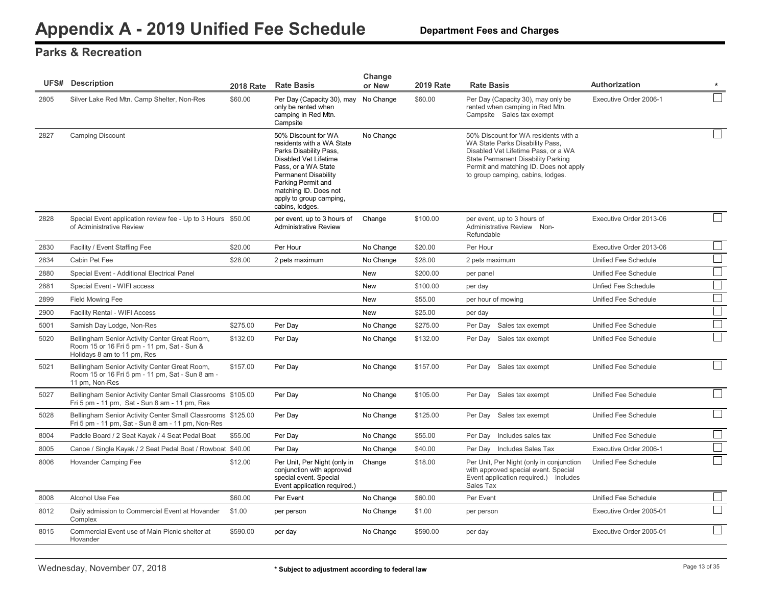|      | <b>UFS# Description</b>                                                                                                     | <b>2018 Rate</b> | <b>Rate Basis</b>                                                                                                                                                                                                                                      | Change<br>or New | <b>2019 Rate</b> | <b>Rate Basis</b>                                                                                                                                                                                                                   | <b>Authorization</b>    | $\star$                     |
|------|-----------------------------------------------------------------------------------------------------------------------------|------------------|--------------------------------------------------------------------------------------------------------------------------------------------------------------------------------------------------------------------------------------------------------|------------------|------------------|-------------------------------------------------------------------------------------------------------------------------------------------------------------------------------------------------------------------------------------|-------------------------|-----------------------------|
| 2805 | Silver Lake Red Mtn. Camp Shelter, Non-Res                                                                                  | \$60.00          | Per Day (Capacity 30), may No Change<br>only be rented when<br>camping in Red Mtn.<br>Campsite                                                                                                                                                         |                  | \$60.00          | Per Day (Capacity 30), may only be<br>rented when camping in Red Mtn.<br>Campsite Sales tax exempt                                                                                                                                  | Executive Order 2006-1  |                             |
| 2827 | <b>Camping Discount</b>                                                                                                     |                  | 50% Discount for WA<br>residents with a WA State<br>Parks Disability Pass,<br>Disabled Vet Lifetime<br>Pass, or a WA State<br><b>Permanent Disability</b><br>Parking Permit and<br>matching ID. Does not<br>apply to group camping,<br>cabins, lodges. | No Change        |                  | 50% Discount for WA residents with a<br>WA State Parks Disability Pass.<br>Disabled Vet Lifetime Pass, or a WA<br>State Permanent Disability Parking<br>Permit and matching ID. Does not apply<br>to group camping, cabins, lodges. |                         |                             |
| 2828 | Special Event application review fee - Up to 3 Hours \$50.00<br>of Administrative Review                                    |                  | per event, up to 3 hours of<br><b>Administrative Review</b>                                                                                                                                                                                            | Change           | \$100.00         | per event, up to 3 hours of<br>Administrative Review Non-<br>Refundable                                                                                                                                                             | Executive Order 2013-06 |                             |
| 2830 | Facility / Event Staffing Fee                                                                                               | \$20.00          | Per Hour                                                                                                                                                                                                                                               | No Change        | \$20.00          | Per Hour                                                                                                                                                                                                                            | Executive Order 2013-06 |                             |
| 2834 | Cabin Pet Fee                                                                                                               | \$28.00          | 2 pets maximum                                                                                                                                                                                                                                         | No Change        | \$28.00          | 2 pets maximum                                                                                                                                                                                                                      | Unified Fee Schedule    |                             |
| 2880 | Special Event - Additional Electrical Panel                                                                                 |                  |                                                                                                                                                                                                                                                        | New              | \$200.00         | per panel                                                                                                                                                                                                                           | Unified Fee Schedule    |                             |
| 2881 | Special Event - WIFI access                                                                                                 |                  |                                                                                                                                                                                                                                                        | <b>New</b>       | \$100.00         | per day                                                                                                                                                                                                                             | Unfied Fee Schedule     |                             |
| 2899 | Field Mowing Fee                                                                                                            |                  |                                                                                                                                                                                                                                                        | New              | \$55.00          | per hour of mowing                                                                                                                                                                                                                  | Unified Fee Schedule    | $\mathcal{L}_{\mathcal{A}}$ |
| 2900 | Facility Rental - WIFI Access                                                                                               |                  |                                                                                                                                                                                                                                                        | <b>New</b>       | \$25.00          | per day                                                                                                                                                                                                                             |                         | $\mathcal{L}$               |
| 5001 | Samish Day Lodge, Non-Res                                                                                                   | \$275.00         | Per Day                                                                                                                                                                                                                                                | No Change        | \$275.00         | Sales tax exempt<br>Per Day                                                                                                                                                                                                         | Unified Fee Schedule    |                             |
| 5020 | Bellingham Senior Activity Center Great Room,<br>Room 15 or 16 Fri 5 pm - 11 pm, Sat - Sun &<br>Holidays 8 am to 11 pm, Res | \$132.00         | Per Day                                                                                                                                                                                                                                                | No Change        | \$132.00         | Per Day Sales tax exempt                                                                                                                                                                                                            | Unified Fee Schedule    |                             |
| 5021 | Bellingham Senior Activity Center Great Room,<br>Room 15 or 16 Fri 5 pm - 11 pm, Sat - Sun 8 am -<br>11 pm, Non-Res         | \$157.00         | Per Day                                                                                                                                                                                                                                                | No Change        | \$157.00         | Per Day Sales tax exempt                                                                                                                                                                                                            | Unified Fee Schedule    |                             |
| 5027 | Bellingham Senior Activity Center Small Classrooms \$105.00<br>Fri 5 pm - 11 pm, Sat - Sun 8 am - 11 pm, Res                |                  | Per Day                                                                                                                                                                                                                                                | No Change        | \$105.00         | Per Day Sales tax exempt                                                                                                                                                                                                            | Unified Fee Schedule    |                             |
| 5028 | Bellingham Senior Activity Center Small Classrooms \$125.00<br>Fri 5 pm - 11 pm, Sat - Sun 8 am - 11 pm, Non-Res            |                  | Per Day                                                                                                                                                                                                                                                | No Change        | \$125.00         | Per Day Sales tax exempt                                                                                                                                                                                                            | Unified Fee Schedule    |                             |
| 8004 | Paddle Board / 2 Seat Kayak / 4 Seat Pedal Boat                                                                             | \$55.00          | Per Day                                                                                                                                                                                                                                                | No Change        | \$55.00          | Includes sales tax<br>Per Day                                                                                                                                                                                                       | Unified Fee Schedule    |                             |
| 8005 | Canoe / Single Kayak / 2 Seat Pedal Boat / Rowboat \$40.00                                                                  |                  | Per Day                                                                                                                                                                                                                                                | No Change        | \$40.00          | Per Day Includes Sales Tax                                                                                                                                                                                                          | Executive Order 2006-1  |                             |
| 8006 | Hovander Camping Fee                                                                                                        | \$12.00          | Per Unit, Per Night (only in<br>conjunction with approved<br>special event. Special<br>Event application required.)                                                                                                                                    | Change           | \$18.00          | Per Unit, Per Night (only in conjunction<br>with approved special event. Special<br>Event application required.) Includes<br>Sales Tax                                                                                              | Unified Fee Schedule    |                             |
| 8008 | Alcohol Use Fee                                                                                                             | \$60.00          | Per Event                                                                                                                                                                                                                                              | No Change        | \$60.00          | Per Event                                                                                                                                                                                                                           | Unified Fee Schedule    |                             |
| 8012 | Daily admission to Commercial Event at Hovander<br>Complex                                                                  | \$1.00           | per person                                                                                                                                                                                                                                             | No Change        | \$1.00           | per person                                                                                                                                                                                                                          | Executive Order 2005-01 |                             |
| 8015 | Commercial Event use of Main Picnic shelter at<br>Hovander                                                                  | \$590.00         | per day                                                                                                                                                                                                                                                | No Change        | \$590.00         | per day                                                                                                                                                                                                                             | Executive Order 2005-01 |                             |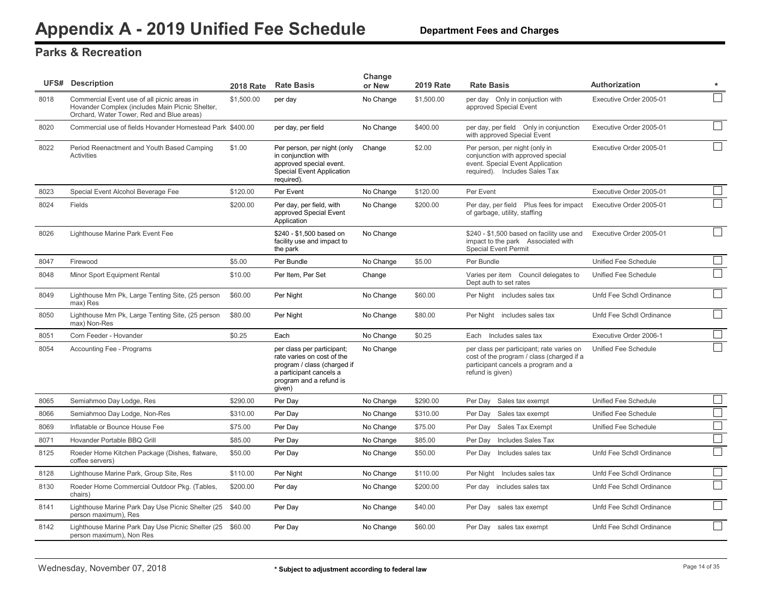|      | <b>UFS# Description</b>                                                                                                                     | <b>2018 Rate</b> | <b>Rate Basis</b>                                                                                                                                       | Change<br>or New | <b>2019 Rate</b> | <b>Rate Basis</b>                                                                                                                                 | <b>Authorization</b>     | $\star$        |
|------|---------------------------------------------------------------------------------------------------------------------------------------------|------------------|---------------------------------------------------------------------------------------------------------------------------------------------------------|------------------|------------------|---------------------------------------------------------------------------------------------------------------------------------------------------|--------------------------|----------------|
| 8018 | Commercial Event use of all picnic areas in<br>Hovander Complex (includes Main Picnic Shelter,<br>Orchard, Water Tower, Red and Blue areas) | \$1,500.00       | per day                                                                                                                                                 | No Change        | \$1,500.00       | per day Only in conjuction with<br>approved Special Event                                                                                         | Executive Order 2005-01  |                |
| 8020 | Commercial use of fields Hovander Homestead Park \$400.00                                                                                   |                  | per day, per field                                                                                                                                      | No Change        | \$400.00         | per day, per field Only in conjunction<br>with approved Special Event                                                                             | Executive Order 2005-01  |                |
| 8022 | Period Reenactment and Youth Based Camping<br>Activities                                                                                    | \$1.00           | Per person, per night (only<br>in conjunction with<br>approved special event.<br><b>Special Event Application</b><br>required).                         | Change           | \$2.00           | Per person, per night (only in<br>conjunction with approved special<br>event. Special Event Application<br>required). Includes Sales Tax          | Executive Order 2005-01  |                |
| 8023 | Special Event Alcohol Beverage Fee                                                                                                          | \$120.00         | Per Event                                                                                                                                               | No Change        | \$120.00         | Per Event                                                                                                                                         | Executive Order 2005-01  |                |
| 8024 | Fields                                                                                                                                      | \$200.00         | Per day, per field, with<br>approved Special Event<br>Application                                                                                       | No Change        | \$200.00         | Per day, per field Plus fees for impact<br>of garbage, utility, staffing                                                                          | Executive Order 2005-01  |                |
| 8026 | Lighthouse Marine Park Event Fee                                                                                                            |                  | \$240 - \$1,500 based on<br>facility use and impact to<br>the park                                                                                      | No Change        |                  | \$240 - \$1,500 based on facility use and<br>impact to the park Associated with<br><b>Special Event Permit</b>                                    | Executive Order 2005-01  |                |
| 8047 | Firewood                                                                                                                                    | \$5.00           | Per Bundle                                                                                                                                              | No Change        | \$5.00           | Per Bundle                                                                                                                                        | Unified Fee Schedule     |                |
| 8048 | Minor Sport Equipment Rental                                                                                                                | \$10.00          | Per Item, Per Set                                                                                                                                       | Change           |                  | Varies per item Council delegates to<br>Dept auth to set rates                                                                                    | Unified Fee Schedule     |                |
| 8049 | Lighthouse Mrn Pk, Large Tenting Site, (25 person<br>max) Res                                                                               | \$60.00          | Per Night                                                                                                                                               | No Change        | \$60.00          | Per Night includes sales tax                                                                                                                      | Unfd Fee Schdl Ordinance |                |
| 8050 | Lighthouse Mrn Pk, Large Tenting Site, (25 person<br>max) Non-Res                                                                           | \$80.00          | Per Night                                                                                                                                               | No Change        | \$80.00          | Per Night includes sales tax                                                                                                                      | Unfd Fee Schdl Ordinance |                |
| 8051 | Corn Feeder - Hovander                                                                                                                      | \$0.25           | Each                                                                                                                                                    | No Change        | \$0.25           | Each Includes sales tax                                                                                                                           | Executive Order 2006-1   |                |
| 8054 | Accounting Fee - Programs                                                                                                                   |                  | per class per participant;<br>rate varies on cost of the<br>program / class (charged if<br>a participant cancels a<br>program and a refund is<br>given) | No Change        |                  | per class per participant; rate varies on<br>cost of the program / class (charged if a<br>participant cancels a program and a<br>refund is given) | Unified Fee Schedule     |                |
| 8065 | Semiahmoo Day Lodge, Res                                                                                                                    | \$290.00         | Per Day                                                                                                                                                 | No Change        | \$290.00         | Per Day<br>Sales tax exempt                                                                                                                       | Unified Fee Schedule     |                |
| 8066 | Semiahmoo Day Lodge, Non-Res                                                                                                                | \$310.00         | Per Day                                                                                                                                                 | No Change        | \$310.00         | Per Day<br>Sales tax exempt                                                                                                                       | Unified Fee Schedule     |                |
| 8069 | Inflatable or Bounce House Fee                                                                                                              | \$75.00          | Per Day                                                                                                                                                 | No Change        | \$75.00          | Per Day<br>Sales Tax Exempt                                                                                                                       | Unified Fee Schedule     | $\mathbb{R}^2$ |
| 8071 | Hovander Portable BBQ Grill                                                                                                                 | \$85.00          | Per Day                                                                                                                                                 | No Change        | \$85.00          | Includes Sales Tax<br>Per Day                                                                                                                     |                          | $\Box$         |
| 8125 | Roeder Home Kitchen Package (Dishes, flatware,<br>coffee servers)                                                                           | \$50.00          | Per Day                                                                                                                                                 | No Change        | \$50.00          | Per Day Includes sales tax                                                                                                                        | Unfd Fee Schdl Ordinance |                |
| 8128 | Lighthouse Marine Park, Group Site, Res                                                                                                     | \$110.00         | Per Night                                                                                                                                               | No Change        | \$110.00         | Includes sales tax<br>Per Night                                                                                                                   | Unfd Fee Schdl Ordinance |                |
| 8130 | Roeder Home Commercial Outdoor Pkg. (Tables,<br>chairs)                                                                                     | \$200.00         | Per day                                                                                                                                                 | No Change        | \$200.00         | Per day includes sales tax                                                                                                                        | Unfd Fee Schdl Ordinance |                |
| 8141 | Lighthouse Marine Park Day Use Picnic Shelter (25 \$40.00<br>person maximum), Res                                                           |                  | Per Day                                                                                                                                                 | No Change        | \$40.00          | Per Day sales tax exempt                                                                                                                          | Unfd Fee Schdl Ordinance |                |
| 8142 | Lighthouse Marine Park Day Use Picnic Shelter (25 \$60.00<br>person maximum), Non Res                                                       |                  | Per Day                                                                                                                                                 | No Change        | \$60.00          | Per Day sales tax exempt                                                                                                                          | Unfd Fee Schdl Ordinance |                |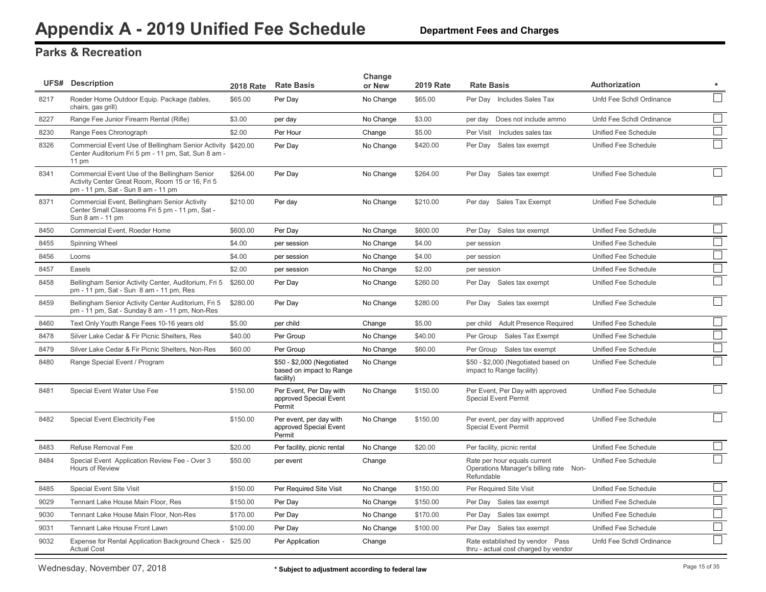|      | <b>UFS# Description</b>                                                                                                                 | <b>2018 Rate</b> | <b>Rate Basis</b>                                                   | Change<br>or New | <b>2019 Rate</b> | <b>Rate Basis</b>                                                                    | Authorization            | $\star$                     |
|------|-----------------------------------------------------------------------------------------------------------------------------------------|------------------|---------------------------------------------------------------------|------------------|------------------|--------------------------------------------------------------------------------------|--------------------------|-----------------------------|
| 8217 | Roeder Home Outdoor Equip. Package (tables,<br>chairs, gas grill)                                                                       | \$65.00          | Per Day                                                             | No Change        | \$65.00          | Per Day Includes Sales Tax                                                           | Unfd Fee Schdl Ordinance |                             |
| 8227 | Range Fee Junior Firearm Rental (Rifle)                                                                                                 | \$3.00           | per day                                                             | No Change        | \$3.00           | Does not include ammo<br>per day                                                     | Unfd Fee Schdl Ordinance |                             |
| 8230 | Range Fees Chronograph                                                                                                                  | \$2.00           | Per Hour                                                            | Change           | \$5.00           | Per Visit<br>Includes sales tax                                                      | Unified Fee Schedule     |                             |
| 8326 | Commercial Event Use of Bellingham Senior Activity \$420.00<br>Center Auditorium Fri 5 pm - 11 pm, Sat, Sun 8 am -<br>$11 \text{ pm}$   |                  | Per Day                                                             | No Change        | \$420.00         | Per Day Sales tax exempt                                                             | Unified Fee Schedule     |                             |
| 8341 | Commercial Event Use of the Bellingham Senior<br>Activity Center Great Room, Room 15 or 16, Fri 5<br>pm - 11 pm, Sat - Sun 8 am - 11 pm | \$264.00         | Per Day                                                             | No Change        | \$264.00         | Per Day Sales tax exempt                                                             | Unified Fee Schedule     |                             |
| 8371 | Commercial Event, Bellingham Senior Activity<br>Center Small Classrooms Fri 5 pm - 11 pm, Sat -<br>Sun 8 am - 11 pm                     | \$210.00         | Per day                                                             | No Change        | \$210.00         | Per day Sales Tax Exempt                                                             | Unified Fee Schedule     |                             |
| 8450 | Commercial Event, Roeder Home                                                                                                           | \$600.00         | Per Day                                                             | No Change        | \$600.00         | Per Day Sales tax exempt                                                             | Unified Fee Schedule     |                             |
| 8455 | Spinning Wheel                                                                                                                          | \$4.00           | per session                                                         | No Change        | \$4.00           | per session                                                                          | Unified Fee Schedule     | $\mathcal{L}^{\mathcal{A}}$ |
| 8456 | Looms                                                                                                                                   | \$4.00           | per session                                                         | No Change        | \$4.00           | per session                                                                          | Unified Fee Schedule     | $\mathcal{L}^{\mathcal{L}}$ |
| 8457 | Easels                                                                                                                                  | \$2.00           | per session                                                         | No Change        | \$2.00           | per session                                                                          | Unified Fee Schedule     | $\mathbb{R}^2$              |
| 8458 | Bellingham Senior Activity Center, Auditorium, Fri 5<br>pm - 11 pm, Sat - Sun 8 am - 11 pm, Res                                         | \$260.00         | Per Day                                                             | No Change        | \$260.00         | Per Day Sales tax exempt                                                             | Unified Fee Schedule     |                             |
| 8459 | Bellingham Senior Activity Center Auditorium, Fri 5<br>pm - 11 pm, Sat - Sunday 8 am - 11 pm, Non-Res                                   | \$280.00         | Per Day                                                             | No Change        | \$280.00         | Per Day Sales tax exempt                                                             | Unified Fee Schedule     |                             |
| 8460 | Text Only Youth Range Fees 10-16 years old                                                                                              | \$5.00           | per child                                                           | Change           | \$5.00           | per child Adult Presence Required                                                    | Unified Fee Schedule     |                             |
| 8478 | Silver Lake Cedar & Fir Picnic Shelters, Res                                                                                            | \$40.00          | Per Group                                                           | No Change        | \$40.00          | Per Group<br>Sales Tax Exempt                                                        | Unified Fee Schedule     | $\mathbb{R}^2$              |
| 8479 | Silver Lake Cedar & Fir Picnic Shelters, Non-Res                                                                                        | \$60.00          | Per Group                                                           | No Change        | \$60.00          | Per Group Sales tax exempt                                                           | Unified Fee Schedule     |                             |
| 8480 | Range Special Event / Program                                                                                                           |                  | \$50 - \$2,000 (Negotiated<br>based on impact to Range<br>facility) | No Change        |                  | \$50 - \$2,000 (Negotiated based on<br>impact to Range facility)                     | Unified Fee Schedule     | $\sim$                      |
| 8481 | Special Event Water Use Fee                                                                                                             | \$150.00         | Per Event, Per Day with<br>approved Special Event<br>Permit         | No Change        | \$150.00         | Per Event, Per Day with approved<br><b>Special Event Permit</b>                      | Unified Fee Schedule     |                             |
| 8482 | <b>Special Event Electricity Fee</b>                                                                                                    | \$150.00         | Per event, per day with<br>approved Special Event<br>Permit         | No Change        | \$150.00         | Per event, per day with approved<br><b>Special Event Permit</b>                      | Unified Fee Schedule     |                             |
| 8483 | Refuse Removal Fee                                                                                                                      | \$20.00          | Per facility, picnic rental                                         | No Change        | \$20.00          | Per facility, picnic rental                                                          | Unified Fee Schedule     |                             |
| 8484 | Special Event Application Review Fee - Over 3<br>Hours of Review                                                                        | \$50.00          | per event                                                           | Change           |                  | Rate per hour equals current<br>Operations Manager's billing rate Non-<br>Refundable | Unified Fee Schedule     |                             |
| 8485 | <b>Special Event Site Visit</b>                                                                                                         | \$150.00         | Per Required Site Visit                                             | No Change        | \$150.00         | Per Required Site Visit                                                              | Unified Fee Schedule     |                             |
| 9029 | Tennant Lake House Main Floor, Res                                                                                                      | \$150.00         | Per Day                                                             | No Change        | \$150.00         | Sales tax exempt<br>Per Day                                                          | Unified Fee Schedule     | $\mathbb{R}^2$              |
| 9030 | Tennant Lake House Main Floor, Non-Res                                                                                                  | \$170.00         | Per Day                                                             | No Change        | \$170.00         | Per Day<br>Sales tax exempt                                                          | Unified Fee Schedule     |                             |
| 9031 | Tennant Lake House Front Lawn                                                                                                           | \$100.00         | Per Day                                                             | No Change        | \$100.00         | Per Day<br>Sales tax exempt                                                          | Unified Fee Schedule     |                             |
| 9032 | Expense for Rental Application Background Check - \$25.00<br><b>Actual Cost</b>                                                         |                  | Per Application                                                     | Change           |                  | Rate established by vendor Pass<br>thru - actual cost charged by vendor              | Unfd Fee Schdl Ordinance |                             |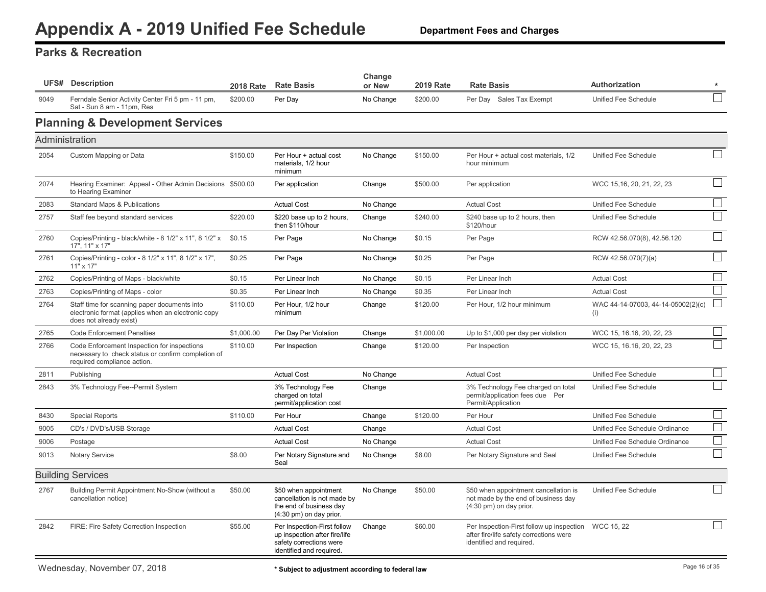<span id="page-16-0"></span>

|      | <b>UFS# Description</b>                                                                                                          | <b>2018 Rate</b> | <b>Rate Basis</b>                                                                                                   | Change<br>or New | <b>2019 Rate</b> | <b>Rate Basis</b>                                                                                                           | Authorization                             | $\star$        |
|------|----------------------------------------------------------------------------------------------------------------------------------|------------------|---------------------------------------------------------------------------------------------------------------------|------------------|------------------|-----------------------------------------------------------------------------------------------------------------------------|-------------------------------------------|----------------|
| 9049 | Ferndale Senior Activity Center Fri 5 pm - 11 pm,<br>Sat - Sun 8 am - 11pm, Res                                                  | \$200.00         | Per Day                                                                                                             | No Change        | \$200.00         | Per Day Sales Tax Exempt                                                                                                    | Unified Fee Schedule                      |                |
|      | <b>Planning &amp; Development Services</b>                                                                                       |                  |                                                                                                                     |                  |                  |                                                                                                                             |                                           |                |
|      | Administration                                                                                                                   |                  |                                                                                                                     |                  |                  |                                                                                                                             |                                           |                |
| 2054 | Custom Mapping or Data                                                                                                           | \$150.00         | Per Hour + actual cost<br>materials, 1/2 hour<br>minimum                                                            | No Change        | \$150.00         | Per Hour + actual cost materials, 1/2<br>hour minimum                                                                       | Unified Fee Schedule                      | $\mathcal{L}$  |
| 2074 | Hearing Examiner: Appeal - Other Admin Decisions \$500.00<br>to Hearing Examiner                                                 |                  | Per application                                                                                                     | Change           | \$500.00         | Per application                                                                                                             | WCC 15,16, 20, 21, 22, 23                 |                |
| 2083 | <b>Standard Maps &amp; Publications</b>                                                                                          |                  | <b>Actual Cost</b>                                                                                                  | No Change        |                  | <b>Actual Cost</b>                                                                                                          | Unified Fee Schedule                      | $\Box$         |
| 2757 | Staff fee beyond standard services                                                                                               | \$220.00         | \$220 base up to 2 hours,<br>then \$110/hour                                                                        | Change           | \$240.00         | \$240 base up to 2 hours, then<br>\$120/hour                                                                                | Unified Fee Schedule                      |                |
| 2760 | Copies/Printing - black/white - 8 1/2" x 11", 8 1/2" x<br>17", 11" x 17"                                                         | \$0.15           | Per Page                                                                                                            | No Change        | \$0.15           | Per Page                                                                                                                    | RCW 42.56.070(8), 42.56.120               |                |
| 2761 | Copies/Printing - color - 8 1/2" x 11", 8 1/2" x 17",<br>$11" \times 17"$                                                        | \$0.25           | Per Page                                                                                                            | No Change        | \$0.25           | Per Page                                                                                                                    | RCW 42.56.070(7)(a)                       |                |
| 2762 | Copies/Printing of Maps - black/white                                                                                            | \$0.15           | Per Linear Inch                                                                                                     | No Change        | \$0.15           | Per Linear Inch                                                                                                             | <b>Actual Cost</b>                        | $\Box$         |
| 2763 | Copies/Printing of Maps - color                                                                                                  | \$0.35           | Per Linear Inch                                                                                                     | No Change        | \$0.35           | Per Linear Inch                                                                                                             | <b>Actual Cost</b>                        | $\Box$         |
| 2764 | Staff time for scanning paper documents into<br>electronic format (applies when an electronic copy<br>does not already exist)    | \$110.00         | Per Hour, 1/2 hour<br>minimum                                                                                       | Change           | \$120.00         | Per Hour, 1/2 hour minimum                                                                                                  | WAC 44-14-07003, 44-14-05002(2)(c)<br>(i) | $\blacksquare$ |
| 2765 | <b>Code Enforcement Penalties</b>                                                                                                | \$1,000.00       | Per Day Per Violation                                                                                               | Change           | \$1,000.00       | Up to \$1,000 per day per violation                                                                                         | WCC 15, 16.16, 20, 22, 23                 |                |
| 2766 | Code Enforcement Inspection for inspections<br>necessary to check status or confirm completion of<br>required compliance action. | \$110.00         | Per Inspection                                                                                                      | Change           | \$120.00         | Per Inspection                                                                                                              | WCC 15, 16.16, 20, 22, 23                 |                |
| 2811 | Publishing                                                                                                                       |                  | <b>Actual Cost</b>                                                                                                  | No Change        |                  | <b>Actual Cost</b>                                                                                                          | Unified Fee Schedule                      |                |
| 2843 | 3% Technology Fee--Permit System                                                                                                 |                  | 3% Technology Fee<br>charged on total<br>permit/application cost                                                    | Change           |                  | 3% Technology Fee charged on total<br>permit/application fees due Per<br>Permit/Application                                 | Unified Fee Schedule                      |                |
| 8430 | <b>Special Reports</b>                                                                                                           | \$110.00         | Per Hour                                                                                                            | Change           | \$120.00         | Per Hour                                                                                                                    | Unified Fee Schedule                      |                |
| 9005 | CD's / DVD's/USB Storage                                                                                                         |                  | <b>Actual Cost</b>                                                                                                  | Change           |                  | <b>Actual Cost</b>                                                                                                          | Unified Fee Schedule Ordinance            |                |
| 9006 | Postage                                                                                                                          |                  | <b>Actual Cost</b>                                                                                                  | No Change        |                  | <b>Actual Cost</b>                                                                                                          | Unified Fee Schedule Ordinance            |                |
| 9013 | <b>Notary Service</b>                                                                                                            | \$8.00           | Per Notary Signature and<br>Seal                                                                                    | No Change        | \$8.00           | Per Notary Signature and Seal                                                                                               | Unified Fee Schedule                      |                |
|      | <b>Building Services</b>                                                                                                         |                  |                                                                                                                     |                  |                  |                                                                                                                             |                                           |                |
| 2767 | Building Permit Appointment No-Show (without a<br>cancellation notice)                                                           | \$50.00          | \$50 when appointment<br>cancellation is not made by<br>the end of business day<br>(4:30 pm) on day prior.          | No Change        | \$50.00          | \$50 when appointment cancellation is<br>not made by the end of business day<br>(4:30 pm) on day prior.                     | Unified Fee Schedule                      |                |
| 2842 | FIRE: Fire Safety Correction Inspection                                                                                          | \$55.00          | Per Inspection-First follow<br>up inspection after fire/life<br>safety corrections were<br>identified and required. | Change           | \$60.00          | Per Inspection-First follow up inspection WCC 15, 22<br>after fire/life safety corrections were<br>identified and required. |                                           |                |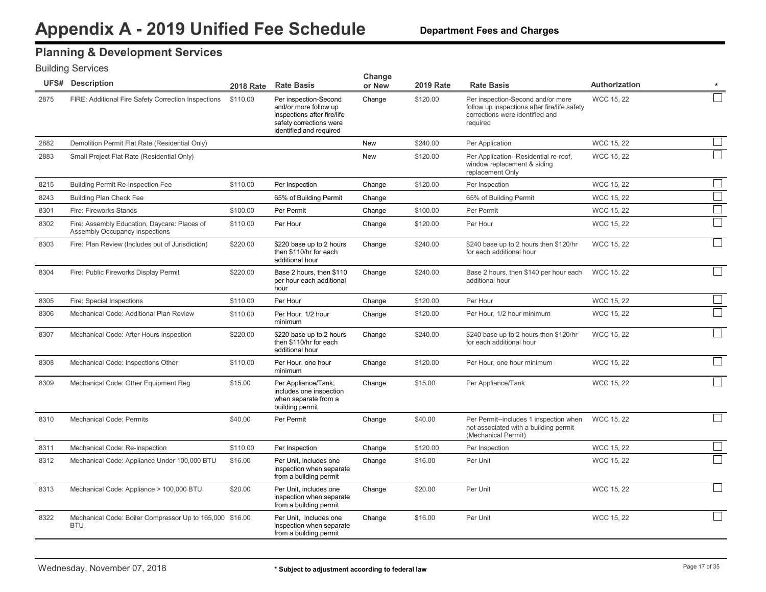### **Planning & Development Services**

|      | <b>UFS# Description</b>                                                        | <b>2018 Rate</b> | <b>Rate Basis</b>                                                                                                                   | Change<br>or New | <b>2019 Rate</b> | <b>Rate Basis</b>                                                                                                                | Authorization     | $\star$ |
|------|--------------------------------------------------------------------------------|------------------|-------------------------------------------------------------------------------------------------------------------------------------|------------------|------------------|----------------------------------------------------------------------------------------------------------------------------------|-------------------|---------|
| 2875 | FIRE: Additional Fire Safety Correction Inspections                            | \$110.00         | Per inspection-Second<br>and/or more follow up<br>inspections after fire/life<br>safety corrections were<br>identified and required | Change           | \$120.00         | Per inspection-Second and/or more<br>follow up inspections after fire/life safety<br>corrections were identified and<br>required | <b>WCC 15, 22</b> |         |
| 2882 | Demolition Permit Flat Rate (Residential Only)                                 |                  |                                                                                                                                     | <b>New</b>       | \$240.00         | Per Application                                                                                                                  | WCC 15, 22        |         |
| 2883 | Small Project Flat Rate (Residential Only)                                     |                  |                                                                                                                                     | <b>New</b>       | \$120.00         | Per Application--Residential re-roof,<br>window replacement & siding<br>replacement Only                                         | <b>WCC 15, 22</b> |         |
| 8215 | <b>Building Permit Re-Inspection Fee</b>                                       | \$110.00         | Per Inspection                                                                                                                      | Change           | \$120.00         | Per Inspection                                                                                                                   | WCC 15, 22        | $\Box$  |
| 8243 | Building Plan Check Fee                                                        |                  | 65% of Building Permit                                                                                                              | Change           |                  | 65% of Building Permit                                                                                                           | WCC 15, 22        | $\Box$  |
| 8301 | Fire: Fireworks Stands                                                         | \$100.00         | Per Permit                                                                                                                          | Change           | \$100.00         | Per Permit                                                                                                                       | <b>WCC 15, 22</b> | $\Box$  |
| 8302 | Fire: Assembly Education, Daycare: Places of<br>Assembly Occupancy Inspections | \$110.00         | Per Hour                                                                                                                            | Change           | \$120.00         | Per Hour                                                                                                                         | <b>WCC 15, 22</b> |         |
| 8303 | Fire: Plan Review (Includes out of Jurisdiction)                               | \$220.00         | \$220 base up to 2 hours<br>then \$110/hr for each<br>additional hour                                                               | Change           | \$240.00         | \$240 base up to 2 hours then \$120/hr<br>for each additional hour                                                               | <b>WCC 15, 22</b> |         |
| 8304 | Fire: Public Fireworks Display Permit                                          | \$220.00         | Base 2 hours, then \$110<br>per hour each additional<br>hour                                                                        | Change           | \$240.00         | Base 2 hours, then \$140 per hour each<br>additional hour                                                                        | WCC 15, 22        |         |
| 8305 | Fire: Special Inspections                                                      | \$110.00         | Per Hour                                                                                                                            | Change           | \$120.00         | Per Hour                                                                                                                         | WCC 15, 22        |         |
| 8306 | Mechanical Code: Additional Plan Review                                        | \$110.00         | Per Hour, 1/2 hour<br>minimum                                                                                                       | Change           | \$120.00         | Per Hour, 1/2 hour minimum                                                                                                       | WCC 15, 22        | $\Box$  |
| 8307 | Mechanical Code: After Hours Inspection                                        | \$220.00         | \$220 base up to 2 hours<br>then \$110/hr for each<br>additional hour                                                               | Change           | \$240.00         | \$240 base up to 2 hours then \$120/hr<br>for each additional hour                                                               | <b>WCC 15, 22</b> |         |
| 8308 | Mechanical Code: Inspections Other                                             | \$110.00         | Per Hour, one hour<br>minimum                                                                                                       | Change           | \$120.00         | Per Hour, one hour minimum                                                                                                       | WCC 15, 22        |         |
| 8309 | Mechanical Code: Other Equipment Reg                                           | \$15.00          | Per Appliance/Tank,<br>includes one inspection<br>when separate from a<br>building permit                                           | Change           | \$15.00          | Per Appliance/Tank                                                                                                               | <b>WCC 15, 22</b> |         |
| 8310 | <b>Mechanical Code: Permits</b>                                                | \$40.00          | Per Permit                                                                                                                          | Change           | \$40.00          | Per Permit--includes 1 inspection when<br>not associated with a building permit<br>(Mechanical Permit)                           | <b>WCC 15, 22</b> |         |
| 8311 | Mechanical Code: Re-Inspection                                                 | \$110.00         | Per Inspection                                                                                                                      | Change           | \$120.00         | Per Inspection                                                                                                                   | <b>WCC 15, 22</b> |         |
| 8312 | Mechanical Code: Appliance Under 100,000 BTU                                   | \$16.00          | Per Unit, includes one<br>inspection when separate<br>from a building permit                                                        | Change           | \$16.00          | Per Unit                                                                                                                         | <b>WCC 15, 22</b> |         |
| 8313 | Mechanical Code: Appliance > 100,000 BTU                                       | \$20.00          | Per Unit, includes one<br>inspection when separate<br>from a building permit                                                        | Change           | \$20.00          | Per Unit                                                                                                                         | <b>WCC 15, 22</b> |         |
| 8322 | Mechanical Code: Boiler Compressor Up to 165,000 \$16.00<br><b>BTU</b>         |                  | Per Unit, Includes one<br>inspection when separate<br>from a building permit                                                        | Change           | \$16.00          | Per Unit                                                                                                                         | <b>WCC 15, 22</b> |         |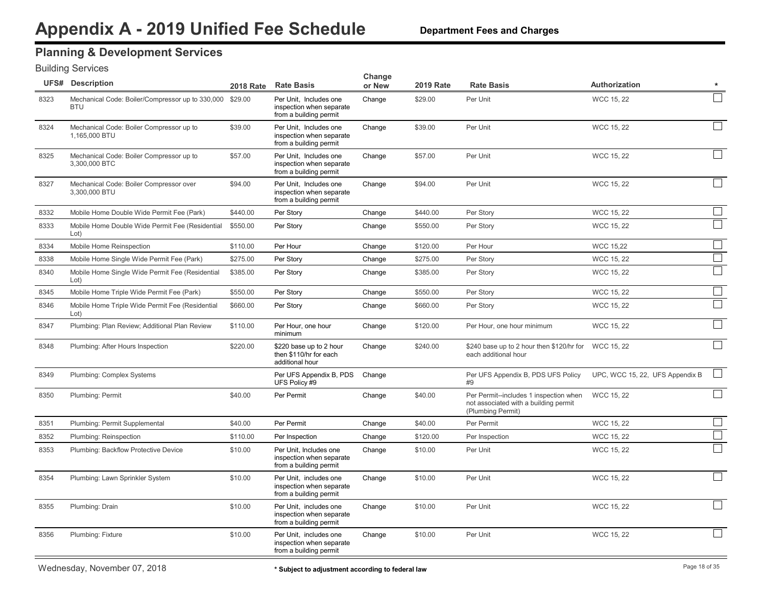### **Planning & Development Services**

|      | <b>UFS# Description</b>                                        | <b>2018 Rate</b> | <b>Rate Basis</b>                                                            | Change<br>or New | <b>2019 Rate</b> | <b>Rate Basis</b>                                                                                    | Authorization                   | $\star$                     |
|------|----------------------------------------------------------------|------------------|------------------------------------------------------------------------------|------------------|------------------|------------------------------------------------------------------------------------------------------|---------------------------------|-----------------------------|
| 8323 | Mechanical Code: Boiler/Compressor up to 330,000<br><b>BTU</b> | \$29.00          | Per Unit, Includes one<br>inspection when separate<br>from a building permit | Change           | \$29.00          | Per Unit                                                                                             | <b>WCC 15, 22</b>               |                             |
| 8324 | Mechanical Code: Boiler Compressor up to<br>1.165,000 BTU      | \$39.00          | Per Unit, Includes one<br>inspection when separate<br>from a building permit | Change           | \$39.00          | Per Unit                                                                                             | <b>WCC 15, 22</b>               |                             |
| 8325 | Mechanical Code: Boiler Compressor up to<br>3,300,000 BTC      | \$57.00          | Per Unit, Includes one<br>inspection when separate<br>from a building permit | Change           | \$57.00          | Per Unit                                                                                             | <b>WCC 15, 22</b>               | $\Box$                      |
| 8327 | Mechanical Code: Boiler Compressor over<br>3,300,000 BTU       | \$94.00          | Per Unit, Includes one<br>inspection when separate<br>from a building permit | Change           | \$94.00          | Per Unit                                                                                             | <b>WCC 15, 22</b>               | $\vert \ \ \vert$           |
| 8332 | Mobile Home Double Wide Permit Fee (Park)                      | \$440.00         | Per Story                                                                    | Change           | \$440.00         | Per Story                                                                                            | WCC 15, 22                      |                             |
| 8333 | Mobile Home Double Wide Permit Fee (Residential<br>Lot)        | \$550.00         | Per Story                                                                    | Change           | \$550.00         | Per Story                                                                                            | <b>WCC 15, 22</b>               |                             |
| 8334 | Mobile Home Reinspection                                       | \$110.00         | Per Hour                                                                     | Change           | \$120.00         | Per Hour                                                                                             | <b>WCC 15,22</b>                | $\Box$                      |
| 8338 | Mobile Home Single Wide Permit Fee (Park)                      | \$275.00         | Per Story                                                                    | Change           | \$275.00         | Per Story                                                                                            | WCC 15, 22                      | $\Box$                      |
| 8340 | Mobile Home Single Wide Permit Fee (Residential<br>Lot)        | \$385.00         | Per Story                                                                    | Change           | \$385.00         | Per Story                                                                                            | WCC 15, 22                      |                             |
| 8345 | Mobile Home Triple Wide Permit Fee (Park)                      | \$550.00         | Per Story                                                                    | Change           | \$550.00         | Per Story                                                                                            | WCC 15, 22                      |                             |
| 8346 | Mobile Home Triple Wide Permit Fee (Residential<br>Lot)        | \$660.00         | Per Story                                                                    | Change           | \$660.00         | Per Story                                                                                            | <b>WCC 15, 22</b>               |                             |
| 8347 | Plumbing: Plan Review; Additional Plan Review                  | \$110.00         | Per Hour, one hour<br>minimum                                                | Change           | \$120.00         | Per Hour, one hour minimum                                                                           | WCC 15, 22                      |                             |
| 8348 | Plumbing: After Hours Inspection                               | \$220.00         | \$220 base up to 2 hour<br>then \$110/hr for each<br>additional hour         | Change           | \$240.00         | \$240 base up to 2 hour then \$120/hr for<br>each additional hour                                    | WCC 15, 22                      |                             |
| 8349 | Plumbing: Complex Systems                                      |                  | Per UFS Appendix B, PDS<br>UFS Policy #9                                     | Change           |                  | Per UFS Appendix B, PDS UFS Policy<br>#9                                                             | UPC, WCC 15, 22, UFS Appendix B |                             |
| 8350 | Plumbing: Permit                                               | \$40.00          | Per Permit                                                                   | Change           | \$40.00          | Per Permit--includes 1 inspection when<br>not associated with a building permit<br>(Plumbing Permit) | <b>WCC 15, 22</b>               |                             |
| 8351 | Plumbing: Permit Supplemental                                  | \$40.00          | Per Permit                                                                   | Change           | \$40.00          | Per Permit                                                                                           | WCC 15, 22                      |                             |
| 8352 | Plumbing: Reinspection                                         | \$110.00         | Per Inspection                                                               | Change           | \$120.00         | Per Inspection                                                                                       | WCC 15, 22                      |                             |
| 8353 | Plumbing: Backflow Protective Device                           | \$10.00          | Per Unit. Includes one<br>inspection when separate<br>from a building permit | Change           | \$10.00          | Per Unit                                                                                             | WCC 15, 22                      |                             |
| 8354 | Plumbing: Lawn Sprinkler System                                | \$10.00          | Per Unit, includes one<br>inspection when separate<br>from a building permit | Change           | \$10.00          | Per Unit                                                                                             | WCC 15, 22                      |                             |
| 8355 | Plumbing: Drain                                                | \$10.00          | Per Unit, includes one<br>inspection when separate<br>from a building permit | Change           | \$10.00          | Per Unit                                                                                             | WCC 15, 22                      | $\mathcal{L}_{\mathcal{A}}$ |
| 8356 | Plumbing: Fixture                                              | \$10.00          | Per Unit, includes one<br>inspection when separate<br>from a building permit | Change           | \$10.00          | Per Unit                                                                                             | WCC 15, 22                      |                             |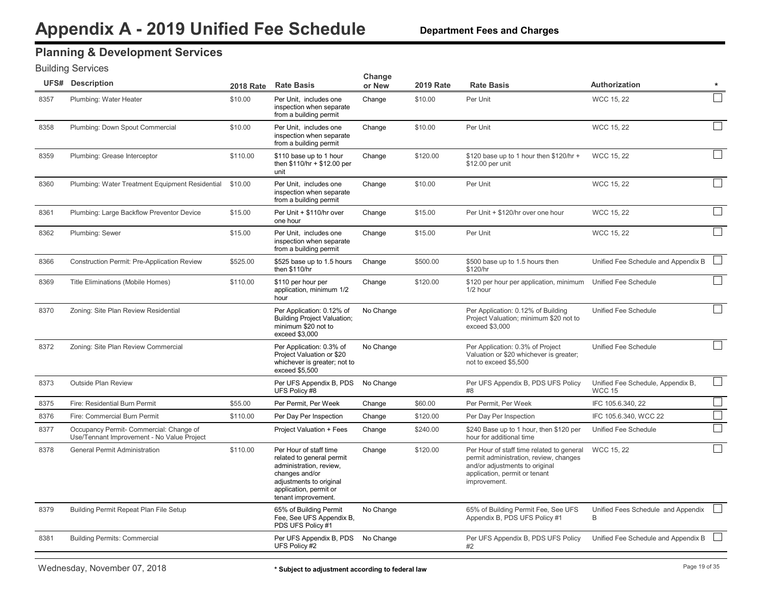### **Planning & Development Services**

|      | <b>UFS# Description</b>                                                               | <b>2018 Rate</b> | <b>Rate Basis</b>                                                                                                                                                            | Change<br>or New | <b>2019 Rate</b> | <b>Rate Basis</b>                                                                                                                                                      | <b>Authorization</b>                               | $\star$       |
|------|---------------------------------------------------------------------------------------|------------------|------------------------------------------------------------------------------------------------------------------------------------------------------------------------------|------------------|------------------|------------------------------------------------------------------------------------------------------------------------------------------------------------------------|----------------------------------------------------|---------------|
| 8357 | Plumbing: Water Heater                                                                | \$10.00          | Per Unit, includes one<br>inspection when separate<br>from a building permit                                                                                                 | Change           | \$10.00          | Per Unit                                                                                                                                                               | WCC 15, 22                                         |               |
| 8358 | Plumbing: Down Spout Commercial                                                       | \$10.00          | Per Unit, includes one<br>inspection when separate<br>from a building permit                                                                                                 | Change           | \$10.00          | Per Unit                                                                                                                                                               | <b>WCC 15, 22</b>                                  |               |
| 8359 | Plumbing: Grease Interceptor                                                          | \$110.00         | \$110 base up to 1 hour<br>then \$110/hr + \$12.00 per<br>unit                                                                                                               | Change           | \$120.00         | \$120 base up to 1 hour then \$120/hr +<br>\$12.00 per unit                                                                                                            | <b>WCC 15, 22</b>                                  |               |
| 8360 | Plumbing: Water Treatment Equipment Residential                                       | \$10.00          | Per Unit, includes one<br>inspection when separate<br>from a building permit                                                                                                 | Change           | \$10.00          | Per Unit                                                                                                                                                               | WCC 15, 22                                         |               |
| 8361 | Plumbing: Large Backflow Preventor Device                                             | \$15.00          | Per Unit + \$110/hr over<br>one hour                                                                                                                                         | Change           | \$15.00          | Per Unit + \$120/hr over one hour                                                                                                                                      | <b>WCC 15, 22</b>                                  |               |
| 8362 | Plumbing: Sewer                                                                       | \$15.00          | Per Unit, includes one<br>inspection when separate<br>from a building permit                                                                                                 | Change           | \$15.00          | Per Unit                                                                                                                                                               | WCC 15, 22                                         |               |
| 8366 | <b>Construction Permit: Pre-Application Review</b>                                    | \$525.00         | \$525 base up to 1.5 hours<br>then \$110/hr                                                                                                                                  | Change           | \$500.00         | \$500 base up to 1.5 hours then<br>\$120/hr                                                                                                                            | Unified Fee Schedule and Appendix B                |               |
| 8369 | Title Eliminations (Mobile Homes)                                                     | \$110.00         | \$110 per hour per<br>application, minimum 1/2<br>hour                                                                                                                       | Change           | \$120.00         | \$120 per hour per application, minimum Unified Fee Schedule<br>1/2 hour                                                                                               |                                                    |               |
| 8370 | Zoning: Site Plan Review Residential                                                  |                  | Per Application: 0.12% of<br><b>Building Project Valuation;</b><br>minimum \$20 not to<br>exceed \$3,000                                                                     | No Change        |                  | Per Application: 0.12% of Building<br>Project Valuation; minimum \$20 not to<br>exceed \$3,000                                                                         | Unified Fee Schedule                               |               |
| 8372 | Zoning: Site Plan Review Commercial                                                   |                  | Per Application: 0.3% of<br>Project Valuation or \$20<br>whichever is greater; not to<br>exceed \$5,500                                                                      | No Change        |                  | Per Application: 0.3% of Project<br>Valuation or \$20 whichever is greater;<br>not to exceed \$5,500                                                                   | Unified Fee Schedule                               |               |
| 8373 | <b>Outside Plan Review</b>                                                            |                  | Per UFS Appendix B, PDS<br>UFS Policy #8                                                                                                                                     | No Change        |                  | Per UFS Appendix B, PDS UFS Policy<br>#8                                                                                                                               | Unified Fee Schedule, Appendix B,<br><b>WCC 15</b> |               |
| 8375 | Fire: Residential Burn Permit                                                         | \$55.00          | Per Permit, Per Week                                                                                                                                                         | Change           | \$60.00          | Per Permit. Per Week                                                                                                                                                   | IFC 105.6.340, 22                                  | $\mathbf{1}$  |
| 8376 | Fire: Commercial Burn Permit                                                          | \$110.00         | Per Day Per Inspection                                                                                                                                                       | Change           | \$120.00         | Per Day Per Inspection                                                                                                                                                 | IFC 105.6.340, WCC 22                              |               |
| 8377 | Occupancy Permit- Commercial: Change of<br>Use/Tennant Improvement - No Value Project |                  | Project Valuation + Fees                                                                                                                                                     | Change           | \$240.00         | \$240 Base up to 1 hour, then \$120 per<br>hour for additional time                                                                                                    | Unified Fee Schedule                               | $\mathcal{L}$ |
| 8378 | <b>General Permit Administration</b>                                                  | \$110.00         | Per Hour of staff time<br>related to general permit<br>administration, review,<br>changes and/or<br>adjustments to original<br>application, permit or<br>tenant improvement. | Change           | \$120.00         | Per Hour of staff time related to general<br>permit administration, review, changes<br>and/or adjustments to original<br>application, permit or tenant<br>improvement. | <b>WCC 15, 22</b>                                  |               |
| 8379 | Building Permit Repeat Plan File Setup                                                |                  | 65% of Building Permit<br>Fee, See UFS Appendix B,<br>PDS UFS Policy #1                                                                                                      | No Change        |                  | 65% of Building Permit Fee, See UFS<br>Appendix B, PDS UFS Policy #1                                                                                                   | Unified Fees Schedule and Appendix<br>B            |               |
| 8381 | <b>Building Permits: Commercial</b>                                                   |                  | Per UFS Appendix B, PDS<br>UFS Policy #2                                                                                                                                     | No Change        |                  | Per UFS Appendix B, PDS UFS Policy<br>#2                                                                                                                               | Unified Fee Schedule and Appendix B                |               |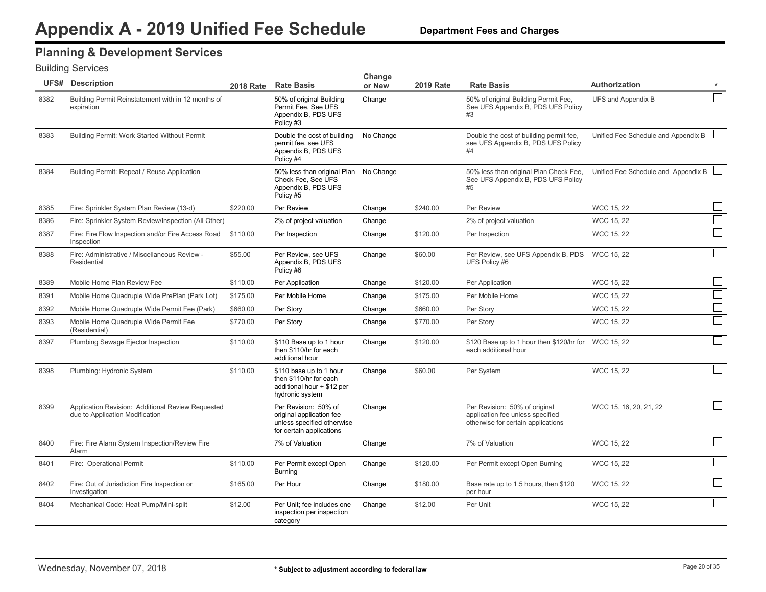## **Planning & Development Services**

|      | <b>UFS# Description</b>                                                              |          | 2018 Rate Rate Basis                                                                                       | Change<br>or New | <b>2019 Rate</b> | <b>Rate Basis</b>                                                                                       | <b>Authorization</b>                | $\star$ |
|------|--------------------------------------------------------------------------------------|----------|------------------------------------------------------------------------------------------------------------|------------------|------------------|---------------------------------------------------------------------------------------------------------|-------------------------------------|---------|
| 8382 | Building Permit Reinstatement with in 12 months of<br>expiration                     |          | 50% of original Building<br>Permit Fee, See UFS<br>Appendix B, PDS UFS<br>Policy #3                        | Change           |                  | 50% of original Building Permit Fee.<br>See UFS Appendix B, PDS UFS Policy<br>#3                        | UFS and Appendix B                  |         |
| 8383 | Building Permit: Work Started Without Permit                                         |          | Double the cost of building<br>permit fee, see UFS<br>Appendix B, PDS UFS<br>Policy #4                     | No Change        |                  | Double the cost of building permit fee.<br>see UFS Appendix B, PDS UFS Policy<br>#4                     | Unified Fee Schedule and Appendix B |         |
| 8384 | Building Permit: Repeat / Reuse Application                                          |          | 50% less than original Plan No Change<br>Check Fee. See UFS<br>Appendix B, PDS UFS<br>Policy #5            |                  |                  | 50% less than original Plan Check Fee.<br>See UFS Appendix B, PDS UFS Policy<br>#5                      | Unified Fee Schedule and Appendix B |         |
| 8385 | Fire: Sprinkler System Plan Review (13-d)                                            | \$220.00 | Per Review                                                                                                 | Change           | \$240.00         | Per Review                                                                                              | <b>WCC 15, 22</b>                   |         |
| 8386 | Fire: Sprinkler System Review/Inspection (All Other)                                 |          | 2% of project valuation                                                                                    | Change           |                  | 2% of project valuation                                                                                 | <b>WCC 15, 22</b>                   |         |
| 8387 | Fire: Fire Flow Inspection and/or Fire Access Road<br>Inspection                     | \$110.00 | Per Inspection                                                                                             | Change           | \$120.00         | Per Inspection                                                                                          | WCC 15, 22                          |         |
| 8388 | Fire: Administrative / Miscellaneous Review -<br>Residential                         | \$55.00  | Per Review, see UFS<br>Appendix B, PDS UFS<br>Policy #6                                                    | Change           | \$60.00          | Per Review, see UFS Appendix B, PDS WCC 15, 22<br>UFS Policy #6                                         |                                     |         |
| 8389 | Mobile Home Plan Review Fee                                                          | \$110.00 | Per Application                                                                                            | Change           | \$120.00         | Per Application                                                                                         | WCC 15, 22                          |         |
| 8391 | Mobile Home Quadruple Wide PrePlan (Park Lot)                                        | \$175.00 | Per Mobile Home                                                                                            | Change           | \$175.00         | Per Mobile Home                                                                                         | WCC 15, 22                          | $\Box$  |
| 8392 | Mobile Home Quadruple Wide Permit Fee (Park)                                         | \$660.00 | Per Story                                                                                                  | Change           | \$660.00         | Per Story                                                                                               | <b>WCC 15, 22</b>                   |         |
| 8393 | Mobile Home Quadruple Wide Permit Fee<br>(Residential)                               | \$770.00 | Per Story                                                                                                  | Change           | \$770.00         | Per Story                                                                                               | <b>WCC 15, 22</b>                   |         |
| 8397 | Plumbing Sewage Ejector Inspection                                                   | \$110.00 | \$110 Base up to 1 hour<br>then \$110/hr for each<br>additional hour                                       | Change           | \$120.00         | \$120 Base up to 1 hour then \$120/hr for WCC 15, 22<br>each additional hour                            |                                     |         |
| 8398 | Plumbing: Hydronic System                                                            | \$110.00 | \$110 base up to 1 hour<br>then \$110/hr for each<br>additional hour + \$12 per<br>hydronic system         | Change           | \$60.00          | Per System                                                                                              | WCC 15, 22                          |         |
| 8399 | Application Revision: Additional Review Requested<br>due to Application Modification |          | Per Revision: 50% of<br>original application fee<br>unless specified otherwise<br>for certain applications | Change           |                  | Per Revision: 50% of original<br>application fee unless specified<br>otherwise for certain applications | WCC 15, 16, 20, 21, 22              |         |
| 8400 | Fire: Fire Alarm System Inspection/Review Fire<br>Alarm                              |          | 7% of Valuation                                                                                            | Change           |                  | 7% of Valuation                                                                                         | WCC 15, 22                          |         |
| 8401 | Fire: Operational Permit                                                             | \$110.00 | Per Permit except Open<br><b>Burning</b>                                                                   | Change           | \$120.00         | Per Permit except Open Burning                                                                          | <b>WCC 15, 22</b>                   |         |
| 8402 | Fire: Out of Jurisdiction Fire Inspection or<br>Investigation                        | \$165.00 | Per Hour                                                                                                   | Change           | \$180.00         | Base rate up to 1.5 hours, then \$120<br>per hour                                                       | <b>WCC 15, 22</b>                   |         |
| 8404 | Mechanical Code: Heat Pump/Mini-split                                                | \$12.00  | Per Unit; fee includes one<br>inspection per inspection<br>category                                        | Change           | \$12.00          | Per Unit                                                                                                | <b>WCC 15, 22</b>                   |         |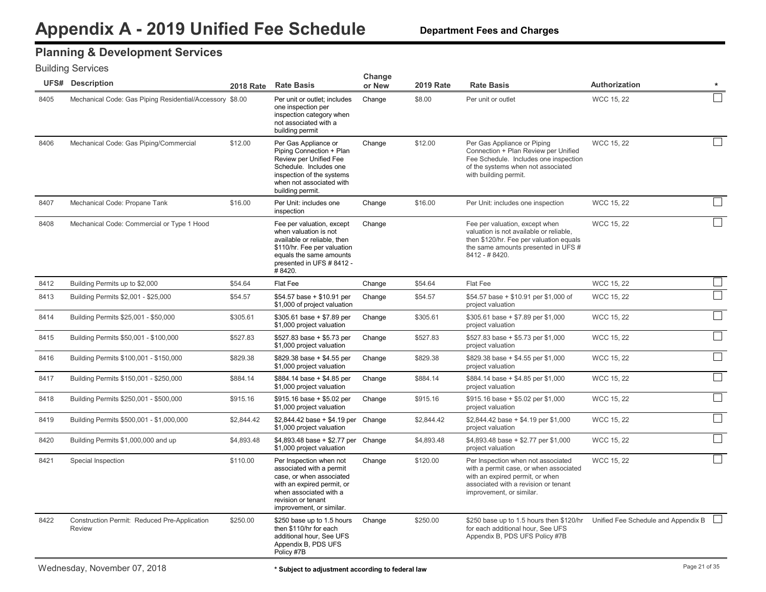### **Planning & Development Services**

|      | <b>UFS# Description</b>                                       |            | 2018 Rate Rate Basis                                                                                                                                                                      | Change<br>or New | <b>2019 Rate</b> | <b>Rate Basis</b>                                                                                                                                                                   | Authorization                                                                | $\star$ |
|------|---------------------------------------------------------------|------------|-------------------------------------------------------------------------------------------------------------------------------------------------------------------------------------------|------------------|------------------|-------------------------------------------------------------------------------------------------------------------------------------------------------------------------------------|------------------------------------------------------------------------------|---------|
| 8405 | Mechanical Code: Gas Piping Residential/Accessory \$8.00      |            | Per unit or outlet; includes<br>one inspection per<br>inspection category when<br>not associated with a<br>building permit                                                                | Change           | \$8.00           | Per unit or outlet                                                                                                                                                                  | <b>WCC 15, 22</b>                                                            |         |
| 8406 | Mechanical Code: Gas Piping/Commercial                        | \$12.00    | Per Gas Appliance or<br>Piping Connection + Plan<br>Review per Unified Fee<br>Schedule. Includes one<br>inspection of the systems<br>when not associated with<br>building permit.         | Change           | \$12.00          | Per Gas Appliance or Piping<br>Connection + Plan Review per Unified<br>Fee Schedule. Includes one inspection<br>of the systems when not associated<br>with building permit.         | <b>WCC 15, 22</b>                                                            |         |
| 8407 | Mechanical Code: Propane Tank                                 | \$16.00    | Per Unit: includes one<br>inspection                                                                                                                                                      | Change           | \$16.00          | Per Unit: includes one inspection                                                                                                                                                   | WCC 15, 22                                                                   |         |
| 8408 | Mechanical Code: Commercial or Type 1 Hood                    |            | Fee per valuation, except<br>when valuation is not<br>available or reliable, then<br>\$110/hr. Fee per valuation<br>equals the same amounts<br>presented in UFS # 8412 -<br>#8420.        | Change           |                  | Fee per valuation, except when<br>valuation is not available or reliable.<br>then \$120/hr. Fee per valuation equals<br>the same amounts presented in UFS #<br>8412 - #8420.        | <b>WCC 15, 22</b>                                                            |         |
| 8412 | Building Permits up to \$2,000                                | \$54.64    | Flat Fee                                                                                                                                                                                  | Change           | \$54.64          | Flat Fee                                                                                                                                                                            | <b>WCC 15, 22</b>                                                            |         |
| 8413 | Building Permits \$2,001 - \$25,000                           | \$54.57    | \$54.57 base + \$10.91 per<br>\$1,000 of project valuation                                                                                                                                | Change           | \$54.57          | \$54.57 base + \$10.91 per \$1,000 of<br>project valuation                                                                                                                          | <b>WCC 15, 22</b>                                                            |         |
| 8414 | Building Permits \$25,001 - \$50,000                          | \$305.61   | $$305.61$ base + \$7.89 per<br>\$1,000 project valuation                                                                                                                                  | Change           | \$305.61         | \$305.61 base + \$7.89 per \$1,000<br>project valuation                                                                                                                             | <b>WCC 15, 22</b>                                                            |         |
| 8415 | Building Permits \$50,001 - \$100,000                         | \$527.83   | \$527.83 base + \$5.73 per<br>\$1,000 project valuation                                                                                                                                   | Change           | \$527.83         | \$527.83 base + \$5.73 per \$1,000<br>project valuation                                                                                                                             | <b>WCC 15, 22</b>                                                            |         |
| 8416 | Building Permits \$100,001 - \$150,000                        | \$829.38   | \$829.38 base + \$4.55 per<br>\$1,000 project valuation                                                                                                                                   | Change           | \$829.38         | \$829.38 base + \$4.55 per \$1,000<br>project valuation                                                                                                                             | <b>WCC 15, 22</b>                                                            |         |
| 8417 | Building Permits \$150,001 - \$250,000                        | \$884.14   | $$884.14$ base + \$4.85 per<br>\$1,000 project valuation                                                                                                                                  | Change           | \$884.14         | \$884.14 base + \$4.85 per \$1,000<br>project valuation                                                                                                                             | <b>WCC 15, 22</b>                                                            |         |
| 8418 | Building Permits \$250,001 - \$500,000                        | \$915.16   | $$915.16$ base + \$5.02 per<br>\$1,000 project valuation                                                                                                                                  | Change           | \$915.16         | \$915.16 base + \$5.02 per \$1,000<br>project valuation                                                                                                                             | <b>WCC 15, 22</b>                                                            |         |
| 8419 | Building Permits \$500,001 - \$1,000,000                      | \$2,844.42 | \$2,844.42 base + \$4.19 per Change<br>\$1,000 project valuation                                                                                                                          |                  | \$2,844.42       | \$2,844.42 base + \$4.19 per \$1,000<br>project valuation                                                                                                                           | <b>WCC 15, 22</b>                                                            |         |
| 8420 | Building Permits \$1,000,000 and up                           | \$4,893.48 | \$4,893.48 base + \$2.77 per Change<br>\$1,000 project valuation                                                                                                                          |                  | \$4,893.48       | $$4,893.48$ base + \$2.77 per \$1,000<br>project valuation                                                                                                                          | WCC 15, 22                                                                   |         |
| 8421 | Special Inspection                                            | \$110.00   | Per Inspection when not<br>associated with a permit<br>case, or when associated<br>with an expired permit, or<br>when associated with a<br>revision or tenant<br>improvement, or similar. | Change           | \$120.00         | Per Inspection when not associated<br>with a permit case, or when associated<br>with an expired permit, or when<br>associated with a revision or tenant<br>improvement, or similar. | <b>WCC 15, 22</b>                                                            |         |
| 8422 | Construction Permit: Reduced Pre-Application<br><b>Review</b> | \$250.00   | \$250 base up to 1.5 hours<br>then \$110/hr for each<br>additional hour, See UFS<br>Appendix B, PDS UFS<br>Policy #7B                                                                     | Change           | \$250.00         | for each additional hour. See UFS<br>Appendix B, PDS UFS Policy #7B                                                                                                                 | \$250 base up to 1.5 hours then \$120/hr Unified Fee Schedule and Appendix B |         |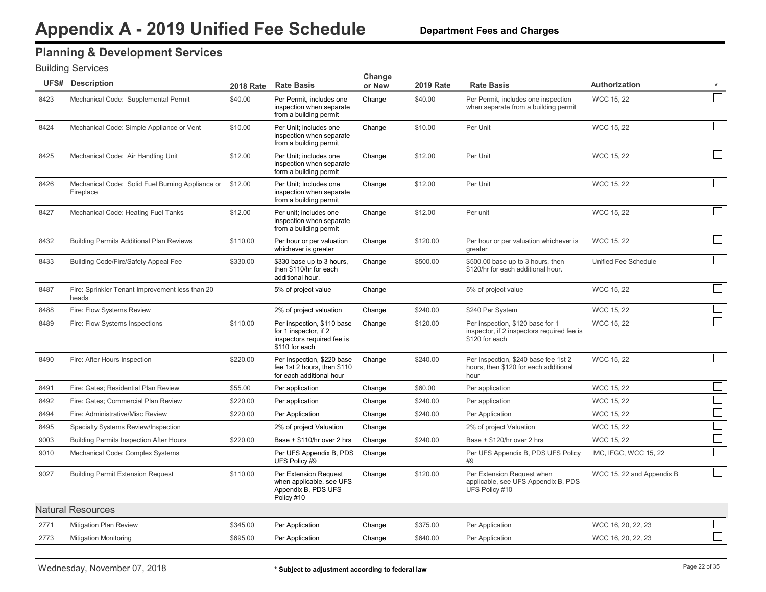### **Planning & Development Services**

|      | <b>UFS# Description</b>                                       | <b>2018 Rate</b> | <b>Rate Basis</b>                                                                                   | Change<br>or New | <b>2019 Rate</b> | <b>Rate Basis</b>                                                                                | Authorization             |                          |
|------|---------------------------------------------------------------|------------------|-----------------------------------------------------------------------------------------------------|------------------|------------------|--------------------------------------------------------------------------------------------------|---------------------------|--------------------------|
| 8423 | Mechanical Code: Supplemental Permit                          | \$40.00          | Per Permit, includes one<br>inspection when separate<br>from a building permit                      | Change           | \$40.00          | Per Permit, includes one inspection<br>when separate from a building permit                      | WCC 15, 22                |                          |
| 8424 | Mechanical Code: Simple Appliance or Vent                     | \$10.00          | Per Unit; includes one<br>inspection when separate<br>from a building permit                        | Change           | \$10.00          | Per Unit                                                                                         | <b>WCC 15, 22</b>         |                          |
| 8425 | Mechanical Code: Air Handling Unit                            | \$12.00          | Per Unit; includes one<br>inspection when separate<br>form a building permit                        | Change           | \$12.00          | Per Unit                                                                                         | <b>WCC 15, 22</b>         |                          |
| 8426 | Mechanical Code: Solid Fuel Burning Appliance or<br>Fireplace | \$12.00          | Per Unit: Includes one<br>inspection when separate<br>from a building permit                        | Change           | \$12.00          | Per Unit                                                                                         | <b>WCC 15, 22</b>         |                          |
| 8427 | Mechanical Code: Heating Fuel Tanks                           | \$12.00          | Per unit; includes one<br>inspection when separate<br>from a building permit                        | Change           | \$12.00          | Per unit                                                                                         | <b>WCC 15, 22</b>         |                          |
| 8432 | <b>Building Permits Additional Plan Reviews</b>               | \$110.00         | Per hour or per valuation<br>whichever is greater                                                   | Change           | \$120.00         | Per hour or per valuation whichever is<br>greater                                                | WCC 15, 22                |                          |
| 8433 | Building Code/Fire/Safety Appeal Fee                          | \$330.00         | \$330 base up to 3 hours,<br>then \$110/hr for each<br>additional hour.                             | Change           | \$500.00         | \$500.00 base up to 3 hours, then<br>\$120/hr for each additional hour.                          | Unified Fee Schedule      |                          |
| 8487 | Fire: Sprinkler Tenant Improvement less than 20<br>heads      |                  | 5% of project value                                                                                 | Change           |                  | 5% of project value                                                                              | WCC 15, 22                |                          |
| 8488 | Fire: Flow Systems Review                                     |                  | 2% of project valuation                                                                             | Change           | \$240.00         | \$240 Per System                                                                                 | <b>WCC 15, 22</b>         |                          |
| 8489 | Fire: Flow Systems Inspections                                | \$110.00         | Per inspection, \$110 base<br>for 1 inspector, if 2<br>inspectors required fee is<br>\$110 for each | Change           | \$120.00         | Per inspection, \$120 base for 1<br>inspector, if 2 inspectors required fee is<br>\$120 for each | <b>WCC 15, 22</b>         |                          |
| 8490 | Fire: After Hours Inspection                                  | \$220.00         | Per Inspection, \$220 base<br>fee 1st 2 hours, then \$110<br>for each additional hour               | Change           | \$240.00         | Per Inspection, \$240 base fee 1st 2<br>hours, then \$120 for each additional<br>hour            | <b>WCC 15, 22</b>         |                          |
| 8491 | Fire: Gates; Residential Plan Review                          | \$55.00          | Per application                                                                                     | Change           | \$60.00          | Per application                                                                                  | WCC 15, 22                |                          |
| 8492 | Fire: Gates; Commercial Plan Review                           | \$220.00         | Per application                                                                                     | Change           | \$240.00         | Per application                                                                                  | WCC 15, 22                | $\overline{\phantom{a}}$ |
| 8494 | Fire: Administrative/Misc Review                              | \$220.00         | Per Application                                                                                     | Change           | \$240.00         | Per Application                                                                                  | <b>WCC 15, 22</b>         | $\mathcal{L}$            |
| 8495 | Specialty Systems Review/Inspection                           |                  | 2% of project Valuation                                                                             | Change           |                  | 2% of project Valuation                                                                          | <b>WCC 15, 22</b>         |                          |
| 9003 | <b>Building Permits Inspection After Hours</b>                | \$220.00         | Base + \$110/hr over 2 hrs                                                                          | Change           | \$240.00         | Base + \$120/hr over 2 hrs                                                                       | <b>WCC 15, 22</b>         |                          |
| 9010 | Mechanical Code: Complex Systems                              |                  | Per UFS Appendix B, PDS<br>UFS Policy #9                                                            | Change           |                  | Per UFS Appendix B, PDS UFS Policy<br>#9                                                         | IMC, IFGC, WCC 15, 22     |                          |
| 9027 | <b>Building Permit Extension Request</b>                      | \$110.00         | Per Extension Request<br>when applicable, see UFS<br>Appendix B, PDS UFS<br>Policy #10              | Change           | \$120.00         | Per Extension Request when<br>applicable, see UFS Appendix B, PDS<br>UFS Policy #10              | WCC 15, 22 and Appendix B |                          |
|      | <b>Natural Resources</b>                                      |                  |                                                                                                     |                  |                  |                                                                                                  |                           |                          |
| 2771 | Mitigation Plan Review                                        | \$345.00         | Per Application                                                                                     | Change           | \$375.00         | Per Application                                                                                  | WCC 16, 20, 22, 23        |                          |
| 2773 | <b>Mitigation Monitoring</b>                                  | \$695.00         | Per Application                                                                                     | Change           | \$640.00         | Per Application                                                                                  | WCC 16, 20, 22, 23        |                          |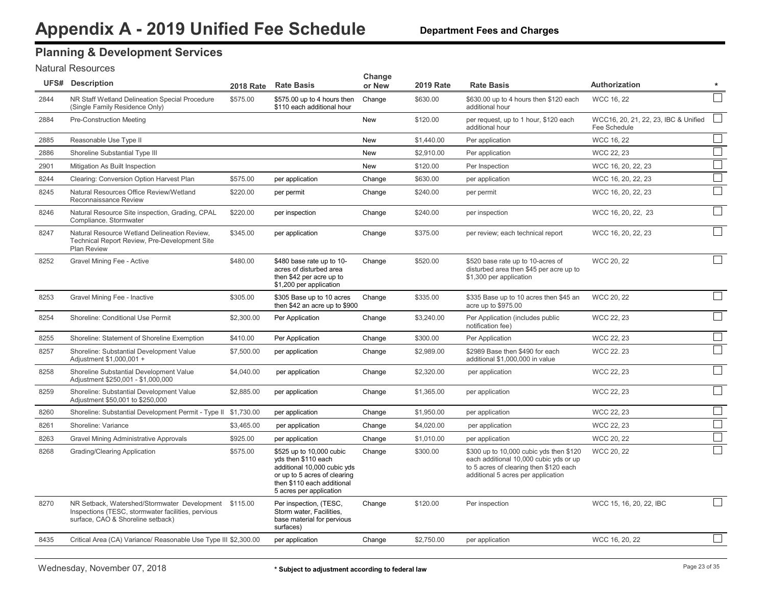## **Planning & Development Services**

#### Natural Resources

|      | <b>UFS# Description</b>                                                                                                                          | <b>2018 Rate</b> | <b>Rate Basis</b>                                                                                                                                                       | Change<br>or New | <b>2019 Rate</b> | <b>Rate Basis</b>                                                                                                                                                 | Authorization                                        | $\star$           |
|------|--------------------------------------------------------------------------------------------------------------------------------------------------|------------------|-------------------------------------------------------------------------------------------------------------------------------------------------------------------------|------------------|------------------|-------------------------------------------------------------------------------------------------------------------------------------------------------------------|------------------------------------------------------|-------------------|
| 2844 | NR Staff Wetland Delineation Special Procedure<br>(Single Family Residence Only)                                                                 | \$575.00         | \$575.00 up to 4 hours then<br>\$110 each additional hour                                                                                                               | Change           | \$630.00         | \$630.00 up to 4 hours then \$120 each<br>additional hour                                                                                                         | WCC 16, 22                                           |                   |
| 2884 | Pre-Construction Meeting                                                                                                                         |                  |                                                                                                                                                                         | <b>New</b>       | \$120.00         | per request, up to 1 hour, \$120 each<br>additional hour                                                                                                          | WCC16, 20, 21, 22, 23, IBC & Unified<br>Fee Schedule | $\vert \ \ \vert$ |
| 2885 | Reasonable Use Type II                                                                                                                           |                  |                                                                                                                                                                         | <b>New</b>       | \$1,440.00       | Per application                                                                                                                                                   | WCC 16, 22                                           |                   |
| 2886 | Shoreline Substantial Type III                                                                                                                   |                  |                                                                                                                                                                         | <b>New</b>       | \$2,910.00       | Per application                                                                                                                                                   | WCC 22, 23                                           | $\Box$            |
| 2901 | Mitigation As Built Inspection                                                                                                                   |                  |                                                                                                                                                                         | New              | \$120.00         | Per Inspection                                                                                                                                                    | WCC 16, 20, 22, 23                                   | $\Box$            |
| 8244 | Clearing: Conversion Option Harvest Plan                                                                                                         | \$575.00         | per application                                                                                                                                                         | Change           | \$630.00         | per application                                                                                                                                                   | WCC 16, 20, 22, 23                                   | $\Box$            |
| 8245 | Natural Resources Office Review/Wetland<br>Reconnaissance Review                                                                                 | \$220.00         | per permit                                                                                                                                                              | Change           | \$240.00         | per permit                                                                                                                                                        | WCC 16, 20, 22, 23                                   | $\Box$            |
| 8246 | Natural Resource Site inspection, Grading, CPAL<br>Compliance. Stormwater                                                                        | \$220.00         | per inspection                                                                                                                                                          | Change           | \$240.00         | per inspection                                                                                                                                                    | WCC 16, 20, 22, 23                                   |                   |
| 8247 | Natural Resource Wetland Delineation Review,<br>Technical Report Review, Pre-Development Site<br>Plan Review                                     | \$345.00         | per application                                                                                                                                                         | Change           | \$375.00         | per review; each technical report                                                                                                                                 | WCC 16, 20, 22, 23                                   | $\mathcal{L}$     |
| 8252 | Gravel Mining Fee - Active                                                                                                                       | \$480.00         | \$480 base rate up to 10-<br>acres of disturbed area<br>then \$42 per acre up to<br>\$1,200 per application                                                             | Change           | \$520.00         | \$520 base rate up to 10-acres of<br>disturbed area then \$45 per acre up to<br>\$1,300 per application                                                           | WCC 20, 22                                           | $\vert \ \ \vert$ |
| 8253 | Gravel Mining Fee - Inactive                                                                                                                     | \$305.00         | \$305 Base up to 10 acres<br>then \$42 an acre up to \$900                                                                                                              | Change           | \$335.00         | \$335 Base up to 10 acres then \$45 an<br>acre up to \$975.00                                                                                                     | WCC 20, 22                                           |                   |
| 8254 | Shoreline: Conditional Use Permit                                                                                                                | \$2,300.00       | Per Application                                                                                                                                                         | Change           | \$3,240.00       | Per Application (includes public<br>notification fee)                                                                                                             | WCC 22, 23                                           | $\mathcal{L}$     |
| 8255 | Shoreline: Statement of Shoreline Exemption                                                                                                      | \$410.00         | Per Application                                                                                                                                                         | Change           | \$300.00         | Per Application                                                                                                                                                   | WCC 22, 23                                           |                   |
| 8257 | Shoreline: Substantial Development Value<br>Adjustment \$1,000,001 +                                                                             | \$7,500.00       | per application                                                                                                                                                         | Change           | \$2,989.00       | \$2989 Base then \$490 for each<br>additional \$1,000,000 in value                                                                                                | WCC 22.23                                            |                   |
| 8258 | Shoreline Substantial Development Value<br>Adjustment \$250,001 - \$1,000,000                                                                    | \$4,040.00       | per application                                                                                                                                                         | Change           | \$2,320.00       | per application                                                                                                                                                   | WCC 22, 23                                           |                   |
| 8259 | Shoreline: Substantial Development Value<br>Adjustment \$50,001 to \$250,000                                                                     | \$2,885.00       | per application                                                                                                                                                         | Change           | \$1,365.00       | per application                                                                                                                                                   | WCC 22, 23                                           |                   |
| 8260 | Shoreline: Substantial Development Permit - Type II \$1,730.00                                                                                   |                  | per application                                                                                                                                                         | Change           | \$1,950.00       | per application                                                                                                                                                   | WCC 22, 23                                           | $\Box$            |
| 8261 | Shoreline: Variance                                                                                                                              | \$3,465.00       | per application                                                                                                                                                         | Change           | \$4,020.00       | per application                                                                                                                                                   | WCC 22, 23                                           | $\Box$            |
| 8263 | <b>Gravel Mining Administrative Approvals</b>                                                                                                    | \$925.00         | per application                                                                                                                                                         | Change           | \$1,010.00       | per application                                                                                                                                                   | WCC 20, 22                                           | $\Box$            |
| 8268 | Grading/Clearing Application                                                                                                                     | \$575.00         | \$525 up to 10,000 cubic<br>yds then \$110 each<br>additional 10,000 cubic yds<br>or up to 5 acres of clearing<br>then \$110 each additional<br>5 acres per application | Change           | \$300.00         | \$300 up to 10,000 cubic yds then \$120<br>each additional 10,000 cubic yds or up<br>to 5 acres of clearing then \$120 each<br>additional 5 acres per application | WCC 20, 22                                           |                   |
| 8270 | NR Setback, Watershed/Stormwater Development \$115.00<br>Inspections (TESC, stormwater facilities, pervious<br>surface, CAO & Shoreline setback) |                  | Per inspection, (TESC,<br>Storm water, Facilities,<br>base material for pervious<br>surfaces)                                                                           | Change           | \$120.00         | Per inspection                                                                                                                                                    | WCC 15, 16, 20, 22, IBC                              |                   |
| 8435 | Critical Area (CA) Variance/ Reasonable Use Type III \$2,300.00                                                                                  |                  | per application                                                                                                                                                         | Change           | \$2,750.00       | per application                                                                                                                                                   | WCC 16, 20, 22                                       | $\Box$            |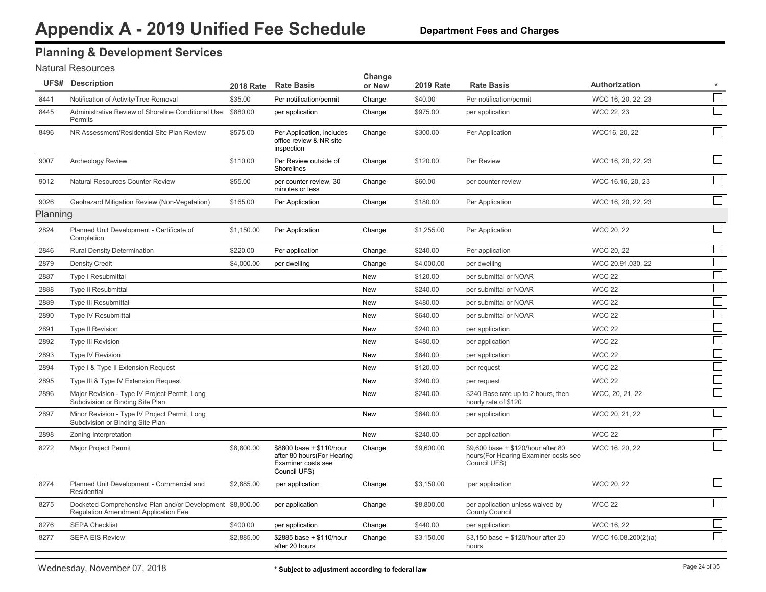# **Planning & Development Services**

#### Natural Resources

|          | <b>UFS# Description</b>                                                                           | 2018 Rate  | <b>Rate Basis</b>                                                                             | Change<br>or New | <b>2019 Rate</b> | <b>Rate Basis</b>                                                                           | Authorization       | $\star$                     |
|----------|---------------------------------------------------------------------------------------------------|------------|-----------------------------------------------------------------------------------------------|------------------|------------------|---------------------------------------------------------------------------------------------|---------------------|-----------------------------|
| 8441     | Notification of Activity/Tree Removal                                                             | \$35.00    | Per notification/permit                                                                       | Change           | \$40.00          | Per notification/permit                                                                     | WCC 16, 20, 22, 23  | $\overline{\phantom{a}}$    |
| 8445     | Administrative Review of Shoreline Conditional Use<br>Permits                                     | \$880.00   | per application                                                                               | Change           | \$975.00         | per application                                                                             | WCC 22, 23          |                             |
| 8496     | NR Assessment/Residential Site Plan Review                                                        | \$575.00   | Per Application, includes<br>office review & NR site<br>inspection                            | Change           | \$300.00         | Per Application                                                                             | WCC16, 20, 22       |                             |
| 9007     | Archeology Review                                                                                 | \$110.00   | Per Review outside of<br>Shorelines                                                           | Change           | \$120.00         | Per Review                                                                                  | WCC 16, 20, 22, 23  |                             |
| 9012     | Natural Resources Counter Review                                                                  | \$55.00    | per counter review, 30<br>minutes or less                                                     | Change           | \$60.00          | per counter review                                                                          | WCC 16.16, 20, 23   | $\mathcal{L}$               |
| 9026     | Geohazard Mitigation Review (Non-Vegetation)                                                      | \$165.00   | Per Application                                                                               | Change           | \$180.00         | Per Application                                                                             | WCC 16, 20, 22, 23  |                             |
| Planning |                                                                                                   |            |                                                                                               |                  |                  |                                                                                             |                     |                             |
| 2824     | Planned Unit Development - Certificate of<br>Completion                                           | \$1,150.00 | Per Application                                                                               | Change           | \$1,255.00       | Per Application                                                                             | WCC 20, 22          | $\mathcal{L}_{\mathcal{A}}$ |
| 2846     | Rural Density Determination                                                                       | \$220.00   | Per application                                                                               | Change           | \$240.00         | Per application                                                                             | WCC 20, 22          |                             |
| 2879     | <b>Density Credit</b>                                                                             | \$4,000.00 | per dwelling                                                                                  | Change           | \$4,000.00       | per dwelling                                                                                | WCC 20.91.030, 22   |                             |
| 2887     | <b>Type I Resubmittal</b>                                                                         |            |                                                                                               | New              | \$120.00         | per submittal or NOAR                                                                       | <b>WCC 22</b>       |                             |
| 2888     | <b>Type II Resubmittal</b>                                                                        |            |                                                                                               | New              | \$240.00         | per submittal or NOAR                                                                       | <b>WCC 22</b>       |                             |
| 2889     | <b>Type III Resubmittal</b>                                                                       |            |                                                                                               | <b>New</b>       | \$480.00         | per submittal or NOAR                                                                       | <b>WCC 22</b>       |                             |
| 2890     | <b>Type IV Resubmittal</b>                                                                        |            |                                                                                               | New              | \$640.00         | per submittal or NOAR                                                                       | <b>WCC 22</b>       |                             |
| 2891     | <b>Type II Revision</b>                                                                           |            |                                                                                               | New              | \$240.00         | per application                                                                             | <b>WCC 22</b>       |                             |
| 2892     | <b>Type III Revision</b>                                                                          |            |                                                                                               | <b>New</b>       | \$480.00         | per application                                                                             | <b>WCC 22</b>       |                             |
| 2893     | Type IV Revision                                                                                  |            |                                                                                               | New              | \$640.00         | per application                                                                             | <b>WCC 22</b>       |                             |
| 2894     | Type I & Type II Extension Request                                                                |            |                                                                                               | New              | \$120.00         | per request                                                                                 | <b>WCC 22</b>       |                             |
| 2895     | Type III & Type IV Extension Request                                                              |            |                                                                                               | New              | \$240.00         | per request                                                                                 | <b>WCC 22</b>       | $\mathcal{L}_{\mathcal{A}}$ |
| 2896     | Major Revision - Type IV Project Permit, Long<br>Subdivision or Binding Site Plan                 |            |                                                                                               | New              | \$240.00         | \$240 Base rate up to 2 hours, then<br>hourly rate of \$120                                 | WCC, 20, 21, 22     |                             |
| 2897     | Minor Revision - Type IV Project Permit, Long<br>Subdivision or Binding Site Plan                 |            |                                                                                               | <b>New</b>       | \$640.00         | per application                                                                             | WCC 20, 21, 22      |                             |
| 2898     | Zoning Interpretation                                                                             |            |                                                                                               | New              | \$240.00         | per application                                                                             | <b>WCC 22</b>       |                             |
| 8272     | Major Project Permit                                                                              | \$8,800.00 | \$8800 base + \$110/hour<br>after 80 hours (For Hearing<br>Examiner costs see<br>Council UFS) | Change           | \$9,600.00       | \$9,600 base + \$120/hour after 80<br>hours (For Hearing Examiner costs see<br>Council UFS) | WCC 16, 20, 22      |                             |
| 8274     | Planned Unit Development - Commercial and<br>Residential                                          | \$2,885.00 | per application                                                                               | Change           | \$3,150.00       | per application                                                                             | WCC 20, 22          | $\mathcal{L}_{\mathcal{A}}$ |
| 8275     | Docketed Comprehensive Plan and/or Development \$8,800.00<br>Regulation Amendment Application Fee |            | per application                                                                               | Change           | \$8,800.00       | per application unless waived by<br><b>County Council</b>                                   | <b>WCC 22</b>       |                             |
| 8276     | <b>SEPA Checklist</b>                                                                             | \$400.00   | per application                                                                               | Change           | \$440.00         | per application                                                                             | WCC 16, 22          |                             |
| 8277     | <b>SEPA EIS Review</b>                                                                            | \$2,885.00 | \$2885 base + \$110/hour<br>after 20 hours                                                    | Change           | \$3,150.00       | \$3,150 base + \$120/hour after 20<br>hours                                                 | WCC 16.08.200(2)(a) |                             |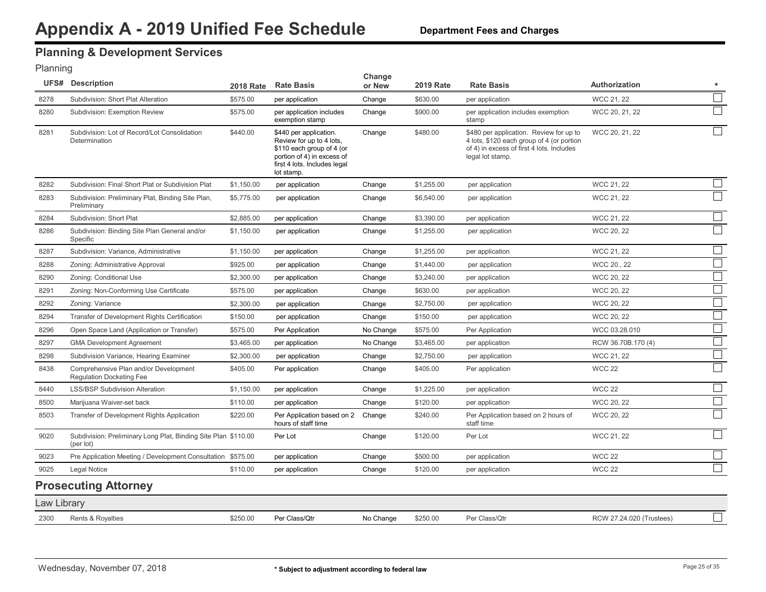### <span id="page-25-0"></span>**Planning & Development Services**

#### Planning

|             | <b>UFS# Description</b>                                                     |            | 2018 Rate Rate Basis                                                                                                                                        | Change<br>or New | <b>2019 Rate</b> | <b>Rate Basis</b>                                                                                                                                     | <b>Authorization</b>     | $\star$ |
|-------------|-----------------------------------------------------------------------------|------------|-------------------------------------------------------------------------------------------------------------------------------------------------------------|------------------|------------------|-------------------------------------------------------------------------------------------------------------------------------------------------------|--------------------------|---------|
| 8278        | Subdivision: Short Plat Alteration                                          | \$575.00   | per application                                                                                                                                             | Change           | \$630.00         | per application                                                                                                                                       | WCC 21, 22               | $\Box$  |
| 8280        | Subdivision: Exemption Review                                               | \$575.00   | per application includes<br>exemption stamp                                                                                                                 | Change           | \$900.00         | per application includes exemption<br>stamp                                                                                                           | WCC 20, 21, 22           |         |
| 8281        | Subdivision: Lot of Record/Lot Consolidation<br>Determination               | \$440.00   | \$440 per application.<br>Review for up to 4 lots,<br>\$110 each group of 4 (or<br>portion of 4) in excess of<br>first 4 lots. Includes legal<br>lot stamp. | Change           | \$480.00         | \$480 per application. Review for up to<br>4 lots, \$120 each group of 4 (or portion<br>of 4) in excess of first 4 lots. Includes<br>legal lot stamp. | WCC 20, 21, 22           |         |
| 8282        | Subdivision: Final Short Plat or Subdivision Plat                           | \$1,150.00 | per application                                                                                                                                             | Change           | \$1,255.00       | per application                                                                                                                                       | WCC 21, 22               |         |
| 8283        | Subdivision: Preliminary Plat, Binding Site Plan,<br>Preliminary            | \$5,775.00 | per application                                                                                                                                             | Change           | \$6,540.00       | per application                                                                                                                                       | WCC 21, 22               |         |
| 8284        | Subdivision: Short Plat                                                     | \$2,885.00 | per application                                                                                                                                             | Change           | \$3,390.00       | per application                                                                                                                                       | WCC 21, 22               | l a     |
| 8286        | Subdivision: Binding Site Plan General and/or<br>Specific                   | \$1,150.00 | per application                                                                                                                                             | Change           | \$1,255.00       | per application                                                                                                                                       | WCC 20, 22               |         |
| 8287        | Subdivision: Variance, Administrative                                       | \$1,150.00 | per application                                                                                                                                             | Change           | \$1,255.00       | per application                                                                                                                                       | WCC 21, 22               |         |
| 8288        | Zoning: Administrative Approval                                             | \$925.00   | per application                                                                                                                                             | Change           | \$1,440.00       | per application                                                                                                                                       | WCC 20., 22              |         |
| 8290        | Zoning: Conditional Use                                                     | \$2,300.00 | per application                                                                                                                                             | Change           | \$3,240.00       | per application                                                                                                                                       | WCC 20, 22               |         |
| 8291        | Zoning: Non-Conforming Use Certificate                                      | \$575.00   | per application                                                                                                                                             | Change           | \$630.00         | per application                                                                                                                                       | WCC 20, 22               |         |
| 8292        | Zoning: Variance                                                            | \$2,300.00 | per application                                                                                                                                             | Change           | \$2,750.00       | per application                                                                                                                                       | WCC 20, 22               |         |
| 8294        | Transfer of Development Rights Certification                                | \$150.00   | per application                                                                                                                                             | Change           | \$150.00         | per application                                                                                                                                       | WCC 20, 22               |         |
| 8296        | Open Space Land (Application or Transfer)                                   | \$575.00   | Per Application                                                                                                                                             | No Change        | \$575.00         | Per Application                                                                                                                                       | WCC 03.28.010            |         |
| 8297        | <b>GMA Development Agreement</b>                                            | \$3,465.00 | per application                                                                                                                                             | No Change        | \$3,465.00       | per application                                                                                                                                       | RCW 36.70B.170 (4)       |         |
| 8298        | Subdivision Variance, Hearing Examiner                                      | \$2,300.00 | per application                                                                                                                                             | Change           | \$2,750.00       | per application                                                                                                                                       | WCC 21, 22               |         |
| 8438        | Comprehensive Plan and/or Development<br><b>Requlation Docketing Fee</b>    | \$405.00   | Per application                                                                                                                                             | Change           | \$405.00         | Per application                                                                                                                                       | <b>WCC 22</b>            |         |
| 8440        | <b>LSS/BSP Subdivision Alteration</b>                                       | \$1,150.00 | per application                                                                                                                                             | Change           | \$1,225.00       | per application                                                                                                                                       | <b>WCC 22</b>            |         |
| 8500        | Marijuana Waiver-set back                                                   | \$110.00   | per application                                                                                                                                             | Change           | \$120.00         | per application                                                                                                                                       | WCC 20, 22               |         |
| 8503        | Transfer of Development Rights Application                                  | \$220.00   | Per Application based on 2 Change<br>hours of staff time                                                                                                    |                  | \$240.00         | Per Application based on 2 hours of<br>staff time                                                                                                     | WCC 20, 22               |         |
| 9020        | Subdivision: Preliminary Long Plat, Binding Site Plan \$110.00<br>(per lot) |            | Per Lot                                                                                                                                                     | Change           | \$120.00         | Per Lot                                                                                                                                               | WCC 21, 22               |         |
| 9023        | Pre Application Meeting / Development Consultation \$575.00                 |            | per application                                                                                                                                             | Change           | \$500.00         | per application                                                                                                                                       | <b>WCC 22</b>            |         |
| 9025        | <b>Legal Notice</b>                                                         | \$110.00   | per application                                                                                                                                             | Change           | \$120.00         | per application                                                                                                                                       | <b>WCC 22</b>            |         |
|             | <b>Prosecuting Attorney</b>                                                 |            |                                                                                                                                                             |                  |                  |                                                                                                                                                       |                          |         |
| Law Library |                                                                             |            |                                                                                                                                                             |                  |                  |                                                                                                                                                       |                          |         |
| 2300        | Rents & Royalties                                                           | \$250.00   | Per Class/Qtr                                                                                                                                               | No Change        | \$250.00         | Per Class/Qtr                                                                                                                                         | RCW 27.24.020 (Trustees) |         |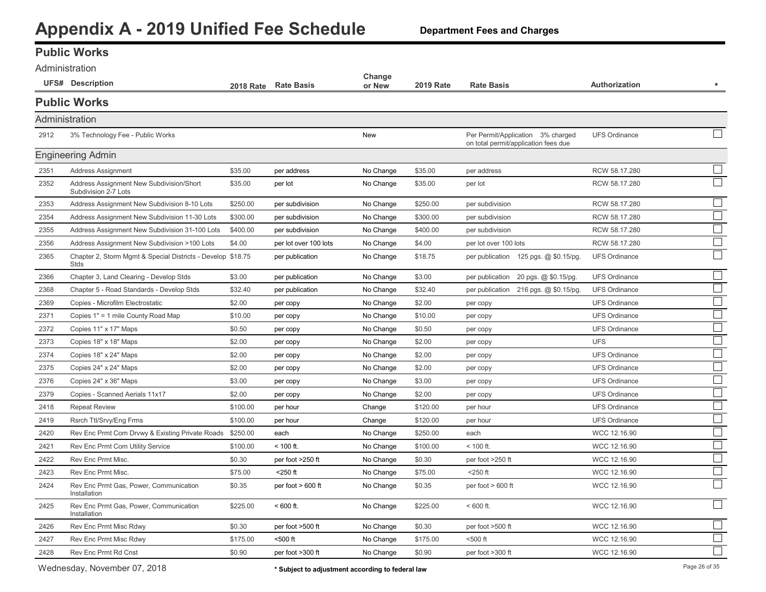**Department Fees and Charges**

#### <span id="page-26-0"></span>**Public Works** Administration

| AUITIII IISU dUVIT |                                                                     |          |                       | Change    |                  |                                                                           |                      |                             |
|--------------------|---------------------------------------------------------------------|----------|-----------------------|-----------|------------------|---------------------------------------------------------------------------|----------------------|-----------------------------|
|                    | <b>UFS#</b> Description                                             |          | 2018 Rate Rate Basis  | or New    | <b>2019 Rate</b> | <b>Rate Basis</b>                                                         | Authorization        | $\star$                     |
|                    | <b>Public Works</b>                                                 |          |                       |           |                  |                                                                           |                      |                             |
| Administration     |                                                                     |          |                       |           |                  |                                                                           |                      |                             |
| 2912               | 3% Technology Fee - Public Works                                    |          |                       | New       |                  | Per Permit/Application 3% charged<br>on total permit/application fees due | <b>UFS Ordinance</b> |                             |
|                    | <b>Engineering Admin</b>                                            |          |                       |           |                  |                                                                           |                      |                             |
| 2351               | Address Assignment                                                  | \$35.00  | per address           | No Change | \$35.00          | per address                                                               | RCW 58.17.280        |                             |
| 2352               | Address Assignment New Subdivision/Short<br>Subdivision 2-7 Lots    | \$35.00  | per lot               | No Change | \$35.00          | per lot                                                                   | RCW 58.17.280        |                             |
| 2353               | Address Assignment New Subdivision 8-10 Lots                        | \$250.00 | per subdivision       | No Change | \$250.00         | per subdivision                                                           | RCW 58.17.280        |                             |
| 2354               | Address Assignment New Subdivision 11-30 Lots                       | \$300.00 | per subdivision       | No Change | \$300.00         | per subdivision                                                           | RCW 58.17.280        | $\mathcal{L}_{\mathcal{A}}$ |
| 2355               | Address Assignment New Subdivision 31-100 Lots                      | \$400.00 | per subdivision       | No Change | \$400.00         | per subdivision                                                           | RCW 58.17.280        | $\mathcal{L}_{\mathcal{A}}$ |
| 2356               | Address Assignment New Subdivision >100 Lots                        | \$4.00   | per lot over 100 lots | No Change | \$4.00           | per lot over 100 lots                                                     | RCW 58.17.280        |                             |
| 2365               | Chapter 2, Storm Mgmt & Special Districts - Develop \$18.75<br>Stds |          | per publication       | No Change | \$18.75          | per publication 125 pgs. @ \$0.15/pg.                                     | <b>UFS Ordinance</b> |                             |
| 2366               | Chapter 3, Land Clearing - Develop Stds                             | \$3.00   | per publication       | No Change | \$3.00           | per publication 20 pgs. @ \$0.15/pg.                                      | <b>UFS Ordinance</b> |                             |
| 2368               | Chapter 5 - Road Standards - Develop Stds                           | \$32.40  | per publication       | No Change | \$32.40          | per publication 216 pgs. @ \$0.15/pg.                                     | <b>UFS Ordinance</b> |                             |
| 2369               | Copies - Microfilm Electrostatic                                    | \$2.00   | per copy              | No Change | \$2.00           | per copy                                                                  | <b>UFS Ordinance</b> |                             |
| 2371               | Copies 1" = 1 mile County Road Map                                  | \$10.00  | per copy              | No Change | \$10.00          | per copy                                                                  | <b>UFS Ordinance</b> |                             |
| 2372               | Copies 11" x 17" Maps                                               | \$0.50   | per copy              | No Change | \$0.50           | per copy                                                                  | <b>UFS Ordinance</b> |                             |
| 2373               | Copies 18" x 18" Maps                                               | \$2.00   | per copy              | No Change | \$2.00           | per copy                                                                  | <b>UFS</b>           |                             |
| 2374               | Copies 18" x 24" Maps                                               | \$2.00   | per copy              | No Change | \$2.00           | per copy                                                                  | <b>UFS Ordinance</b> |                             |
| 2375               | Copies 24" x 24" Maps                                               | \$2.00   | per copy              | No Change | \$2.00           | per copy                                                                  | <b>UFS Ordinance</b> | $\mathcal{L}_{\mathcal{A}}$ |
| 2376               | Copies 24" x 36" Maps                                               | \$3.00   | per copy              | No Change | \$3.00           | per copy                                                                  | <b>UFS Ordinance</b> |                             |
| 2379               | Copies - Scanned Aerials 11x17                                      | \$2.00   | per copy              | No Change | \$2.00           | per copy                                                                  | <b>UFS Ordinance</b> | $\mathcal{L}_{\mathcal{A}}$ |
| 2418               | <b>Repeat Review</b>                                                | \$100.00 | per hour              | Change    | \$120.00         | per hour                                                                  | <b>UFS Ordinance</b> | $\mathcal{L}_{\mathcal{A}}$ |
| 2419               | Rsrch Ttl/Srvy/Eng Frms                                             | \$100.00 | per hour              | Change    | \$120.00         | per hour                                                                  | <b>UFS Ordinance</b> | $\mathcal{L}_{\mathcal{A}}$ |
| 2420               | Rev Enc Prmt Com Drvwy & Existing Private Roads \$250.00            |          | each                  | No Change | \$250.00         | each                                                                      | WCC 12.16.90         | $\mathcal{L}_{\mathcal{A}}$ |
| 2421               | Rev Enc Prmt Com Utility Service                                    | \$100.00 | $< 100$ ft.           | No Change | \$100.00         | $< 100$ ft.                                                               | WCC 12.16.90         | $\mathcal{L}_{\mathcal{A}}$ |
| 2422               | Rev Enc Prmt Misc.                                                  | \$0.30   | per foot >250 ft      | No Change | \$0.30           | per foot >250 ft                                                          | WCC 12.16.90         | $\Box$                      |
| 2423               | Rev Enc Prmt Misc.                                                  | \$75.00  | <250 ft               | No Change | \$75.00          | $<$ 250 ft                                                                | WCC 12.16.90         | $\mathcal{L}_{\text{max}}$  |
| 2424               | Rev Enc Prmt Gas, Power, Communication<br>Installation              | \$0.35   | per foot > 600 ft     | No Change | \$0.35           | per foot $> 600$ ft                                                       | WCC 12.16.90         | $\mathcal{L}_{\mathcal{A}}$ |
| 2425               | Rev Enc Prmt Gas, Power, Communication<br>Installation              | \$225.00 | $< 600$ ft.           | No Change | \$225.00         | $< 600$ ft.                                                               | WCC 12.16.90         |                             |
| 2426               | Rev Enc Prmt Misc Rdwy                                              | \$0.30   | per foot >500 ft      | No Change | \$0.30           | per foot >500 ft                                                          | WCC 12.16.90         |                             |
| 2427               | Rev Enc Prmt Misc Rdwy                                              | \$175.00 | <500 ft               | No Change | \$175.00         | <500 ft                                                                   | WCC 12.16.90         |                             |
| 2428               | Rev Enc Prmt Rd Cnst                                                | \$0.90   | per foot >300 ft      | No Change | \$0.90           | per foot >300 ft                                                          | WCC 12.16.90         |                             |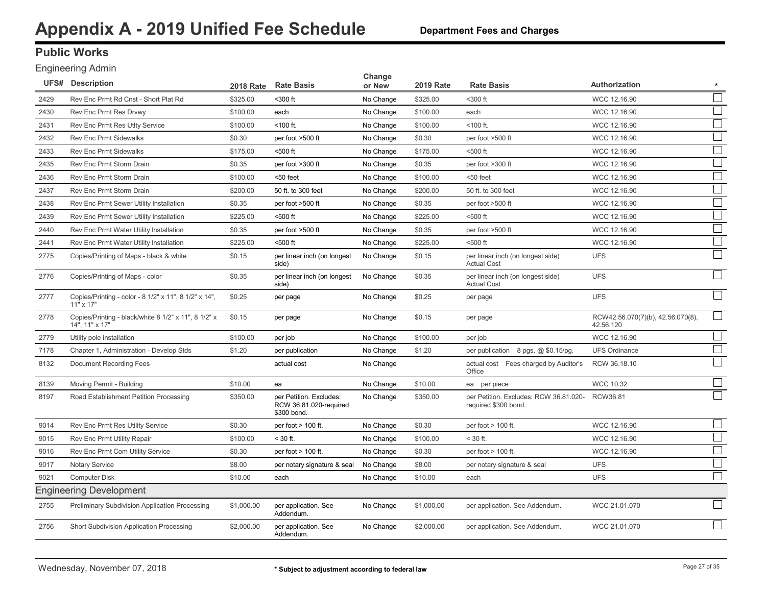### **Public Works**

#### Engineering Admin

|      | <b>UFS# Description</b>                                                   | <b>2018 Rate</b> | <b>Rate Basis</b>                                                | Change<br>or New | <b>2019 Rate</b> | <b>Rate Basis</b>                                              | Authorization                                  |                          |
|------|---------------------------------------------------------------------------|------------------|------------------------------------------------------------------|------------------|------------------|----------------------------------------------------------------|------------------------------------------------|--------------------------|
| 2429 | Rev Enc Prmt Rd Cnst - Short Plat Rd                                      | \$325.00         | <300 ft                                                          | No Change        | \$325.00         | <300 ft                                                        | WCC 12.16.90                                   |                          |
| 2430 | Rev Enc Prmt Res Drvwy                                                    | \$100.00         | each                                                             | No Change        | \$100.00         | each                                                           | WCC 12.16.90                                   |                          |
| 2431 | Rev Enc Prmt Res Utlty Service                                            | \$100.00         | <100 ft.                                                         | No Change        | \$100.00         | $<$ 100 ft.                                                    | WCC 12.16.90                                   |                          |
| 2432 | <b>Rev Enc Prmt Sidewalks</b>                                             | \$0.30           | per foot >500 ft                                                 | No Change        | \$0.30           | per foot >500 ft                                               | WCC 12.16.90                                   |                          |
| 2433 | <b>Rev Enc Prmt Sidewalks</b>                                             | \$175.00         | <500 ft                                                          | No Change        | \$175.00         | $500$ ft                                                       | WCC 12.16.90                                   |                          |
| 2435 | Rev Enc Prmt Storm Drain                                                  | \$0.35           | per foot >300 ft                                                 | No Change        | \$0.35           | per foot >300 ft                                               | WCC 12.16.90                                   |                          |
| 2436 | Rev Enc Prmt Storm Drain                                                  | \$100.00         | <50 feet                                                         | No Change        | \$100.00         | $50$ feet                                                      | WCC 12.16.90                                   |                          |
| 2437 | Rev Enc Prmt Storm Drain                                                  | \$200.00         | 50 ft. to 300 feet                                               | No Change        | \$200.00         | 50 ft. to 300 feet                                             | WCC 12.16.90                                   |                          |
| 2438 | Rev Enc Prmt Sewer Utility Installation                                   | \$0.35           | per foot >500 ft                                                 | No Change        | \$0.35           | per foot >500 ft                                               | WCC 12.16.90                                   | $\sim$                   |
| 2439 | Rev Enc Prmt Sewer Utility Installation                                   | \$225.00         | <500 ft                                                          | No Change        | \$225.00         | <500 ft                                                        | WCC 12.16.90                                   | $\overline{\phantom{a}}$ |
| 2440 | Rev Enc Prmt Water Utility Installation                                   | \$0.35           | per foot >500 ft                                                 | No Change        | \$0.35           | per foot >500 ft                                               | WCC 12.16.90                                   |                          |
| 2441 | Rev Enc Prmt Water Utility Installation                                   | \$225.00         | <500 ft                                                          | No Change        | \$225.00         | <500 ft                                                        | WCC 12.16.90                                   |                          |
| 2775 | Copies/Printing of Maps - black & white                                   | \$0.15           | per linear inch (on longest<br>side)                             | No Change        | \$0.15           | per linear inch (on longest side)<br><b>Actual Cost</b>        | <b>UFS</b>                                     |                          |
| 2776 | Copies/Printing of Maps - color                                           | \$0.35           | per linear inch (on longest<br>side)                             | No Change        | \$0.35           | per linear inch (on longest side)<br><b>Actual Cost</b>        | <b>UFS</b>                                     |                          |
| 2777 | Copies/Printing - color - 8 1/2" x 11", 8 1/2" x 14",<br>$11" \times 17"$ | \$0.25           | per page                                                         | No Change        | \$0.25           | per page                                                       | <b>UFS</b>                                     |                          |
| 2778 | Copies/Printing - black/white 8 1/2" x 11", 8 1/2" x<br>14", 11" x 17"    | \$0.15           | per page                                                         | No Change        | \$0.15           | per page                                                       | RCW42.56.070(7)(b), 42.56.070(8),<br>42.56.120 |                          |
| 2779 | Utility pole installation                                                 | \$100.00         | per job                                                          | No Change        | \$100.00         | per job                                                        | WCC 12.16.90                                   |                          |
| 7178 | Chapter 1, Administration - Develop Stds                                  | \$1.20           | per publication                                                  | No Change        | \$1.20           | per publication 8 pgs. @ \$0.15/pg.                            | <b>UFS Ordinance</b>                           |                          |
| 8132 | <b>Document Recording Fees</b>                                            |                  | actual cost                                                      | No Change        |                  | actual cost Fees charged by Auditor's<br>Office                | RCW 36.18.10                                   |                          |
| 8139 | Moving Permit - Building                                                  | \$10.00          | ea                                                               | No Change        | \$10.00          | ea per piece                                                   | <b>WCC 10.32</b>                               |                          |
| 8197 | Road Establishment Petition Processing                                    | \$350.00         | per Petition. Excludes:<br>RCW 36.81.020-required<br>\$300 bond. | No Change        | \$350.00         | per Petition. Excludes: RCW 36.81.020-<br>required \$300 bond. | RCW36.81                                       |                          |
| 9014 | Rev Enc Prmt Res Utility Service                                          | \$0.30           | per foot $> 100$ ft.                                             | No Change        | \$0.30           | per foot $> 100$ ft.                                           | WCC 12.16.90                                   |                          |
| 9015 | Rev Enc Prmt Utility Repair                                               | \$100.00         | $<$ 30 ft.                                                       | No Change        | \$100.00         | $<$ 30 ft.                                                     | WCC 12.16.90                                   |                          |
| 9016 | Rev Enc Prmt Com Utility Service                                          | \$0.30           | per foot $> 100$ ft.                                             | No Change        | \$0.30           | per foot $> 100$ ft.                                           | WCC 12.16.90                                   |                          |
| 9017 | <b>Notary Service</b>                                                     | \$8.00           | per notary signature & seal                                      | No Change        | \$8.00           | per notary signature & seal                                    | <b>UFS</b>                                     |                          |
| 9021 | <b>Computer Disk</b>                                                      | \$10.00          | each                                                             | No Change        | \$10.00          | each                                                           | <b>UFS</b>                                     |                          |
|      | <b>Engineering Development</b>                                            |                  |                                                                  |                  |                  |                                                                |                                                |                          |
| 2755 | Preliminary Subdivision Application Processing                            | \$1,000.00       | per application. See<br>Addendum.                                | No Change        | \$1,000.00       | per application. See Addendum.                                 | WCC 21.01.070                                  |                          |
| 2756 | Short Subdivision Application Processing                                  | \$2,000.00       | per application. See<br>Addendum.                                | No Change        | \$2,000.00       | per application. See Addendum.                                 | WCC 21.01.070                                  |                          |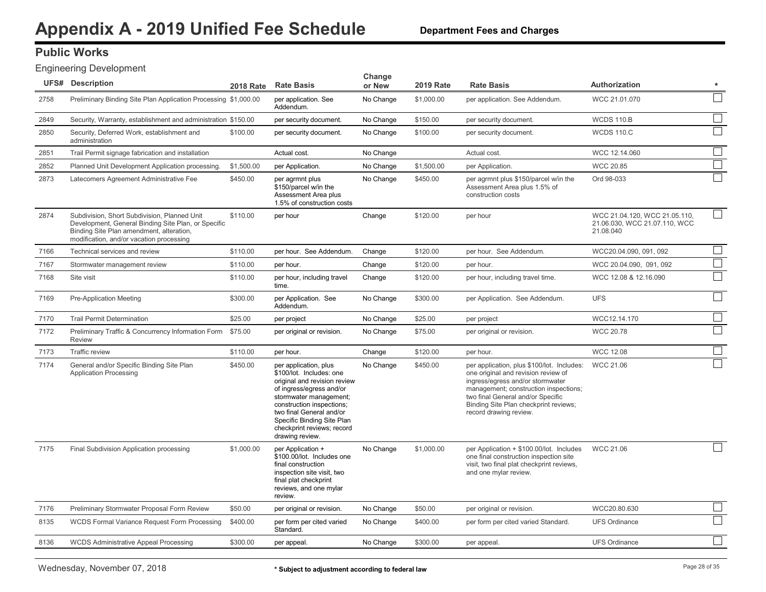### **Public Works**

#### Engineering Development

|      | <b>UFS# Description</b>                                                                                                                                                                     | <b>2018 Rate</b> | <b>Rate Basis</b>                                                                                                                                                                                                                                                               | Change<br>or New | <b>2019 Rate</b> | <b>Rate Basis</b>                                                                                                                                                                                                                                                      | <b>Authorization</b>                                                        | $\star$                     |
|------|---------------------------------------------------------------------------------------------------------------------------------------------------------------------------------------------|------------------|---------------------------------------------------------------------------------------------------------------------------------------------------------------------------------------------------------------------------------------------------------------------------------|------------------|------------------|------------------------------------------------------------------------------------------------------------------------------------------------------------------------------------------------------------------------------------------------------------------------|-----------------------------------------------------------------------------|-----------------------------|
| 2758 | Preliminary Binding Site Plan Application Processing \$1,000.00                                                                                                                             |                  | per application. See<br>Addendum.                                                                                                                                                                                                                                               | No Change        | \$1,000.00       | per application. See Addendum.                                                                                                                                                                                                                                         | WCC 21.01.070                                                               |                             |
| 2849 | Security, Warranty, establishment and administration \$150.00                                                                                                                               |                  | per security document.                                                                                                                                                                                                                                                          | No Change        | \$150.00         | per security document.                                                                                                                                                                                                                                                 | <b>WCDS 110.B</b>                                                           | $\mathcal{L}_{\mathcal{A}}$ |
| 2850 | Security, Deferred Work, establishment and<br>administration                                                                                                                                | \$100.00         | per security document.                                                                                                                                                                                                                                                          | No Change        | \$100.00         | per security document.                                                                                                                                                                                                                                                 | <b>WCDS 110.C</b>                                                           |                             |
| 2851 | Trail Permit signage fabrication and installation                                                                                                                                           |                  | Actual cost.                                                                                                                                                                                                                                                                    | No Change        |                  | Actual cost.                                                                                                                                                                                                                                                           | WCC 12.14.060                                                               |                             |
| 2852 | Planned Unit Development Application processing.                                                                                                                                            | \$1,500.00       | per Application.                                                                                                                                                                                                                                                                | No Change        | \$1,500.00       | per Application.                                                                                                                                                                                                                                                       | <b>WCC 20.85</b>                                                            |                             |
| 2873 | Latecomers Agreement Administrative Fee                                                                                                                                                     | \$450.00         | per agrmnt plus<br>\$150/parcel w/in the<br>Assessment Area plus<br>1.5% of construction costs                                                                                                                                                                                  | No Change        | \$450.00         | per agrmnt plus \$150/parcel w/in the<br>Assessment Area plus 1.5% of<br>construction costs                                                                                                                                                                            | Ord 98-033                                                                  |                             |
| 2874 | Subdivision, Short Subdivision, Planned Unit<br>Development, General Binding Site Plan, or Specific<br>Binding Site Plan amendment, alteration,<br>modification, and/or vacation processing | \$110.00         | per hour                                                                                                                                                                                                                                                                        | Change           | \$120.00         | per hour                                                                                                                                                                                                                                                               | WCC 21.04.120, WCC 21.05.110,<br>21.06.030, WCC 21.07.110, WCC<br>21.08.040 |                             |
| 7166 | Technical services and review                                                                                                                                                               | \$110.00         | per hour. See Addendum.                                                                                                                                                                                                                                                         | Change           | \$120.00         | per hour. See Addendum.                                                                                                                                                                                                                                                | WCC20.04.090, 091, 092                                                      |                             |
| 7167 | Stormwater management review                                                                                                                                                                | \$110.00         | per hour.                                                                                                                                                                                                                                                                       | Change           | \$120.00         | per hour.                                                                                                                                                                                                                                                              | WCC 20.04.090, 091, 092                                                     | $\mathcal{L}_{\mathcal{A}}$ |
| 7168 | Site visit                                                                                                                                                                                  | \$110.00         | per hour, including travel<br>time.                                                                                                                                                                                                                                             | Change           | \$120.00         | per hour, including travel time.                                                                                                                                                                                                                                       | WCC 12.08 & 12.16.090                                                       |                             |
| 7169 | <b>Pre-Application Meeting</b>                                                                                                                                                              | \$300.00         | per Application. See<br>Addendum.                                                                                                                                                                                                                                               | No Change        | \$300.00         | per Application. See Addendum.                                                                                                                                                                                                                                         | <b>UFS</b>                                                                  | $\mathcal{L}^{\mathcal{A}}$ |
| 7170 | <b>Trail Permit Determination</b>                                                                                                                                                           | \$25.00          | per project                                                                                                                                                                                                                                                                     | No Change        | \$25.00          | per project                                                                                                                                                                                                                                                            | WCC12.14.170                                                                |                             |
| 7172 | Preliminary Traffic & Concurrency Information Form \$75.00<br><b>Review</b>                                                                                                                 |                  | per original or revision.                                                                                                                                                                                                                                                       | No Change        | \$75.00          | per original or revision.                                                                                                                                                                                                                                              | <b>WCC 20.78</b>                                                            |                             |
| 7173 | <b>Traffic review</b>                                                                                                                                                                       | \$110.00         | per hour.                                                                                                                                                                                                                                                                       | Change           | \$120.00         | per hour.                                                                                                                                                                                                                                                              | <b>WCC 12.08</b>                                                            |                             |
| 7174 | General and/or Specific Binding Site Plan<br><b>Application Processing</b>                                                                                                                  | \$450.00         | per application, plus<br>\$100/lot. Includes: one<br>original and revision review<br>of ingress/egress and/or<br>stormwater management;<br>construction inspections;<br>two final General and/or<br>Specific Binding Site Plan<br>checkprint reviews; record<br>drawing review. | No Change        | \$450.00         | per application, plus \$100/lot. Includes:<br>one original and revision review of<br>ingress/egress and/or stormwater<br>management; construction inspections;<br>two final General and/or Specific<br>Binding Site Plan checkprint reviews;<br>record drawing review. | WCC 21.06                                                                   |                             |
| 7175 | Final Subdivision Application processing                                                                                                                                                    | \$1,000.00       | per Application +<br>\$100.00/lot. Includes one<br>final construction<br>inspection site visit, two<br>final plat checkprint<br>reviews, and one mylar<br>review.                                                                                                               | No Change        | \$1,000.00       | per Application + \$100.00/lot. Includes<br>one final construction inspection site<br>visit, two final plat checkprint reviews,<br>and one mylar review.                                                                                                               | WCC 21.06                                                                   |                             |
| 7176 | Preliminary Stormwater Proposal Form Review                                                                                                                                                 | \$50.00          | per original or revision.                                                                                                                                                                                                                                                       | No Change        | \$50.00          | per original or revision.                                                                                                                                                                                                                                              | WCC20.80.630                                                                | $\overline{\phantom{a}}$    |
| 8135 | <b>WCDS Formal Variance Request Form Processing</b>                                                                                                                                         | \$400.00         | per form per cited varied<br>Standard.                                                                                                                                                                                                                                          | No Change        | \$400.00         | per form per cited varied Standard.                                                                                                                                                                                                                                    | <b>UFS Ordinance</b>                                                        |                             |
| 8136 | <b>WCDS Administrative Appeal Processing</b>                                                                                                                                                | \$300.00         | per appeal.                                                                                                                                                                                                                                                                     | No Change        | \$300.00         | per appeal.                                                                                                                                                                                                                                                            | <b>UFS Ordinance</b>                                                        |                             |
|      |                                                                                                                                                                                             |                  |                                                                                                                                                                                                                                                                                 |                  |                  |                                                                                                                                                                                                                                                                        |                                                                             |                             |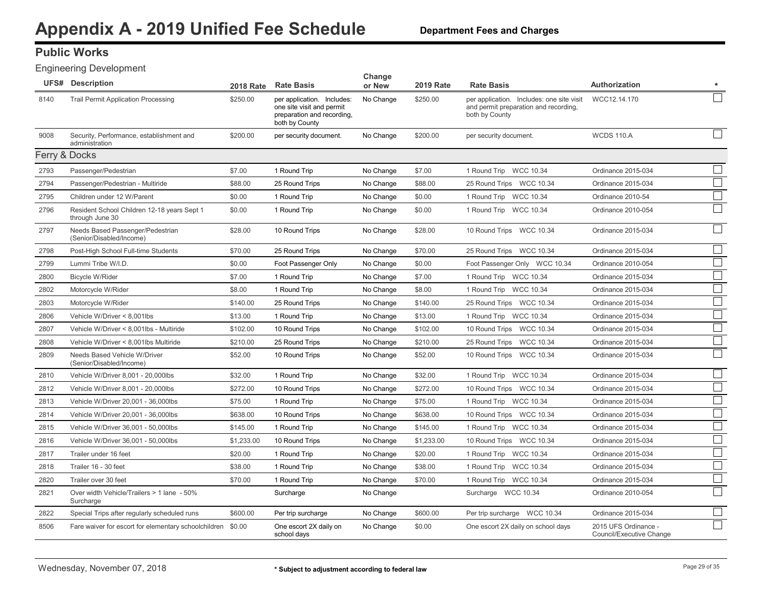#### **Department Fees and Charges**

### **Public Works**

#### Engineering Development

|               | <b>UFS# Description</b>                                        | <b>2018 Rate</b> | <b>Rate Basis</b>                                                                                       | Change<br>or New | <b>2019 Rate</b> | <b>Rate Basis</b>                                                                                    | Authorization                                    |                             |
|---------------|----------------------------------------------------------------|------------------|---------------------------------------------------------------------------------------------------------|------------------|------------------|------------------------------------------------------------------------------------------------------|--------------------------------------------------|-----------------------------|
| 8140          | <b>Trail Permit Application Processing</b>                     | \$250.00         | per application. Includes:<br>one site visit and permit<br>preparation and recording.<br>both by County | No Change        | \$250.00         | per application. Includes: one site visit<br>and permit preparation and recording,<br>both by County | WCC12.14.170                                     |                             |
| 9008          | Security, Performance, establishment and<br>administration     | \$200.00         | per security document.                                                                                  | No Change        | \$200.00         | per security document.                                                                               | <b>WCDS 110.A</b>                                |                             |
| Ferry & Docks |                                                                |                  |                                                                                                         |                  |                  |                                                                                                      |                                                  |                             |
| 2793          | Passenger/Pedestrian                                           | \$7.00           | 1 Round Trip                                                                                            | No Change        | \$7.00           | 1 Round Trip WCC 10.34                                                                               | Ordinance 2015-034                               |                             |
| 2794          | Passenger/Pedestrian - Multiride                               | \$88.00          | 25 Round Trips                                                                                          | No Change        | \$88.00          | 25 Round Trips WCC 10.34                                                                             | Ordinance 2015-034                               |                             |
| 2795          | Children under 12 W/Parent                                     | \$0.00           | 1 Round Trip                                                                                            | No Change        | \$0.00           | 1 Round Trip WCC 10.34                                                                               | Ordinance 2010-54                                |                             |
| 2796          | Resident School Children 12-18 years Sept 1<br>through June 30 | \$0.00           | 1 Round Trip                                                                                            | No Change        | \$0.00           | 1 Round Trip WCC 10.34                                                                               | Ordinance 2010-054                               |                             |
| 2797          | Needs Based Passenger/Pedestrian<br>(Senior/Disabled/Income)   | \$28.00          | 10 Round Trips                                                                                          | No Change        | \$28.00          | 10 Round Trips WCC 10.34                                                                             | Ordinance 2015-034                               |                             |
| 2798          | Post-High School Full-time Students                            | \$70.00          | 25 Round Trips                                                                                          | No Change        | \$70.00          | 25 Round Trips WCC 10.34                                                                             | Ordinance 2015-034                               | $\sim$                      |
| 2799          | Lummi Tribe W/I.D.                                             | \$0.00           | Foot Passenger Only                                                                                     | No Change        | \$0.00           | Foot Passenger Only WCC 10.34                                                                        | Ordinance 2010-054                               |                             |
| 2800          | Bicycle W/Rider                                                | \$7.00           | 1 Round Trip                                                                                            | No Change        | \$7.00           | 1 Round Trip WCC 10.34                                                                               | Ordinance 2015-034                               |                             |
| 2802          | Motorcycle W/Rider                                             | \$8.00           | 1 Round Trip                                                                                            | No Change        | \$8.00           | 1 Round Trip WCC 10.34                                                                               | Ordinance 2015-034                               |                             |
| 2803          | Motorcycle W/Rider                                             | \$140.00         | 25 Round Trips                                                                                          | No Change        | \$140.00         | 25 Round Trips WCC 10.34                                                                             | Ordinance 2015-034                               |                             |
| 2806          | Vehicle W/Driver < 8,001lbs                                    | \$13.00          | 1 Round Trip                                                                                            | No Change        | \$13.00          | 1 Round Trip WCC 10.34                                                                               | Ordinance 2015-034                               | $\mathcal{L}_{\mathcal{A}}$ |
| 2807          | Vehicle W/Driver < 8,001lbs - Multiride                        | \$102.00         | 10 Round Trips                                                                                          | No Change        | \$102.00         | 10 Round Trips WCC 10.34                                                                             | Ordinance 2015-034                               | $\mathcal{L}_{\mathcal{A}}$ |
| 2808          | Vehicle W/Driver < 8,001lbs Multiride                          | \$210.00         | 25 Round Trips                                                                                          | No Change        | \$210.00         | 25 Round Trips WCC 10.34                                                                             | Ordinance 2015-034                               | $\vert \ \ \vert$           |
| 2809          | Needs Based Vehicle W/Driver<br>(Senior/Disabled/Income)       | \$52.00          | 10 Round Trips                                                                                          | No Change        | \$52.00          | 10 Round Trips WCC 10.34                                                                             | Ordinance 2015-034                               |                             |
| 2810          | Vehicle W/Driver 8,001 - 20,000lbs                             | \$32.00          | 1 Round Trip                                                                                            | No Change        | \$32.00          | 1 Round Trip WCC 10.34                                                                               | Ordinance 2015-034                               |                             |
| 2812          | Vehicle W/Driver 8,001 - 20,000lbs                             | \$272.00         | 10 Round Trips                                                                                          | No Change        | \$272.00         | 10 Round Trips WCC 10.34                                                                             | Ordinance 2015-034                               |                             |
| 2813          | Vehicle W/Driver 20,001 - 36,000lbs                            | \$75.00          | 1 Round Trip                                                                                            | No Change        | \$75.00          | 1 Round Trip WCC 10.34                                                                               | Ordinance 2015-034                               | $\mathcal{L}_{\mathcal{A}}$ |
| 2814          | Vehicle W/Driver 20,001 - 36,000lbs                            | \$638.00         | 10 Round Trips                                                                                          | No Change        | \$638.00         | 10 Round Trips WCC 10.34                                                                             | Ordinance 2015-034                               |                             |
| 2815          | Vehicle W/Driver 36,001 - 50,000lbs                            | \$145.00         | 1 Round Trip                                                                                            | No Change        | \$145.00         | 1 Round Trip WCC 10.34                                                                               | Ordinance 2015-034                               |                             |
| 2816          | Vehicle W/Driver 36,001 - 50,000lbs                            | \$1,233.00       | 10 Round Trips                                                                                          | No Change        | \$1,233.00       | 10 Round Trips WCC 10.34                                                                             | Ordinance 2015-034                               | $\overline{\phantom{a}}$    |
| 2817          | Trailer under 16 feet                                          | \$20.00          | 1 Round Trip                                                                                            | No Change        | \$20.00          | 1 Round Trip WCC 10.34                                                                               | Ordinance 2015-034                               |                             |
| 2818          | Trailer 16 - 30 feet                                           | \$38.00          | 1 Round Trip                                                                                            | No Change        | \$38.00          | 1 Round Trip WCC 10.34                                                                               | Ordinance 2015-034                               |                             |
| 2820          | Trailer over 30 feet                                           | \$70.00          | 1 Round Trip                                                                                            | No Change        | \$70.00          | 1 Round Trip WCC 10.34                                                                               | Ordinance 2015-034                               | $\mathcal{L}_{\mathcal{A}}$ |
| 2821          | Over width Vehicle/Trailers > 1 lane - 50%<br>Surcharge        |                  | Surcharge                                                                                               | No Change        |                  | Surcharge WCC 10.34                                                                                  | Ordinance 2010-054                               |                             |
| 2822          | Special Trips after regularly scheduled runs                   | \$600.00         | Per trip surcharge                                                                                      | No Change        | \$600.00         | Per trip surcharge WCC 10.34                                                                         | Ordinance 2015-034                               |                             |
| 8506          | Fare waiver for escort for elementary schoolchildren \$0.00    |                  | One escort 2X daily on<br>school days                                                                   | No Change        | \$0.00           | One escort 2X daily on school days                                                                   | 2015 UFS Ordinance -<br>Council/Executive Change | $\Box$                      |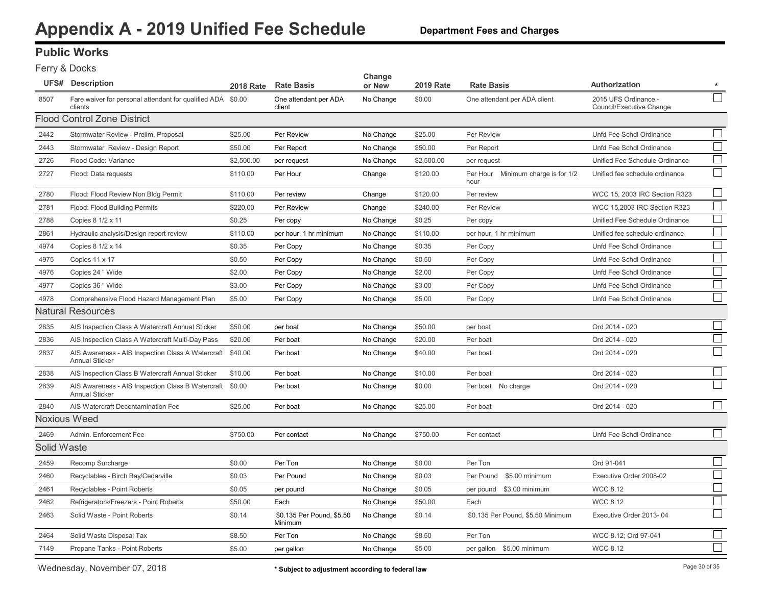# **Public Works**

#### Ferry & Docks

|             | <b>UFS# Description</b>                                                    | 2018 Rate  | <b>Rate Basis</b>                    | Change<br>or New | <b>2019 Rate</b> | <b>Rate Basis</b>                          | <b>Authorization</b>                             | $\star$                     |
|-------------|----------------------------------------------------------------------------|------------|--------------------------------------|------------------|------------------|--------------------------------------------|--------------------------------------------------|-----------------------------|
| 8507        | Fare waiver for personal attendant for qualified ADA \$0.00<br>clients     |            | One attendant per ADA<br>client      | No Change        | \$0.00           | One attendant per ADA client               | 2015 UFS Ordinance -<br>Council/Executive Change |                             |
|             | Flood Control Zone District                                                |            |                                      |                  |                  |                                            |                                                  |                             |
| 2442        | Stormwater Review - Prelim. Proposal                                       | \$25.00    | Per Review                           | No Change        | \$25.00          | Per Review                                 | Unfd Fee Schdl Ordinance                         |                             |
| 2443        | Stormwater Review - Design Report                                          | \$50.00    | Per Report                           | No Change        | \$50.00          | Per Report                                 | Unfd Fee Schdl Ordinance                         |                             |
| 2726        | Flood Code: Variance                                                       | \$2,500.00 | per request                          | No Change        | \$2,500.00       | per request                                | Unified Fee Schedule Ordinance                   |                             |
| 2727        | Flood: Data requests                                                       | \$110.00   | Per Hour                             | Change           | \$120.00         | Per Hour Minimum charge is for 1/2<br>hour | Unified fee schedule ordinance                   |                             |
| 2780        | Flood: Flood Review Non Bldg Permit                                        | \$110.00   | Per review                           | Change           | \$120.00         | Per review                                 | WCC 15, 2003 IRC Section R323                    | $\mathcal{L}_{\mathcal{A}}$ |
| 2781        | Flood: Flood Building Permits                                              | \$220.00   | Per Review                           | Change           | \$240.00         | Per Review                                 | WCC 15,2003 IRC Section R323                     |                             |
| 2788        | Copies 8 1/2 x 11                                                          | \$0.25     | Per copy                             | No Change        | \$0.25           | Per copy                                   | Unified Fee Schedule Ordinance                   |                             |
| 2861        | Hydraulic analysis/Design report review                                    | \$110.00   | per hour, 1 hr minimum               | No Change        | \$110.00         | per hour, 1 hr minimum                     | Unified fee schedule ordinance                   | ∟                           |
| 4974        | Copies 8 1/2 x 14                                                          | \$0.35     | Per Copy                             | No Change        | \$0.35           | Per Copy                                   | Unfd Fee Schdl Ordinance                         | ⊔                           |
| 4975        | Copies 11 x 17                                                             | \$0.50     | Per Copy                             | No Change        | \$0.50           | Per Copy                                   | Unfd Fee Schdl Ordinance                         | ∟                           |
| 4976        | Copies 24 " Wide                                                           | \$2.00     | Per Copy                             | No Change        | \$2.00           | Per Copy                                   | Unfd Fee Schdl Ordinance                         | $\Box$                      |
| 4977        | Copies 36 " Wide                                                           | \$3.00     | Per Copy                             | No Change        | \$3.00           | Per Copy                                   | Unfd Fee Schdl Ordinance                         | ∟                           |
| 4978        | Comprehensive Flood Hazard Management Plan                                 | \$5.00     | Per Copy                             | No Change        | \$5.00           | Per Copy                                   | Unfd Fee Schdl Ordinance                         |                             |
|             | Natural Resources                                                          |            |                                      |                  |                  |                                            |                                                  |                             |
| 2835        | AIS Inspection Class A Watercraft Annual Sticker                           | \$50.00    | per boat                             | No Change        | \$50.00          | per boat                                   | Ord 2014 - 020                                   |                             |
| 2836        | AIS Inspection Class A Watercraft Multi-Day Pass                           | \$20.00    | Per boat                             | No Change        | \$20.00          | Per boat                                   | Ord 2014 - 020                                   |                             |
| 2837        | AIS Awareness - AIS Inspection Class A Watercraft<br><b>Annual Sticker</b> | \$40.00    | Per boat                             | No Change        | \$40.00          | Per boat                                   | Ord 2014 - 020                                   |                             |
| 2838        | AIS Inspection Class B Watercraft Annual Sticker                           | \$10.00    | Per boat                             | No Change        | \$10.00          | Per boat                                   | Ord 2014 - 020                                   |                             |
| 2839        | AIS Awareness - AIS Inspection Class B Watercraft<br><b>Annual Sticker</b> | \$0.00     | Per boat                             | No Change        | \$0.00           | Per boat No charge                         | Ord 2014 - 020                                   |                             |
| 2840        | AIS Watercraft Decontamination Fee                                         | \$25.00    | Per boat                             | No Change        | \$25.00          | Per boat                                   | Ord 2014 - 020                                   |                             |
|             | <b>Noxious Weed</b>                                                        |            |                                      |                  |                  |                                            |                                                  |                             |
| 2469        | Admin. Enforcement Fee                                                     | \$750.00   | Per contact                          | No Change        | \$750.00         | Per contact                                | Unfd Fee Schdl Ordinance                         | $\Box$                      |
| Solid Waste |                                                                            |            |                                      |                  |                  |                                            |                                                  |                             |
| 2459        | Recomp Surcharge                                                           | \$0.00     | Per Ton                              | No Change        | \$0.00           | Per Ton                                    | Ord 91-041                                       |                             |
| 2460        | Recyclables - Birch Bay/Cedarville                                         | \$0.03     | Per Pound                            | No Change        | \$0.03           | Per Pound<br>\$5.00 minimum                | Executive Order 2008-02                          |                             |
| 2461        | Recyclables - Point Roberts                                                | \$0.05     | per pound                            | No Change        | \$0.05           | per pound \$3.00 minimum                   | <b>WCC 8.12</b>                                  |                             |
| 2462        | Refrigerators/Freezers - Point Roberts                                     | \$50.00    | Each                                 | No Change        | \$50.00          | Each                                       | <b>WCC 8.12</b>                                  |                             |
| 2463        | Solid Waste - Point Roberts                                                | \$0.14     | \$0.135 Per Pound, \$5.50<br>Minimum | No Change        | \$0.14           | \$0.135 Per Pound, \$5.50 Minimum          | Executive Order 2013-04                          |                             |
| 2464        | Solid Waste Disposal Tax                                                   | \$8.50     | Per Ton                              | No Change        | \$8.50           | Per Ton                                    | WCC 8.12; Ord 97-041                             |                             |
| 7149        | Propane Tanks - Point Roberts                                              | \$5.00     | per gallon                           | No Change        | \$5.00           | per gallon \$5.00 minimum                  | <b>WCC 8.12</b>                                  |                             |
|             |                                                                            |            |                                      |                  |                  |                                            |                                                  |                             |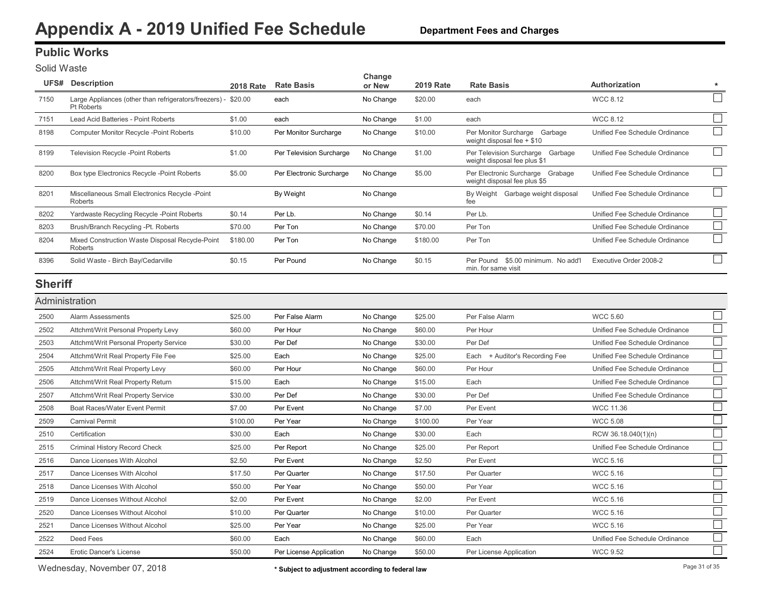### <span id="page-31-0"></span>**Public Works**

Solid Waste

| UFS#           | Description                                                          | <b>2018 Rate</b> | <b>Rate Basis</b>        | Change<br>or New | <b>2019 Rate</b> | <b>Rate Basis</b>                                                   | Authorization                  | $\star$ |
|----------------|----------------------------------------------------------------------|------------------|--------------------------|------------------|------------------|---------------------------------------------------------------------|--------------------------------|---------|
| 7150           | Large Appliances (other than refrigerators/freezers) -<br>Pt Roberts | \$20.00          | each                     | No Change        | \$20.00          | each                                                                | <b>WCC 8.12</b>                |         |
| 7151           | Lead Acid Batteries - Point Roberts                                  | \$1.00           | each                     | No Change        | \$1.00           | each                                                                | <b>WCC 8.12</b>                |         |
| 8198           | <b>Computer Monitor Recycle -Point Roberts</b>                       | \$10.00          | Per Monitor Surcharge    | No Change        | \$10.00          | Per Monitor Surcharge<br>Garbage<br>weight disposal fee $+$ \$10    | Unified Fee Schedule Ordinance |         |
| 8199           | <b>Television Recycle -Point Roberts</b>                             | \$1.00           | Per Television Surcharge | No Change        | \$1.00           | Per Television Surcharge<br>Garbage<br>weight disposal fee plus \$1 | Unified Fee Schedule Ordinance |         |
| 8200           | Box type Electronics Recycle -Point Roberts                          | \$5.00           | Per Electronic Surcharge | No Change        | \$5.00           | Per Electronic Surcharge Grabage<br>weight disposal fee plus \$5    | Unified Fee Schedule Ordinance |         |
| 8201           | Miscellaneous Small Electronics Recycle -Point<br>Roberts            |                  | By Weight                | No Change        |                  | Garbage weight disposal<br>By Weight<br>fee                         | Unified Fee Schedule Ordinance |         |
| 8202           | Yardwaste Recycling Recycle - Point Roberts                          | \$0.14           | Per Lb.                  | No Change        | \$0.14           | Per Lb.                                                             | Unified Fee Schedule Ordinance |         |
| 8203           | Brush/Branch Recycling -Pt. Roberts                                  | \$70.00          | Per Ton                  | No Change        | \$70.00          | Per Ton                                                             | Unified Fee Schedule Ordinance |         |
| 8204           | Mixed Construction Waste Disposal Recycle-Point<br>Roberts           | \$180.00         | Per Ton                  | No Change        | \$180.00         | Per Ton                                                             | Unified Fee Schedule Ordinance |         |
| 8396           | Solid Waste - Birch Bay/Cedarville                                   | \$0.15           | Per Pound                | No Change        | \$0.15           | \$5.00 minimum. No add'l<br>Per Pound<br>min. for same visit        | Executive Order 2008-2         |         |
| <b>Shariff</b> |                                                                      |                  |                          |                  |                  |                                                                     |                                |         |

#### **Sheriff**

|      | Administration                         |          |                         |           |          |                                |                                |  |
|------|----------------------------------------|----------|-------------------------|-----------|----------|--------------------------------|--------------------------------|--|
| 2500 | <b>Alarm Assessments</b>               | \$25.00  | Per False Alarm         | No Change | \$25.00  | Per False Alarm                | <b>WCC 5.60</b>                |  |
| 2502 | Attchmt/Writ Personal Property Levy    | \$60.00  | Per Hour                | No Change | \$60.00  | Per Hour                       | Unified Fee Schedule Ordinance |  |
| 2503 | Attchmt/Writ Personal Property Service | \$30.00  | Per Def                 | No Change | \$30.00  | Per Def                        | Unified Fee Schedule Ordinance |  |
| 2504 | Attchmt/Writ Real Property File Fee    | \$25.00  | Each                    | No Change | \$25.00  | Each + Auditor's Recording Fee | Unified Fee Schedule Ordinance |  |
| 2505 | Attchmt/Writ Real Property Levy        | \$60.00  | Per Hour                | No Change | \$60.00  | Per Hour                       | Unified Fee Schedule Ordinance |  |
| 2506 | Attchmt/Writ Real Property Return      | \$15.00  | Each                    | No Change | \$15.00  | Each                           | Unified Fee Schedule Ordinance |  |
| 2507 | Attchmt/Writ Real Property Service     | \$30.00  | Per Def                 | No Change | \$30.00  | Per Def                        | Unified Fee Schedule Ordinance |  |
| 2508 | Boat Races/Water Event Permit          | \$7.00   | Per Event               | No Change | \$7.00   | Per Event                      | <b>WCC 11.36</b>               |  |
| 2509 | <b>Carnival Permit</b>                 | \$100.00 | Per Year                | No Change | \$100.00 | Per Year                       | <b>WCC 5.08</b>                |  |
| 2510 | Certification                          | \$30.00  | Each                    | No Change | \$30.00  | Each                           | RCW 36.18.040(1)(n)            |  |
| 2515 | <b>Criminal History Record Check</b>   | \$25.00  | Per Report              | No Change | \$25.00  | Per Report                     | Unified Fee Schedule Ordinance |  |
| 2516 | Dance Licenses With Alcohol            | \$2.50   | Per Event               | No Change | \$2.50   | Per Event                      | <b>WCC 5.16</b>                |  |
| 2517 | Dance Licenses With Alcohol            | \$17.50  | Per Quarter             | No Change | \$17.50  | Per Quarter                    | <b>WCC 5.16</b>                |  |
| 2518 | Dance Licenses With Alcohol            | \$50.00  | Per Year                | No Change | \$50.00  | Per Year                       | <b>WCC 5.16</b>                |  |
| 2519 | Dance Licenses Without Alcohol         | \$2.00   | Per Event               | No Change | \$2.00   | Per Event                      | <b>WCC 5.16</b>                |  |
| 2520 | Dance Licenses Without Alcohol         | \$10.00  | Per Quarter             | No Change | \$10.00  | Per Quarter                    | <b>WCC 5.16</b>                |  |
| 2521 | Dance Licenses Without Alcohol         | \$25.00  | Per Year                | No Change | \$25.00  | Per Year                       | <b>WCC 5.16</b>                |  |
| 2522 | Deed Fees                              | \$60.00  | Each                    | No Change | \$60.00  | Each                           | Unified Fee Schedule Ordinance |  |
| 2524 | <b>Erotic Dancer's License</b>         | \$50.00  | Per License Application | No Change | \$50.00  | Per License Application        | <b>WCC 9.52</b>                |  |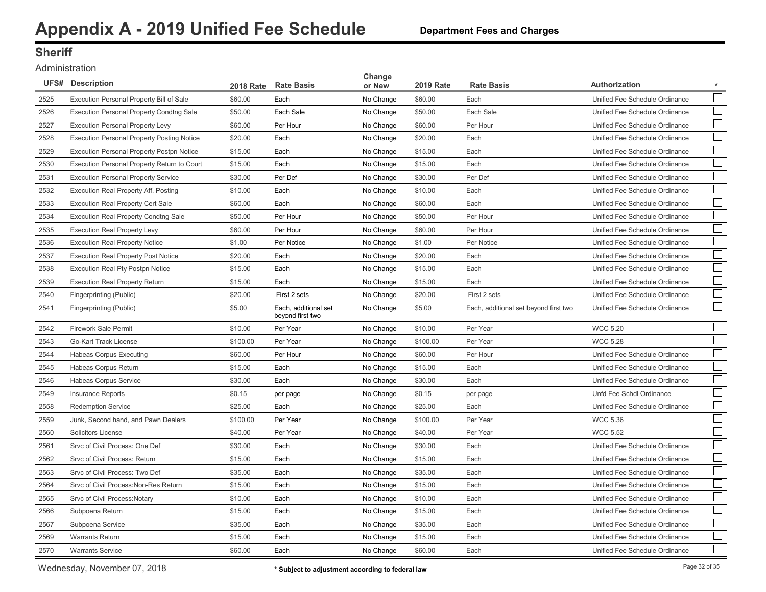### **Sheriff**

#### Administration

|      | <b>UFS# Description</b>                           | <b>2018 Rate</b> | <b>Rate Basis</b>                        | Change<br>or New | <b>2019 Rate</b> | <b>Rate Basis</b>                     | Authorization<br>$\star$                 |
|------|---------------------------------------------------|------------------|------------------------------------------|------------------|------------------|---------------------------------------|------------------------------------------|
| 2525 | Execution Personal Property Bill of Sale          | \$60.00          | Each                                     | No Change        | \$60.00          | Each                                  | Unified Fee Schedule Ordinance           |
| 2526 | <b>Execution Personal Property Condtng Sale</b>   | \$50.00          | Each Sale                                | No Change        | \$50.00          | Each Sale                             | Unified Fee Schedule Ordinance           |
| 2527 | <b>Execution Personal Property Levy</b>           | \$60.00          | Per Hour                                 | No Change        | \$60.00          | Per Hour                              | Unified Fee Schedule Ordinance           |
| 2528 | <b>Execution Personal Property Posting Notice</b> | \$20.00          | Each                                     | No Change        | \$20.00          | Each                                  | Unified Fee Schedule Ordinance           |
| 2529 | <b>Execution Personal Property Postpn Notice</b>  | \$15.00          | Each                                     | No Change        | \$15.00          | Each                                  | Unified Fee Schedule Ordinance           |
| 2530 | Execution Personal Property Return to Court       | \$15.00          | Each                                     | No Change        | \$15.00          | Each                                  | Unified Fee Schedule Ordinance           |
| 2531 | <b>Execution Personal Property Service</b>        | \$30.00          | Per Def                                  | No Change        | \$30.00          | Per Def                               | Unified Fee Schedule Ordinance           |
| 2532 | Execution Real Property Aff. Posting              | \$10.00          | Each                                     | No Change        | \$10.00          | Each                                  | Unified Fee Schedule Ordinance           |
| 2533 | <b>Execution Real Property Cert Sale</b>          | \$60.00          | Each                                     | No Change        | \$60.00          | Each                                  | Unified Fee Schedule Ordinance           |
| 2534 | <b>Execution Real Property Condtng Sale</b>       | \$50.00          | Per Hour                                 | No Change        | \$50.00          | Per Hour                              | Unified Fee Schedule Ordinance           |
| 2535 | <b>Execution Real Property Levy</b>               | \$60.00          | Per Hour                                 | No Change        | \$60.00          | Per Hour                              | Unified Fee Schedule Ordinance           |
| 2536 | <b>Execution Real Property Notice</b>             | \$1.00           | Per Notice                               | No Change        | \$1.00           | Per Notice                            | Unified Fee Schedule Ordinance           |
| 2537 | <b>Execution Real Property Post Notice</b>        | \$20.00          | Each                                     | No Change        | \$20.00          | Each                                  | Unified Fee Schedule Ordinance           |
| 2538 | <b>Execution Real Pty Postpn Notice</b>           | \$15.00          | Each                                     | No Change        | \$15.00          | Each                                  | Unified Fee Schedule Ordinance           |
| 2539 | <b>Execution Real Property Return</b>             | \$15.00          | Each                                     | No Change        | \$15.00          | Each                                  | Unified Fee Schedule Ordinance           |
| 2540 | Fingerprinting (Public)                           | \$20.00          | First 2 sets                             | No Change        | \$20.00          | First 2 sets                          | Unified Fee Schedule Ordinance           |
| 2541 | Fingerprinting (Public)                           | \$5.00           | Each, additional set<br>beyond first two | No Change        | \$5.00           | Each, additional set beyond first two | Unified Fee Schedule Ordinance           |
| 2542 | Firework Sale Permit                              | \$10.00          | Per Year                                 | No Change        | \$10.00          | Per Year                              | <b>WCC 5.20</b>                          |
| 2543 | Go-Kart Track License                             | \$100.00         | Per Year                                 | No Change        | \$100.00         | Per Year                              | <b>WCC 5.28</b>                          |
| 2544 | <b>Habeas Corpus Executing</b>                    | \$60.00          | Per Hour                                 | No Change        | \$60.00          | Per Hour                              | Unified Fee Schedule Ordinance           |
| 2545 | Habeas Corpus Return                              | \$15.00          | Each                                     | No Change        | \$15.00          | Each                                  | Unified Fee Schedule Ordinance           |
| 2546 | <b>Habeas Corpus Service</b>                      | \$30.00          | Each                                     | No Change        | \$30.00          | Each                                  | Unified Fee Schedule Ordinance           |
| 2549 | <b>Insurance Reports</b>                          | \$0.15           | per page                                 | No Change        | \$0.15           | per page                              | Unfd Fee Schdl Ordinance                 |
| 2558 | <b>Redemption Service</b>                         | \$25.00          | Each                                     | No Change        | \$25.00          | Each                                  | $\Box$<br>Unified Fee Schedule Ordinance |
| 2559 | Junk, Second hand, and Pawn Dealers               | \$100.00         | Per Year                                 | No Change        | \$100.00         | Per Year                              | <b>WCC 5.36</b>                          |
| 2560 | <b>Solicitors License</b>                         | \$40.00          | Per Year                                 | No Change        | \$40.00          | Per Year                              | <b>WCC 5.52</b>                          |
| 2561 | Srvc of Civil Process: One Def                    | \$30.00          | Each                                     | No Change        | \$30.00          | Each                                  | Unified Fee Schedule Ordinance           |
| 2562 | Srvc of Civil Process: Return                     | \$15.00          | Each                                     | No Change        | \$15.00          | Each                                  | Unified Fee Schedule Ordinance           |
| 2563 | Srvc of Civil Process: Two Def                    | \$35.00          | Each                                     | No Change        | \$35.00          | Each                                  | Unified Fee Schedule Ordinance           |
| 2564 | Srvc of Civil Process: Non-Res Return             | \$15.00          | Each                                     | No Change        | \$15.00          | Each                                  | Unified Fee Schedule Ordinance           |
| 2565 | Srvc of Civil Process: Notary                     | \$10.00          | Each                                     | No Change        | \$10.00          | Each                                  | Unified Fee Schedule Ordinance           |
| 2566 | Subpoena Return                                   | \$15.00          | Each                                     | No Change        | \$15.00          | Each                                  | Unified Fee Schedule Ordinance           |
| 2567 | Subpoena Service                                  | \$35.00          | Each                                     | No Change        | \$35.00          | Each                                  | Unified Fee Schedule Ordinance           |
| 2569 | <b>Warrants Return</b>                            | \$15.00          | Each                                     | No Change        | \$15.00          | Each                                  | Unified Fee Schedule Ordinance           |
| 2570 | <b>Warrants Service</b>                           | \$60.00          | Each                                     | No Change        | \$60.00          | Each                                  | Unified Fee Schedule Ordinance           |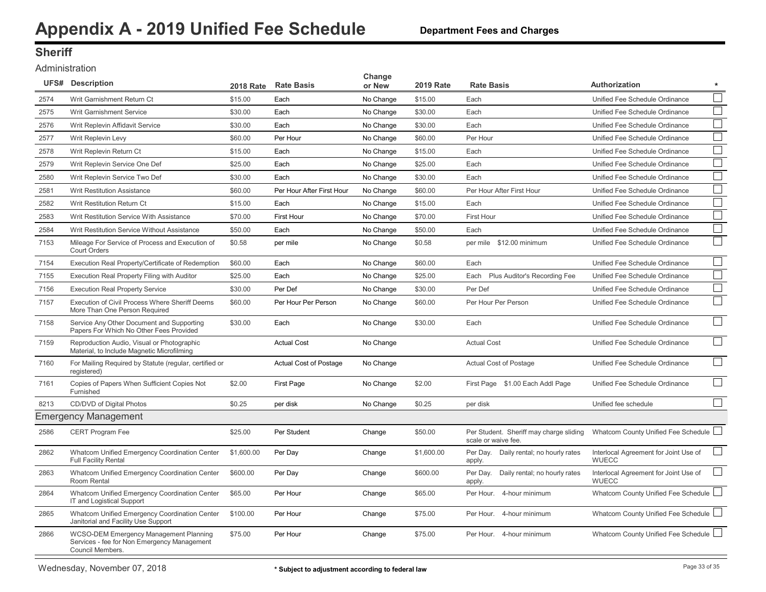### **Sheriff**

#### Administration

|      | <b>UFS# Description</b>                                                                                   | <b>2018 Rate</b> | <b>Rate Basis</b>         | Change<br>or New | <b>2019 Rate</b> | <b>Rate Basis</b>                                              | Authorization                                         | $\star$ |
|------|-----------------------------------------------------------------------------------------------------------|------------------|---------------------------|------------------|------------------|----------------------------------------------------------------|-------------------------------------------------------|---------|
| 2574 | Writ Garnishment Return Ct                                                                                | \$15.00          | Each                      | No Change        | \$15.00          | Each                                                           | Unified Fee Schedule Ordinance                        |         |
| 2575 | Writ Garnishment Service                                                                                  | \$30.00          | Each                      | No Change        | \$30.00          | Each                                                           | Unified Fee Schedule Ordinance                        |         |
| 2576 | Writ Replevin Affidavit Service                                                                           | \$30.00          | Each                      | No Change        | \$30.00          | Each                                                           | Unified Fee Schedule Ordinance                        |         |
| 2577 | Writ Replevin Levy                                                                                        | \$60.00          | Per Hour                  | No Change        | \$60.00          | Per Hour                                                       | Unified Fee Schedule Ordinance                        |         |
| 2578 | Writ Replevin Return Ct                                                                                   | \$15.00          | Each                      | No Change        | \$15.00          | Each                                                           | Unified Fee Schedule Ordinance                        |         |
| 2579 | Writ Replevin Service One Def                                                                             | \$25.00          | Each                      | No Change        | \$25.00          | Each                                                           | Unified Fee Schedule Ordinance                        |         |
| 2580 | Writ Replevin Service Two Def                                                                             | \$30.00          | Each                      | No Change        | \$30.00          | Each                                                           | Unified Fee Schedule Ordinance                        |         |
| 2581 | <b>Writ Restitution Assistance</b>                                                                        | \$60.00          | Per Hour After First Hour | No Change        | \$60.00          | Per Hour After First Hour                                      | Unified Fee Schedule Ordinance                        |         |
| 2582 | Writ Restitution Return Ct                                                                                | \$15.00          | Each                      | No Change        | \$15.00          | Each                                                           | Unified Fee Schedule Ordinance                        |         |
| 2583 | Writ Restitution Service With Assistance                                                                  | \$70.00          | First Hour                | No Change        | \$70.00          | First Hour                                                     | Unified Fee Schedule Ordinance                        |         |
| 2584 | Writ Restitution Service Without Assistance                                                               | \$50.00          | Each                      | No Change        | \$50.00          | Each                                                           | Unified Fee Schedule Ordinance                        |         |
| 7153 | Mileage For Service of Process and Execution of<br><b>Court Orders</b>                                    | \$0.58           | per mile                  | No Change        | \$0.58           | per mile \$12.00 minimum                                       | Unified Fee Schedule Ordinance                        |         |
| 7154 | Execution Real Property/Certificate of Redemption                                                         | \$60.00          | Each                      | No Change        | \$60.00          | Each                                                           | Unified Fee Schedule Ordinance                        |         |
| 7155 | Execution Real Property Filing with Auditor                                                               | \$25.00          | Each                      | No Change        | \$25.00          | Each Plus Auditor's Recording Fee                              | Unified Fee Schedule Ordinance                        |         |
| 7156 | <b>Execution Real Property Service</b>                                                                    | \$30.00          | Per Def                   | No Change        | \$30.00          | Per Def                                                        | Unified Fee Schedule Ordinance                        |         |
| 7157 | Execution of Civil Process Where Sheriff Deems<br>More Than One Person Required                           | \$60.00          | Per Hour Per Person       | No Change        | \$60.00          | Per Hour Per Person                                            | Unified Fee Schedule Ordinance                        |         |
| 7158 | Service Any Other Document and Supporting<br>Papers For Which No Other Fees Provided                      | \$30.00          | Each                      | No Change        | \$30.00          | Each                                                           | Unified Fee Schedule Ordinance                        |         |
| 7159 | Reproduction Audio, Visual or Photographic<br>Material, to Include Magnetic Microfilming                  |                  | <b>Actual Cost</b>        | No Change        |                  | <b>Actual Cost</b>                                             | Unified Fee Schedule Ordinance                        | $\Box$  |
| 7160 | For Mailing Required by Statute (regular, certified or<br>registered)                                     |                  | Actual Cost of Postage    | No Change        |                  | Actual Cost of Postage                                         | Unified Fee Schedule Ordinance                        |         |
| 7161 | Copies of Papers When Sufficient Copies Not<br>Furnished                                                  | \$2.00           | First Page                | No Change        | \$2.00           | First Page \$1.00 Each Addl Page                               | Unified Fee Schedule Ordinance                        |         |
| 8213 | CD/DVD of Digital Photos                                                                                  | \$0.25           | per disk                  | No Change        | \$0.25           | per disk                                                       | Unified fee schedule                                  |         |
|      | <b>Emergency Management</b>                                                                               |                  |                           |                  |                  |                                                                |                                                       |         |
| 2586 | CERT Program Fee                                                                                          | \$25.00          | Per Student               | Change           | \$50.00          | Per Student. Sheriff may charge sliding<br>scale or waive fee. | Whatcom County Unified Fee Schedule L                 |         |
| 2862 | Whatcom Unified Emergency Coordination Center<br><b>Full Facility Rental</b>                              | \$1,600.00       | Per Day                   | Change           | \$1,600.00       | Per Day. Daily rental; no hourly rates<br>apply.               | Interlocal Agreement for Joint Use of<br><b>WUECC</b> |         |
| 2863 | Whatcom Unified Emergency Coordination Center<br>Room Rental                                              | \$600.00         | Per Day                   | Change           | \$600.00         | Per Day. Daily rental; no hourly rates<br>apply.               | Interlocal Agreement for Joint Use of<br><b>WUECC</b> |         |
| 2864 | Whatcom Unified Emergency Coordination Center<br>IT and Logistical Support                                | \$65.00          | Per Hour                  | Change           | \$65.00          | Per Hour. 4-hour minimum                                       | Whatcom County Unified Fee Schedule                   |         |
| 2865 | Whatcom Unified Emergency Coordination Center<br>Janitorial and Facility Use Support                      | \$100.00         | Per Hour                  | Change           | \$75.00          | Per Hour. 4-hour minimum                                       | Whatcom County Unified Fee Schedule                   |         |
| 2866 | WCSO-DEM Emergency Management Planning<br>Services - fee for Non Emergency Management<br>Council Members. | \$75.00          | Per Hour                  | Change           | \$75.00          | Per Hour. 4-hour minimum                                       | Whatcom County Unified Fee Schedule                   |         |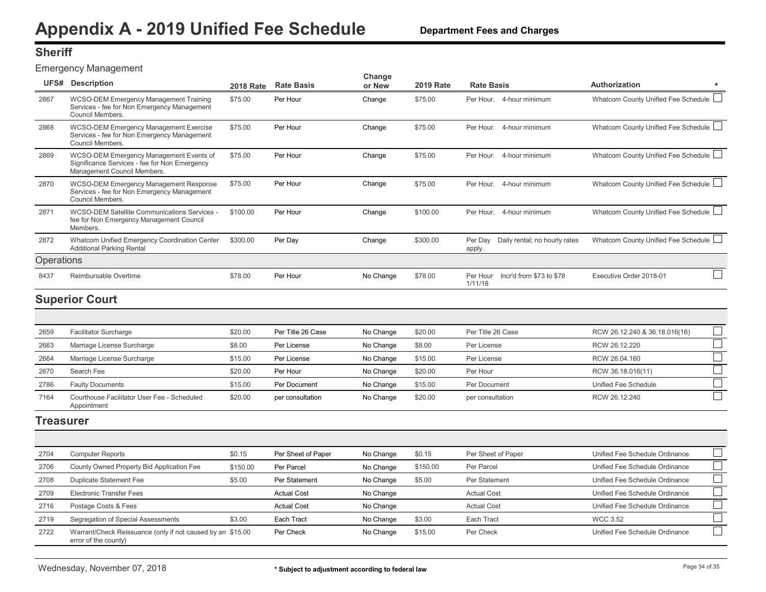### <span id="page-34-0"></span>**Sheriff**

Emergency Management

| UFS#       | <b>Description</b>                                                                                                      | <b>2018 Rate</b> | <b>Rate Basis</b> | Change<br>or New | <b>2019 Rate</b> | <b>Rate Basis</b>                                  | Authorization                       | * |
|------------|-------------------------------------------------------------------------------------------------------------------------|------------------|-------------------|------------------|------------------|----------------------------------------------------|-------------------------------------|---|
| 2867       | WCSO-DEM Emergency Management Training<br>Services - fee for Non Emergency Management<br>Council Members.               | \$75.00          | Per Hour          | Change           | \$75.00          | 4-hour minimum<br>Per Hour.                        | Whatcom County Unified Fee Schedule |   |
| 2868       | WCSO-DEM Emergency Management Exercise<br>Services - fee for Non Emergency Management<br>Council Members.               | \$75.00          | Per Hour          | Change           | \$75.00          | Per Hour.<br>4-hour minimum                        | Whatcom County Unified Fee Schedule |   |
| 2869       | WCSO-DEM Emergency Management Events of<br>Significance Services - fee for Non Emergency<br>Management Council Members. | \$75.00          | Per Hour          | Change           | \$75.00          | 4-hour minimum<br>Per Hour.                        | Whatcom County Unified Fee Schedule |   |
| 2870       | <b>WCSO-DEM Emergency Management Response</b><br>Services - fee for Non Emergency Management<br>Council Members.        | \$75.00          | Per Hour          | Change           | \$75.00          | 4-hour minimum<br>Per Hour.                        | Whatcom County Unified Fee Schedule |   |
| 2871       | WCSO-DEM Satellite Communications Services -<br>fee for Non Emergency Management Council<br>Members.                    | \$100.00         | Per Hour          | Change           | \$100.00         | 4-hour minimum<br>Per Hour.                        | Whatcom County Unified Fee Schedule |   |
| 2872       | Whatcom Unified Emergency Coordination Center<br><b>Additional Parking Rental</b>                                       | \$300.00         | Per Day           | Change           | \$300.00         | Daily rental; no hourly rates<br>Per Dav<br>apply. | Whatcom County Unified Fee Schedule |   |
| Operations |                                                                                                                         |                  |                   |                  |                  |                                                    |                                     |   |
| 8437       | Reimbursable Overtime                                                                                                   | \$78.00          | Per Hour          | No Change        | \$78.00          | Incr'd from \$73 to \$78<br>Per Hour<br>1/11/18    | Executive Order 2018-01             |   |
|            |                                                                                                                         |                  |                   |                  |                  |                                                    |                                     |   |

### **Superior Court**

| 2659 | <b>Facilitator Surcharge</b>                               | \$20.00 | Per Title 26 Case | No Change | \$20.00 | Per Title 26 Case | RCW 26.12.240 & 36.18.016(16) |  |
|------|------------------------------------------------------------|---------|-------------------|-----------|---------|-------------------|-------------------------------|--|
| 2663 | Marriage License Surcharge                                 | \$8.00  | Per License       | No Change | \$8.00  | Per License       | RCW 26.12.220                 |  |
| 2664 | Marriage License Surcharge                                 | \$15.00 | Per License       | No Change | \$15.00 | Per License       | RCW 26.04.160                 |  |
| 2670 | Search Fee                                                 | \$20.00 | Per Hour          | No Change | \$20.00 | Per Hour          | RCW 36.18.016(11)             |  |
| 2786 | <b>Faulty Documents</b>                                    | \$15.00 | Per Document      | No Change | \$15.00 | Per Document      | Unified Fee Schedule          |  |
| 7164 | Courthouse Facilitator User Fee - Scheduled<br>Appointment | \$20.00 | per consultation  | No Change | \$20.00 | per consultation  | RCW 26.12.240                 |  |

#### **Treasurer**

| 2704 | <b>Computer Reports</b>                                                            | \$0.15   | Per Sheet of Paper | No Change | \$0.15   | Per Sheet of Paper | Unified Fee Schedule Ordinance |  |
|------|------------------------------------------------------------------------------------|----------|--------------------|-----------|----------|--------------------|--------------------------------|--|
| 2706 | County Owned Property Bid Application Fee                                          | \$150.00 | Per Parcel         | No Change | \$150.00 | Per Parcel         | Unified Fee Schedule Ordinance |  |
| 2708 | Duplicate Statement Fee                                                            | \$5.00   | Per Statement      | No Change | \$5.00   | Per Statement      | Unified Fee Schedule Ordinance |  |
| 2709 | Electronic Transfer Fees                                                           |          | <b>Actual Cost</b> | No Change |          | <b>Actual Cost</b> | Unified Fee Schedule Ordinance |  |
| 2716 | Postage Costs & Fees                                                               |          | <b>Actual Cost</b> | No Change |          | <b>Actual Cost</b> | Unified Fee Schedule Ordinance |  |
| 2719 | Segregation of Special Assessments                                                 | \$3.00   | Each Tract         | No Change | \$3.00   | Each Tract         | <b>WCC 3.52</b>                |  |
| 2722 | Warrant/Check Reissuance (only if not caused by an \$15.00<br>error of the county) |          | Per Check          | No Change | \$15.00  | Per Check          | Unified Fee Schedule Ordinance |  |